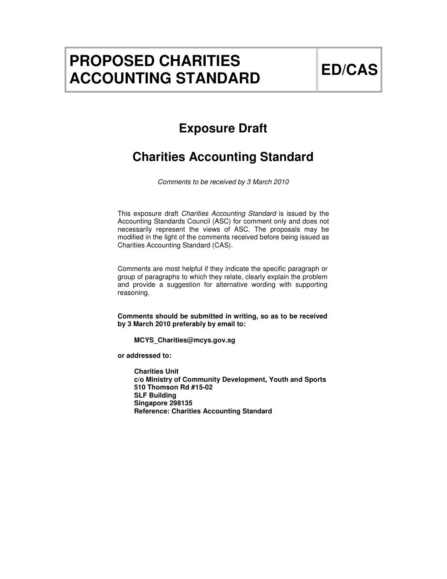# **PROPOSED CHARITIES ACCOUNTING STANDARD FRUED/CAS**

## **Exposure Draft**

## **Charities Accounting Standard**

Comments to be received by 3 March 2010

This exposure draft Charities Accounting Standard is issued by the Accounting Standards Council (ASC) for comment only and does not necessarily represent the views of ASC. The proposals may be modified in the light of the comments received before being issued as Charities Accounting Standard (CAS).

Comments are most helpful if they indicate the specific paragraph or group of paragraphs to which they relate, clearly explain the problem and provide a suggestion for alternative wording with supporting reasoning.

**Comments should be submitted in writing, so as to be received by 3 March 2010 preferably by email to:** 

**MCYS\_Charities@mcys.gov.sg** 

**or addressed to:** 

**Charities Unit c/o Ministry of Community Development, Youth and Sports 510 Thomson Rd #15-02 SLF Building Singapore 298135 Reference: Charities Accounting Standard**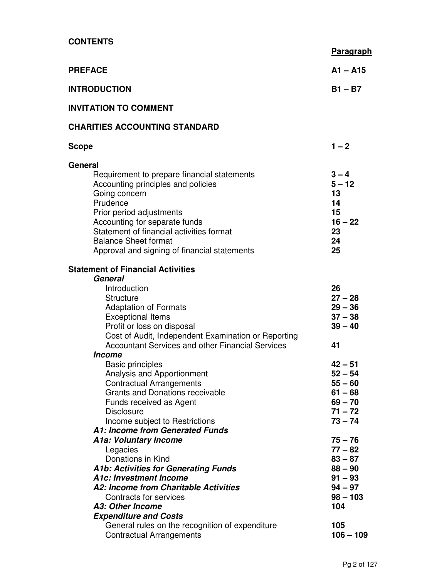| <b>CONTENTS</b>                                                                                                                                                                                                                                                                                                                                                                                                                                             |                                                                                                                                                                       |
|-------------------------------------------------------------------------------------------------------------------------------------------------------------------------------------------------------------------------------------------------------------------------------------------------------------------------------------------------------------------------------------------------------------------------------------------------------------|-----------------------------------------------------------------------------------------------------------------------------------------------------------------------|
|                                                                                                                                                                                                                                                                                                                                                                                                                                                             | <b>Paragraph</b>                                                                                                                                                      |
| <b>PREFACE</b>                                                                                                                                                                                                                                                                                                                                                                                                                                              | $A1 - A15$                                                                                                                                                            |
| <b>INTRODUCTION</b>                                                                                                                                                                                                                                                                                                                                                                                                                                         | $B1 - B7$                                                                                                                                                             |
| <b>INVITATION TO COMMENT</b>                                                                                                                                                                                                                                                                                                                                                                                                                                |                                                                                                                                                                       |
| <b>CHARITIES ACCOUNTING STANDARD</b>                                                                                                                                                                                                                                                                                                                                                                                                                        |                                                                                                                                                                       |
| <b>Scope</b>                                                                                                                                                                                                                                                                                                                                                                                                                                                | $1 - 2$                                                                                                                                                               |
| <b>General</b><br>Requirement to prepare financial statements<br>Accounting principles and policies<br>Going concern<br>Prudence<br>Prior period adjustments<br>Accounting for separate funds<br>Statement of financial activities format<br><b>Balance Sheet format</b><br>Approval and signing of financial statements                                                                                                                                    | $3 - 4$<br>$5 - 12$<br>13<br>14<br>15<br>$16 - 22$<br>23<br>24<br>25                                                                                                  |
| <b>Statement of Financial Activities</b><br>General<br>Introduction<br><b>Structure</b><br><b>Adaptation of Formats</b><br><b>Exceptional Items</b><br>Profit or loss on disposal                                                                                                                                                                                                                                                                           | 26<br>$27 - 28$<br>$29 - 36$<br>$37 - 38$<br>$39 - 40$                                                                                                                |
| Cost of Audit, Independent Examination or Reporting<br>Accountant Services and other Financial Services                                                                                                                                                                                                                                                                                                                                                     | 41                                                                                                                                                                    |
| Income<br><b>Basic principles</b><br>Analysis and Apportionment<br><b>Contractual Arrangements</b><br><b>Grants and Donations receivable</b><br>Funds received as Agent<br><b>Disclosure</b><br>Income subject to Restrictions<br><b>A1: Income from Generated Funds</b><br><b>A1a: Voluntary Income</b><br>Legacies<br>Donations in Kind<br><b>A1b: Activities for Generating Funds</b><br>A1c: Investment Income<br>A2: Income from Charitable Activities | $42 - 51$<br>$52 - 54$<br>$55 - 60$<br>$61 - 68$<br>$69 - 70$<br>$71 - 72$<br>$73 - 74$<br>$75 - 76$<br>$77 - 82$<br>$83 - 87$<br>$88 - 90$<br>$91 - 93$<br>$94 - 97$ |
| Contracts for services<br>A3: Other Income<br><b>Expenditure and Costs</b><br>General rules on the recognition of expenditure                                                                                                                                                                                                                                                                                                                               | $98 - 103$<br>104<br>105                                                                                                                                              |
| <b>Contractual Arrangements</b>                                                                                                                                                                                                                                                                                                                                                                                                                             | $106 - 109$                                                                                                                                                           |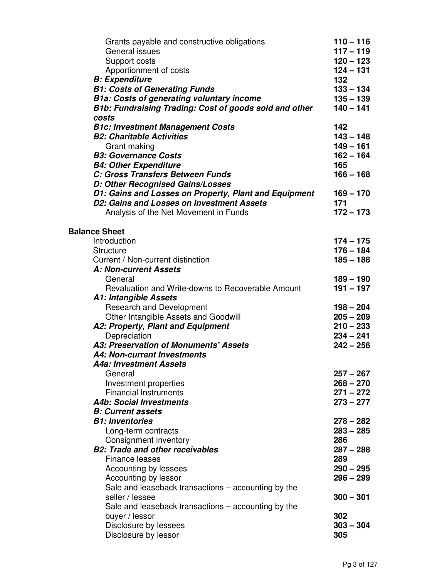| Grants payable and constructive obligations                                               | $110 - 116$                |
|-------------------------------------------------------------------------------------------|----------------------------|
| General issues                                                                            | $117 - 119$                |
| Support costs                                                                             | $120 - 123$                |
| Apportionment of costs                                                                    | $124 - 131$                |
| <b>B: Expenditure</b>                                                                     | 132                        |
| <b>B1: Costs of Generating Funds</b>                                                      | $133 - 134$                |
| <b>B1a: Costs of generating voluntary income</b>                                          | $135 - 139$                |
| B1b: Fundraising Trading: Cost of goods sold and other                                    | $140 - 141$                |
| costs                                                                                     |                            |
| <b>B1c: Investment Management Costs</b>                                                   | 142                        |
| <b>B2: Charitable Activities</b>                                                          | $143 - 148$                |
| Grant making                                                                              | $149 - 161$                |
| <b>B3: Governance Costs</b>                                                               | $162 - 164$                |
| <b>B4: Other Expenditure</b>                                                              | 165                        |
| C: Gross Transfers Between Funds                                                          | $166 - 168$                |
| D: Other Recognised Gains/Losses<br>D1: Gains and Losses on Property, Plant and Equipment | $169 - 170$                |
| D2: Gains and Losses on Investment Assets                                                 | 171                        |
| Analysis of the Net Movement in Funds                                                     | $172 - 173$                |
|                                                                                           |                            |
| <b>Balance Sheet</b>                                                                      |                            |
| Introduction                                                                              | $174 - 175$                |
| <b>Structure</b>                                                                          | $176 - 184$                |
| Current / Non-current distinction                                                         | $185 - 188$                |
| <b>A: Non-current Assets</b>                                                              |                            |
| General                                                                                   | $189 - 190$                |
| Revaluation and Write-downs to Recoverable Amount                                         | $191 - 197$                |
| A1: Intangible Assets                                                                     |                            |
| <b>Research and Development</b>                                                           | $198 - 204$                |
| Other Intangible Assets and Goodwill                                                      | $205 - 209$                |
| A2: Property, Plant and Equipment                                                         | $210 - 233$                |
| Depreciation                                                                              | $234 - 241$                |
| <b>A3: Preservation of Monuments' Assets</b>                                              | $242 - 256$                |
| <b>A4: Non-current Investments</b>                                                        |                            |
| A4a: Investment Assets                                                                    |                            |
| General                                                                                   | $257 - 267$                |
| Investment properties<br><b>Financial Instruments</b>                                     | $268 - 270$<br>$271 - 272$ |
| <b>A4b: Social Investments</b>                                                            | $273 - 277$                |
| <b>B: Current assets</b>                                                                  |                            |
| <b>B1: Inventories</b>                                                                    | $278 - 282$                |
| Long-term contracts                                                                       | $283 - 285$                |
| Consignment inventory                                                                     | 286                        |
| <b>B2: Trade and other receivables</b>                                                    | $287 - 288$                |
| Finance leases                                                                            | 289                        |
| Accounting by lessees                                                                     | $290 - 295$                |
| Accounting by lessor                                                                      | $296 - 299$                |
| Sale and leaseback transactions – accounting by the                                       |                            |
| seller / lessee                                                                           | $300 - 301$                |
| Sale and leaseback transactions – accounting by the                                       |                            |
| buyer / lessor                                                                            | 302                        |
| Disclosure by lessees                                                                     | $303 - 304$                |
| Disclosure by lessor                                                                      | 305                        |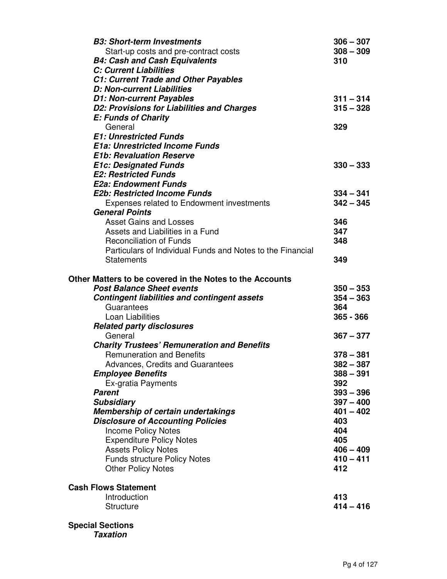| <b>B3: Short-term Investments</b>                                  | $306 - 307$                |
|--------------------------------------------------------------------|----------------------------|
| Start-up costs and pre-contract costs                              | $308 - 309$                |
| <b>B4: Cash and Cash Equivalents</b>                               | 310                        |
| <b>C: Current Liabilities</b>                                      |                            |
| <b>C1: Current Trade and Other Payables</b>                        |                            |
| <b>D: Non-current Liabilities</b>                                  |                            |
| <b>D1: Non-current Payables</b>                                    | $311 - 314$                |
| D2: Provisions for Liabilities and Charges                         | $315 - 328$                |
| <b>E: Funds of Charity</b>                                         |                            |
| General                                                            | 329                        |
| <b>E1: Unrestricted Funds</b>                                      |                            |
| <b>E1a: Unrestricted Income Funds</b>                              |                            |
| <b>E1b: Revaluation Reserve</b>                                    |                            |
| <b>E1c: Designated Funds</b>                                       | $330 - 333$                |
| <b>E2: Restricted Funds</b>                                        |                            |
| <b>E2a: Endowment Funds</b>                                        |                            |
| <b>E2b: Restricted Income Funds</b>                                | $334 - 341$<br>$342 - 345$ |
| Expenses related to Endowment investments<br><b>General Points</b> |                            |
| <b>Asset Gains and Losses</b>                                      | 346                        |
| Assets and Liabilities in a Fund                                   | 347                        |
| <b>Reconciliation of Funds</b>                                     | 348                        |
| Particulars of Individual Funds and Notes to the Financial         |                            |
| <b>Statements</b>                                                  | 349                        |
|                                                                    |                            |
| Other Matters to be covered in the Notes to the Accounts           |                            |
| <b>Post Balance Sheet events</b>                                   | $350 - 353$                |
| <b>Contingent liabilities and contingent assets</b>                | $354 - 363$                |
| Guarantees                                                         | 364                        |
| Loan Liabilities                                                   | $365 - 366$                |
| <b>Related party disclosures</b>                                   |                            |
| General                                                            | $367 - 377$                |
| <b>Charity Trustees' Remuneration and Benefits</b>                 |                            |
| <b>Remuneration and Benefits</b>                                   | $378 - 381$                |
| Advances, Credits and Guarantees                                   | $382 - 387$                |
| <b>Employee Benefits</b>                                           | $388 - 391$                |
| <b>Ex-gratia Payments</b>                                          | 392                        |
| <b>Parent</b>                                                      | $393 - 396$                |
| <b>Subsidiary</b>                                                  | $397 - 400$                |
| Membership of certain undertakings                                 | $401 - 402$                |
| <b>Disclosure of Accounting Policies</b>                           | 403                        |
| <b>Income Policy Notes</b>                                         | 404                        |
| <b>Expenditure Policy Notes</b>                                    | 405                        |
| <b>Assets Policy Notes</b>                                         | $406 - 409$                |
| <b>Funds structure Policy Notes</b>                                | $410 - 411$                |
| <b>Other Policy Notes</b>                                          | 412                        |
| <b>Cash Flows Statement</b>                                        |                            |
| Introduction                                                       | 413                        |
| <b>Structure</b>                                                   | $414 - 416$                |
|                                                                    |                            |
| <b>Special Sections</b>                                            |                            |
| <b>Taxation</b>                                                    |                            |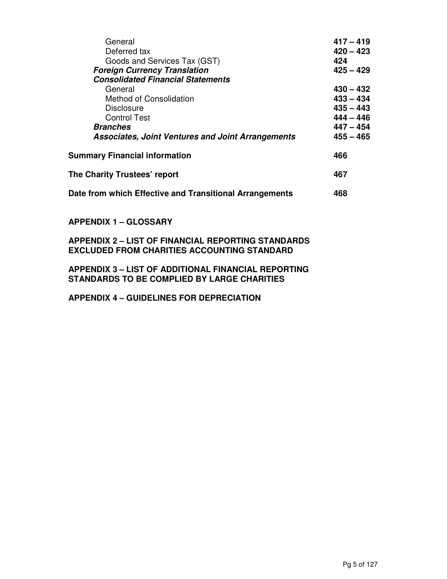| General<br>Deferred tax<br>Goods and Services Tax (GST)<br><b>Foreign Currency Translation</b><br><b>Consolidated Financial Statements</b>                    | $417 - 419$<br>$420 - 423$<br>424<br>$425 - 429$                                       |
|---------------------------------------------------------------------------------------------------------------------------------------------------------------|----------------------------------------------------------------------------------------|
| General<br><b>Method of Consolidation</b><br>Disclosure<br><b>Control Test</b><br><b>Branches</b><br><b>Associates, Joint Ventures and Joint Arrangements</b> | $430 - 432$<br>$433 - 434$<br>$435 - 443$<br>$444 - 446$<br>$447 - 454$<br>$455 - 465$ |
| <b>Summary Financial information</b>                                                                                                                          | 466                                                                                    |
| The Charity Trustees' report                                                                                                                                  | 467                                                                                    |
| Date from which Effective and Transitional Arrangements                                                                                                       | 468                                                                                    |
|                                                                                                                                                               |                                                                                        |

#### **APPENDIX 1 – GLOSSARY**

**APPENDIX 2 – LIST OF FINANCIAL REPORTING STANDARDS EXCLUDED FROM CHARITIES ACCOUNTING STANDARD** 

**APPENDIX 3 – LIST OF ADDITIONAL FINANCIAL REPORTING STANDARDS TO BE COMPLIED BY LARGE CHARITIES** 

**APPENDIX 4 – GUIDELINES FOR DEPRECIATION**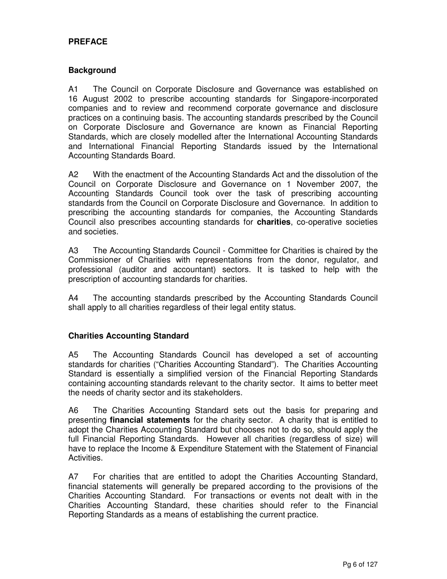#### **PREFACE**

#### **Background**

A1 The Council on Corporate Disclosure and Governance was established on 16 August 2002 to prescribe accounting standards for Singapore-incorporated companies and to review and recommend corporate governance and disclosure practices on a continuing basis. The accounting standards prescribed by the Council on Corporate Disclosure and Governance are known as Financial Reporting Standards, which are closely modelled after the International Accounting Standards and International Financial Reporting Standards issued by the International Accounting Standards Board.

A2 With the enactment of the Accounting Standards Act and the dissolution of the Council on Corporate Disclosure and Governance on 1 November 2007, the Accounting Standards Council took over the task of prescribing accounting standards from the Council on Corporate Disclosure and Governance. In addition to prescribing the accounting standards for companies, the Accounting Standards Council also prescribes accounting standards for **charities**, co-operative societies and societies.

A3 The Accounting Standards Council - Committee for Charities is chaired by the Commissioner of Charities with representations from the donor, regulator, and professional (auditor and accountant) sectors. It is tasked to help with the prescription of accounting standards for charities.

A4 The accounting standards prescribed by the Accounting Standards Council shall apply to all charities regardless of their legal entity status.

#### **Charities Accounting Standard**

A5 The Accounting Standards Council has developed a set of accounting standards for charities ("Charities Accounting Standard"). The Charities Accounting Standard is essentially a simplified version of the Financial Reporting Standards containing accounting standards relevant to the charity sector. It aims to better meet the needs of charity sector and its stakeholders.

A6 The Charities Accounting Standard sets out the basis for preparing and presenting **financial statements** for the charity sector. A charity that is entitled to adopt the Charities Accounting Standard but chooses not to do so, should apply the full Financial Reporting Standards. However all charities (regardless of size) will have to replace the Income & Expenditure Statement with the Statement of Financial Activities.

A7 For charities that are entitled to adopt the Charities Accounting Standard, financial statements will generally be prepared according to the provisions of the Charities Accounting Standard. For transactions or events not dealt with in the Charities Accounting Standard, these charities should refer to the Financial Reporting Standards as a means of establishing the current practice.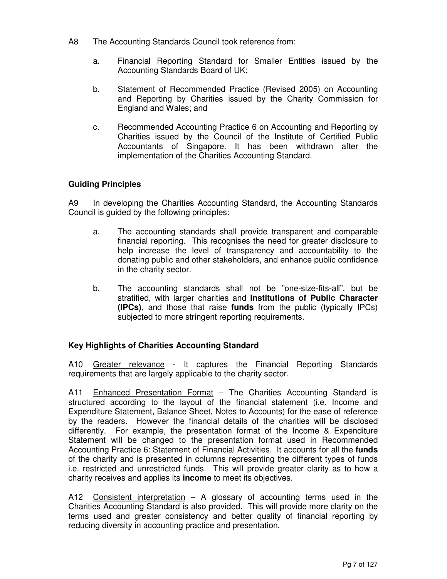- A8 The Accounting Standards Council took reference from:
	- a. Financial Reporting Standard for Smaller Entities issued by the Accounting Standards Board of UK;
	- b. Statement of Recommended Practice (Revised 2005) on Accounting and Reporting by Charities issued by the Charity Commission for England and Wales; and
	- c. Recommended Accounting Practice 6 on Accounting and Reporting by Charities issued by the Council of the Institute of Certified Public Accountants of Singapore. It has been withdrawn after the implementation of the Charities Accounting Standard.

#### **Guiding Principles**

A9 In developing the Charities Accounting Standard, the Accounting Standards Council is guided by the following principles:

- a. The accounting standards shall provide transparent and comparable financial reporting. This recognises the need for greater disclosure to help increase the level of transparency and accountability to the donating public and other stakeholders, and enhance public confidence in the charity sector.
- b. The accounting standards shall not be "one-size-fits-all", but be stratified, with larger charities and **Institutions of Public Character (IPCs)**, and those that raise **funds** from the public (typically IPCs) subjected to more stringent reporting requirements.

#### **Key Highlights of Charities Accounting Standard**

A10 Greater relevance - It captures the Financial Reporting Standards requirements that are largely applicable to the charity sector.

A11 Enhanced Presentation Format – The Charities Accounting Standard is structured according to the layout of the financial statement (i.e. Income and Expenditure Statement, Balance Sheet, Notes to Accounts) for the ease of reference by the readers. However the financial details of the charities will be disclosed differently. For example, the presentation format of the Income & Expenditure Statement will be changed to the presentation format used in Recommended Accounting Practice 6: Statement of Financial Activities. It accounts for all the **funds** of the charity and is presented in columns representing the different types of funds i.e. restricted and unrestricted funds. This will provide greater clarity as to how a charity receives and applies its **income** to meet its objectives.

A12 Consistent interpretation – A glossary of accounting terms used in the Charities Accounting Standard is also provided. This will provide more clarity on the terms used and greater consistency and better quality of financial reporting by reducing diversity in accounting practice and presentation.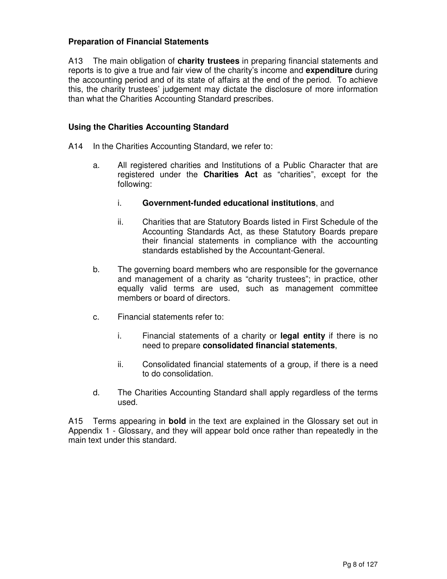#### **Preparation of Financial Statements**

A13 The main obligation of **charity trustees** in preparing financial statements and reports is to give a true and fair view of the charity's income and **expenditure** during the accounting period and of its state of affairs at the end of the period. To achieve this, the charity trustees' judgement may dictate the disclosure of more information than what the Charities Accounting Standard prescribes.

#### **Using the Charities Accounting Standard**

- A14 In the Charities Accounting Standard, we refer to:
	- a. All registered charities and Institutions of a Public Character that are registered under the **Charities Act** as "charities", except for the following:
		- i. **Government-funded educational institutions**, and
		- ii. Charities that are Statutory Boards listed in First Schedule of the Accounting Standards Act, as these Statutory Boards prepare their financial statements in compliance with the accounting standards established by the Accountant-General.
	- b. The governing board members who are responsible for the governance and management of a charity as "charity trustees"; in practice, other equally valid terms are used, such as management committee members or board of directors.
	- c. Financial statements refer to:
		- i. Financial statements of a charity or **legal entity** if there is no need to prepare **consolidated financial statements**,
		- ii. Consolidated financial statements of a group, if there is a need to do consolidation.
	- d. The Charities Accounting Standard shall apply regardless of the terms used.

A15 Terms appearing in **bold** in the text are explained in the Glossary set out in Appendix 1 - Glossary, and they will appear bold once rather than repeatedly in the main text under this standard.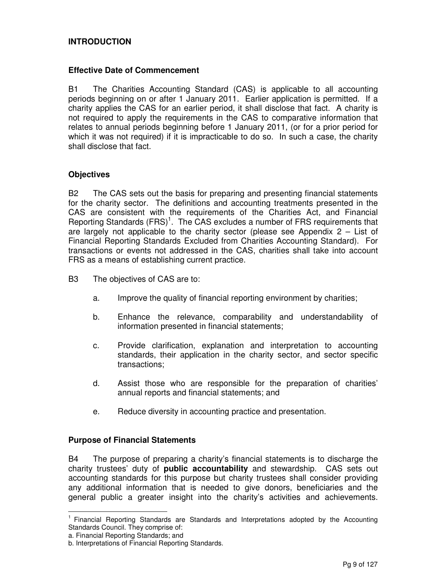#### **INTRODUCTION**

#### **Effective Date of Commencement**

B1 The Charities Accounting Standard (CAS) is applicable to all accounting periods beginning on or after 1 January 2011. Earlier application is permitted. If a charity applies the CAS for an earlier period, it shall disclose that fact. A charity is not required to apply the requirements in the CAS to comparative information that relates to annual periods beginning before 1 January 2011, (or for a prior period for which it was not required) if it is impracticable to do so. In such a case, the charity shall disclose that fact.

#### **Objectives**

B2 The CAS sets out the basis for preparing and presenting financial statements for the charity sector. The definitions and accounting treatments presented in the CAS are consistent with the requirements of the Charities Act, and Financial Reporting Standards  $(FRS)^1$ . The CAS excludes a number of FRS requirements that are largely not applicable to the charity sector (please see Appendix 2 – List of Financial Reporting Standards Excluded from Charities Accounting Standard). For transactions or events not addressed in the CAS, charities shall take into account FRS as a means of establishing current practice.

- B3 The objectives of CAS are to:
	- a. Improve the quality of financial reporting environment by charities;
	- b. Enhance the relevance, comparability and understandability of information presented in financial statements;
	- c. Provide clarification, explanation and interpretation to accounting standards, their application in the charity sector, and sector specific transactions;
	- d. Assist those who are responsible for the preparation of charities' annual reports and financial statements; and
	- e. Reduce diversity in accounting practice and presentation.

#### **Purpose of Financial Statements**

B4 The purpose of preparing a charity's financial statements is to discharge the charity trustees' duty of **public accountability** and stewardship. CAS sets out accounting standards for this purpose but charity trustees shall consider providing any additional information that is needed to give donors, beneficiaries and the general public a greater insight into the charity's activities and achievements.

 $\overline{a}$ 

<sup>1</sup> Financial Reporting Standards are Standards and Interpretations adopted by the Accounting Standards Council. They comprise of:

a. Financial Reporting Standards; and

b. Interpretations of Financial Reporting Standards.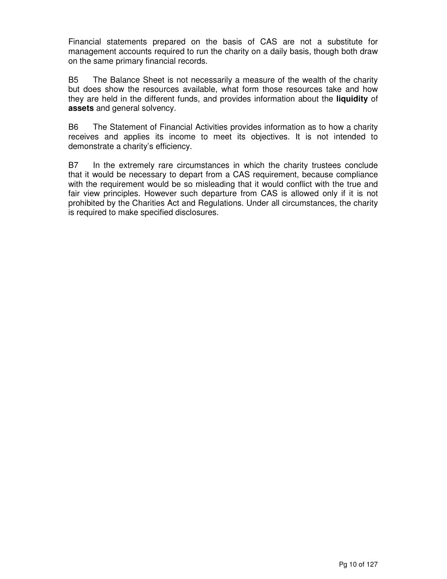Financial statements prepared on the basis of CAS are not a substitute for management accounts required to run the charity on a daily basis, though both draw on the same primary financial records.

B5 The Balance Sheet is not necessarily a measure of the wealth of the charity but does show the resources available, what form those resources take and how they are held in the different funds, and provides information about the **liquidity** of **assets** and general solvency.

B6 The Statement of Financial Activities provides information as to how a charity receives and applies its income to meet its objectives. It is not intended to demonstrate a charity's efficiency.

B7 In the extremely rare circumstances in which the charity trustees conclude that it would be necessary to depart from a CAS requirement, because compliance with the requirement would be so misleading that it would conflict with the true and fair view principles. However such departure from CAS is allowed only if it is not prohibited by the Charities Act and Regulations. Under all circumstances, the charity is required to make specified disclosures.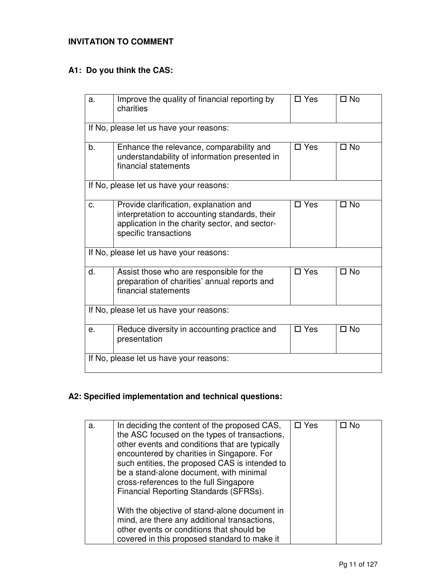### **INVITATION TO COMMENT**

## **A1: Do you think the CAS:**

| a.         | Improve the quality of financial reporting by<br>charities                                                                                                         | $\square$ Yes | $\square$ No |  |
|------------|--------------------------------------------------------------------------------------------------------------------------------------------------------------------|---------------|--------------|--|
|            | If No, please let us have your reasons:                                                                                                                            |               |              |  |
| b.         | Enhance the relevance, comparability and<br>understandability of information presented in<br>financial statements                                                  | $\square$ Yes | $\Box$ No    |  |
|            | If No, please let us have your reasons:                                                                                                                            |               |              |  |
| C.         | Provide clarification, explanation and<br>interpretation to accounting standards, their<br>application in the charity sector, and sector-<br>specific transactions | $\square$ Yes | $\Box$ No    |  |
|            | If No, please let us have your reasons:                                                                                                                            |               |              |  |
| d.         | Assist those who are responsible for the<br>preparation of charities' annual reports and<br>financial statements                                                   | $\square$ Yes | $\Box$ No    |  |
|            | If No, please let us have your reasons:                                                                                                                            |               |              |  |
| $\theta$ . | Reduce diversity in accounting practice and<br>presentation                                                                                                        | $\Box$ Yes    | $\square$ No |  |
|            | If No, please let us have your reasons:                                                                                                                            |               |              |  |

## **A2: Specified implementation and technical questions:**

| a. | In deciding the content of the proposed CAS,<br>the ASC focused on the types of transactions,<br>other events and conditions that are typically<br>encountered by charities in Singapore. For<br>such entities, the proposed CAS is intended to<br>be a stand-alone document, with minimal<br>cross-references to the full Singapore<br>Financial Reporting Standards (SFRSs). | $\square$ Yes | □ No |
|----|--------------------------------------------------------------------------------------------------------------------------------------------------------------------------------------------------------------------------------------------------------------------------------------------------------------------------------------------------------------------------------|---------------|------|
|    | With the objective of stand-alone document in<br>mind, are there any additional transactions,<br>other events or conditions that should be<br>covered in this proposed standard to make it                                                                                                                                                                                     |               |      |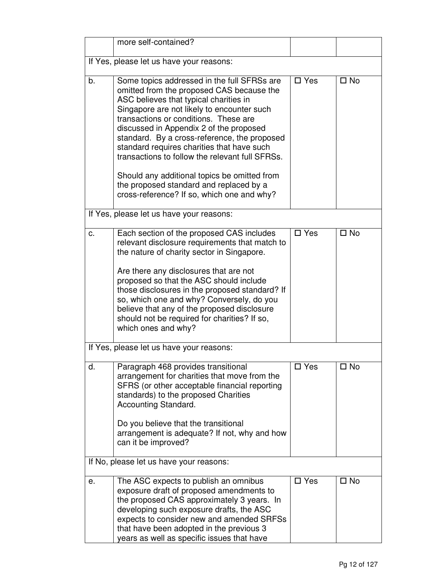|                | more self-contained?                                                                                                                                                                                                                                                                                                                                                                                                                                                                                                                                           |               |              |  |  |
|----------------|----------------------------------------------------------------------------------------------------------------------------------------------------------------------------------------------------------------------------------------------------------------------------------------------------------------------------------------------------------------------------------------------------------------------------------------------------------------------------------------------------------------------------------------------------------------|---------------|--------------|--|--|
|                | If Yes, please let us have your reasons:                                                                                                                                                                                                                                                                                                                                                                                                                                                                                                                       |               |              |  |  |
| b.             | Some topics addressed in the full SFRSs are<br>omitted from the proposed CAS because the<br>ASC believes that typical charities in<br>Singapore are not likely to encounter such<br>transactions or conditions. These are<br>discussed in Appendix 2 of the proposed<br>standard. By a cross-reference, the proposed<br>standard requires charities that have such<br>transactions to follow the relevant full SFRSs.<br>Should any additional topics be omitted from<br>the proposed standard and replaced by a<br>cross-reference? If so, which one and why? | $\square$ Yes | $\square$ No |  |  |
|                | If Yes, please let us have your reasons:                                                                                                                                                                                                                                                                                                                                                                                                                                                                                                                       |               |              |  |  |
| C <sub>1</sub> | Each section of the proposed CAS includes<br>relevant disclosure requirements that match to<br>the nature of charity sector in Singapore.<br>Are there any disclosures that are not<br>proposed so that the ASC should include<br>those disclosures in the proposed standard? If<br>so, which one and why? Conversely, do you<br>believe that any of the proposed disclosure<br>should not be required for charities? If so,<br>which ones and why?                                                                                                            | $\square$ Yes | $\Box$ No    |  |  |
|                | If Yes, please let us have your reasons:                                                                                                                                                                                                                                                                                                                                                                                                                                                                                                                       |               |              |  |  |
| d.             | Paragraph 468 provides transitional<br>arrangement for charities that move from the<br>SFRS (or other acceptable financial reporting<br>standards) to the proposed Charities<br>Accounting Standard.<br>Do you believe that the transitional<br>arrangement is adequate? If not, why and how<br>can it be improved?                                                                                                                                                                                                                                            | $\square$ Yes | □ No         |  |  |
|                | If No, please let us have your reasons:                                                                                                                                                                                                                                                                                                                                                                                                                                                                                                                        |               |              |  |  |
| е.             | The ASC expects to publish an omnibus<br>exposure draft of proposed amendments to<br>the proposed CAS approximately 3 years. In<br>developing such exposure drafts, the ASC<br>expects to consider new and amended SRFSs<br>that have been adopted in the previous 3<br>years as well as specific issues that have                                                                                                                                                                                                                                             | $\square$ Yes | $\square$ No |  |  |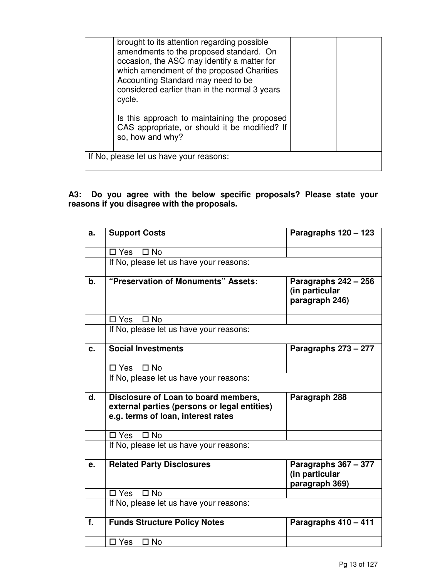| brought to its attention regarding possible<br>amendments to the proposed standard. On<br>occasion, the ASC may identify a matter for<br>which amendment of the proposed Charities<br>Accounting Standard may need to be<br>considered earlier than in the normal 3 years<br>cycle.<br>Is this approach to maintaining the proposed<br>CAS appropriate, or should it be modified? If<br>so, how and why? |  |
|----------------------------------------------------------------------------------------------------------------------------------------------------------------------------------------------------------------------------------------------------------------------------------------------------------------------------------------------------------------------------------------------------------|--|
| If No, please let us have your reasons:                                                                                                                                                                                                                                                                                                                                                                  |  |

#### **A3: Do you agree with the below specific proposals? Please state your reasons if you disagree with the proposals.**

| a. | <b>Support Costs</b>                                                                                                       | Paragraphs 120 - 123                                     |
|----|----------------------------------------------------------------------------------------------------------------------------|----------------------------------------------------------|
|    | $\overline{\Box}$ Yes<br>$\square$ No                                                                                      |                                                          |
|    | If No, please let us have your reasons:                                                                                    |                                                          |
| b. | "Preservation of Monuments" Assets:                                                                                        | Paragraphs 242 - 256<br>(in particular<br>paragraph 246) |
|    | $\square$ No<br>$\square$ Yes                                                                                              |                                                          |
|    | If No, please let us have your reasons:                                                                                    |                                                          |
| c. | <b>Social Investments</b>                                                                                                  | Paragraphs 273 - 277                                     |
|    | $\Box$ Yes $\Box$ No                                                                                                       |                                                          |
|    | If No, please let us have your reasons:                                                                                    |                                                          |
| d. | Disclosure of Loan to board members,<br>external parties (persons or legal entities)<br>e.g. terms of loan, interest rates | Paragraph 288                                            |
|    | $\Box$ Yes<br>$\square$ No                                                                                                 |                                                          |
|    | If No, please let us have your reasons:                                                                                    |                                                          |
| e. | <b>Related Party Disclosures</b>                                                                                           | Paragraphs 367 - 377<br>(in particular<br>paragraph 369) |
|    | $\square$ Yes<br>$\Box$ No                                                                                                 |                                                          |
|    | If No, please let us have your reasons:                                                                                    |                                                          |
| f. | <b>Funds Structure Policy Notes</b>                                                                                        | Paragraphs 410 - 411                                     |
|    | $\square$ Yes<br>$\square$ No                                                                                              |                                                          |
|    |                                                                                                                            |                                                          |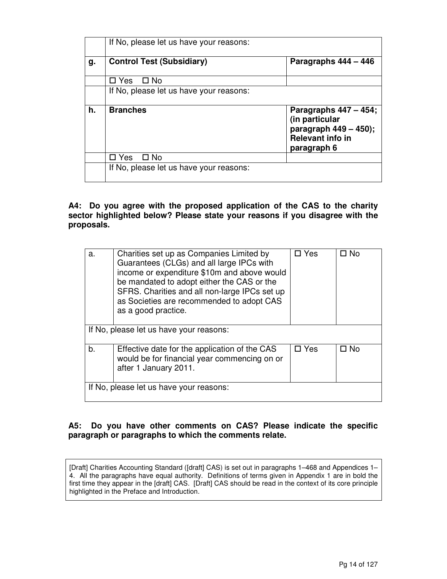|    | If No, please let us have your reasons: |                                                                                                               |
|----|-----------------------------------------|---------------------------------------------------------------------------------------------------------------|
| g. | <b>Control Test (Subsidiary)</b>        | Paragraphs 444 - 446                                                                                          |
|    | $\Box$ Yes $\Box$ No                    |                                                                                                               |
|    | If No, please let us have your reasons: |                                                                                                               |
| h. | <b>Branches</b>                         | Paragraphs $447 - 454$ ;<br>(in particular<br>paragraph 449 - 450);<br><b>Relevant info in</b><br>paragraph 6 |
|    | □ Yes □ No                              |                                                                                                               |
|    | If No, please let us have your reasons: |                                                                                                               |

#### **A4: Do you agree with the proposed application of the CAS to the charity sector highlighted below? Please state your reasons if you disagree with the proposals.**

| a.                                      | Charities set up as Companies Limited by<br>Guarantees (CLGs) and all large IPCs with<br>income or expenditure \$10m and above would<br>be mandated to adopt either the CAS or the<br>SFRS. Charities and all non-large IPCs set up<br>as Societies are recommended to adopt CAS<br>as a good practice. | $\square$ Yes | ר No |  |
|-----------------------------------------|---------------------------------------------------------------------------------------------------------------------------------------------------------------------------------------------------------------------------------------------------------------------------------------------------------|---------------|------|--|
|                                         | If No, please let us have your reasons:                                                                                                                                                                                                                                                                 |               |      |  |
| b.                                      | Effective date for the application of the CAS<br>would be for financial year commencing on or<br>after 1 January 2011.                                                                                                                                                                                  | $\Box$ Yes    | ∩ No |  |
| If No, please let us have your reasons: |                                                                                                                                                                                                                                                                                                         |               |      |  |

#### **A5: Do you have other comments on CAS? Please indicate the specific paragraph or paragraphs to which the comments relate.**

[Draft] Charities Accounting Standard ([draft] CAS) is set out in paragraphs 1–468 and Appendices 1– 4. All the paragraphs have equal authority. Definitions of terms given in Appendix 1 are in bold the first time they appear in the [draft] CAS. [Draft] CAS should be read in the context of its core principle highlighted in the Preface and Introduction.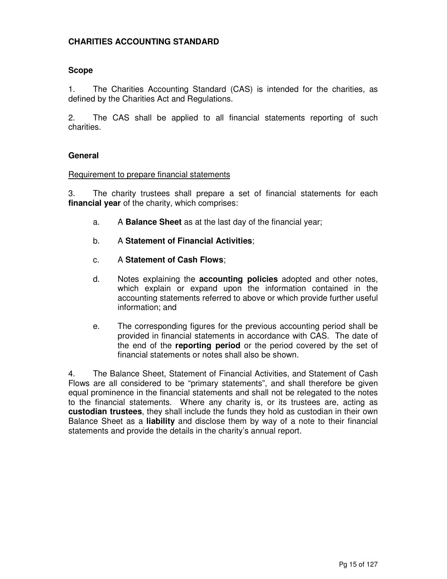#### **CHARITIES ACCOUNTING STANDARD**

#### **Scope**

1. The Charities Accounting Standard (CAS) is intended for the charities, as defined by the Charities Act and Regulations.

2. The CAS shall be applied to all financial statements reporting of such charities.

#### **General**

#### Requirement to prepare financial statements

3. The charity trustees shall prepare a set of financial statements for each **financial year** of the charity, which comprises:

- a. A **Balance Sheet** as at the last day of the financial year;
- b. A **Statement of Financial Activities**;
- c. A **Statement of Cash Flows**;
- d. Notes explaining the **accounting policies** adopted and other notes, which explain or expand upon the information contained in the accounting statements referred to above or which provide further useful information; and
- e. The corresponding figures for the previous accounting period shall be provided in financial statements in accordance with CAS. The date of the end of the **reporting period** or the period covered by the set of financial statements or notes shall also be shown.

4. The Balance Sheet, Statement of Financial Activities, and Statement of Cash Flows are all considered to be "primary statements", and shall therefore be given equal prominence in the financial statements and shall not be relegated to the notes to the financial statements. Where any charity is, or its trustees are, acting as **custodian trustees**, they shall include the funds they hold as custodian in their own Balance Sheet as a **liability** and disclose them by way of a note to their financial statements and provide the details in the charity's annual report.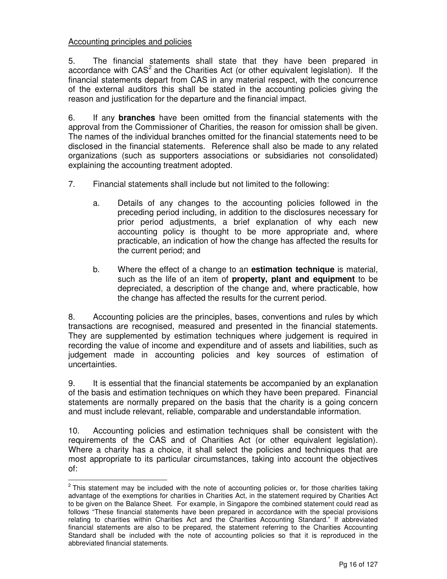#### Accounting principles and policies

 $\overline{a}$ 

5. The financial statements shall state that they have been prepared in accordance with  $CAS<sup>2</sup>$  and the Charities Act (or other equivalent legislation). If the financial statements depart from CAS in any material respect, with the concurrence of the external auditors this shall be stated in the accounting policies giving the reason and justification for the departure and the financial impact.

6. If any **branches** have been omitted from the financial statements with the approval from the Commissioner of Charities, the reason for omission shall be given. The names of the individual branches omitted for the financial statements need to be disclosed in the financial statements. Reference shall also be made to any related organizations (such as supporters associations or subsidiaries not consolidated) explaining the accounting treatment adopted.

- 7. Financial statements shall include but not limited to the following:
	- a. Details of any changes to the accounting policies followed in the preceding period including, in addition to the disclosures necessary for prior period adjustments, a brief explanation of why each new accounting policy is thought to be more appropriate and, where practicable, an indication of how the change has affected the results for the current period; and
	- b. Where the effect of a change to an **estimation technique** is material, such as the life of an item of **property, plant and equipment** to be depreciated, a description of the change and, where practicable, how the change has affected the results for the current period.

8. Accounting policies are the principles, bases, conventions and rules by which transactions are recognised, measured and presented in the financial statements. They are supplemented by estimation techniques where judgement is required in recording the value of income and expenditure and of assets and liabilities, such as judgement made in accounting policies and key sources of estimation of uncertainties.

9. It is essential that the financial statements be accompanied by an explanation of the basis and estimation techniques on which they have been prepared. Financial statements are normally prepared on the basis that the charity is a going concern and must include relevant, reliable, comparable and understandable information.

10. Accounting policies and estimation techniques shall be consistent with the requirements of the CAS and of Charities Act (or other equivalent legislation). Where a charity has a choice, it shall select the policies and techniques that are most appropriate to its particular circumstances, taking into account the objectives of:

 $2$  This statement may be included with the note of accounting policies or, for those charities taking advantage of the exemptions for charities in Charities Act, in the statement required by Charities Act to be given on the Balance Sheet. For example, in Singapore the combined statement could read as follows "These financial statements have been prepared in accordance with the special provisions relating to charities within Charities Act and the Charities Accounting Standard." If abbreviated financial statements are also to be prepared, the statement referring to the Charities Accounting Standard shall be included with the note of accounting policies so that it is reproduced in the abbreviated financial statements.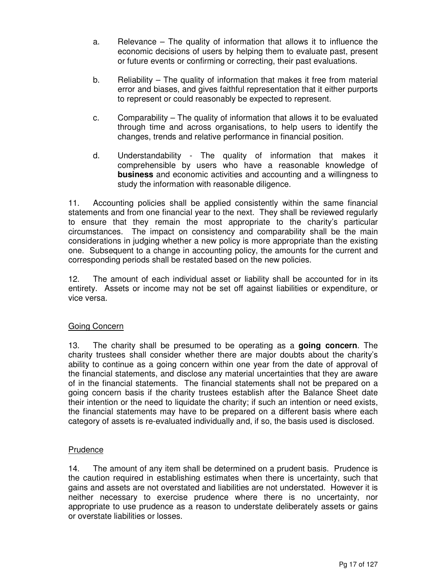- a. Relevance The quality of information that allows it to influence the economic decisions of users by helping them to evaluate past, present or future events or confirming or correcting, their past evaluations.
- b. Reliability The quality of information that makes it free from material error and biases, and gives faithful representation that it either purports to represent or could reasonably be expected to represent.
- c. Comparability The quality of information that allows it to be evaluated through time and across organisations, to help users to identify the changes, trends and relative performance in financial position.
- d. Understandability The quality of information that makes it comprehensible by users who have a reasonable knowledge of **business** and economic activities and accounting and a willingness to study the information with reasonable diligence.

11. Accounting policies shall be applied consistently within the same financial statements and from one financial year to the next. They shall be reviewed regularly to ensure that they remain the most appropriate to the charity's particular circumstances. The impact on consistency and comparability shall be the main considerations in judging whether a new policy is more appropriate than the existing one. Subsequent to a change in accounting policy, the amounts for the current and corresponding periods shall be restated based on the new policies.

12. The amount of each individual asset or liability shall be accounted for in its entirety. Assets or income may not be set off against liabilities or expenditure, or vice versa.

#### Going Concern

13. The charity shall be presumed to be operating as a **going concern**. The charity trustees shall consider whether there are major doubts about the charity's ability to continue as a going concern within one year from the date of approval of the financial statements, and disclose any material uncertainties that they are aware of in the financial statements. The financial statements shall not be prepared on a going concern basis if the charity trustees establish after the Balance Sheet date their intention or the need to liquidate the charity; if such an intention or need exists, the financial statements may have to be prepared on a different basis where each category of assets is re-evaluated individually and, if so, the basis used is disclosed.

#### **Prudence**

14. The amount of any item shall be determined on a prudent basis. Prudence is the caution required in establishing estimates when there is uncertainty, such that gains and assets are not overstated and liabilities are not understated. However it is neither necessary to exercise prudence where there is no uncertainty, nor appropriate to use prudence as a reason to understate deliberately assets or gains or overstate liabilities or losses.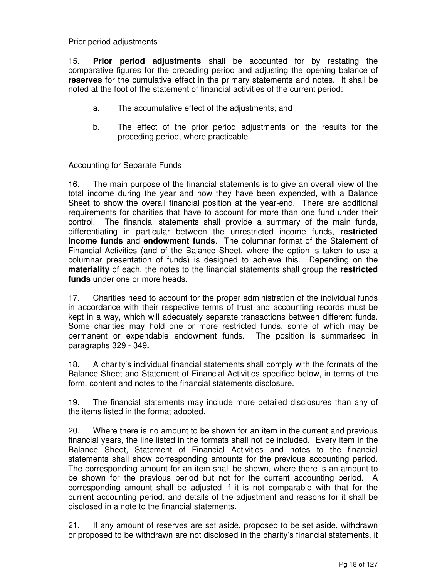#### Prior period adjustments

15. **Prior period adjustments** shall be accounted for by restating the comparative figures for the preceding period and adjusting the opening balance of **reserves** for the cumulative effect in the primary statements and notes. It shall be noted at the foot of the statement of financial activities of the current period:

- a. The accumulative effect of the adjustments; and
- b. The effect of the prior period adjustments on the results for the preceding period, where practicable.

#### Accounting for Separate Funds

16. The main purpose of the financial statements is to give an overall view of the total income during the year and how they have been expended, with a Balance Sheet to show the overall financial position at the year-end. There are additional requirements for charities that have to account for more than one fund under their control. The financial statements shall provide a summary of the main funds, differentiating in particular between the unrestricted income funds, **restricted income funds** and **endowment funds**. The columnar format of the Statement of Financial Activities (and of the Balance Sheet, where the option is taken to use a columnar presentation of funds) is designed to achieve this. Depending on the **materiality** of each, the notes to the financial statements shall group the **restricted funds** under one or more heads.

17. Charities need to account for the proper administration of the individual funds in accordance with their respective terms of trust and accounting records must be kept in a way, which will adequately separate transactions between different funds. Some charities may hold one or more restricted funds, some of which may be permanent or expendable endowment funds. The position is summarised in paragraphs 329 - 349**.** 

18. A charity's individual financial statements shall comply with the formats of the Balance Sheet and Statement of Financial Activities specified below, in terms of the form, content and notes to the financial statements disclosure.

19. The financial statements may include more detailed disclosures than any of the items listed in the format adopted.

20. Where there is no amount to be shown for an item in the current and previous financial years, the line listed in the formats shall not be included. Every item in the Balance Sheet, Statement of Financial Activities and notes to the financial statements shall show corresponding amounts for the previous accounting period. The corresponding amount for an item shall be shown, where there is an amount to be shown for the previous period but not for the current accounting period. A corresponding amount shall be adjusted if it is not comparable with that for the current accounting period, and details of the adjustment and reasons for it shall be disclosed in a note to the financial statements.

21. If any amount of reserves are set aside, proposed to be set aside, withdrawn or proposed to be withdrawn are not disclosed in the charity's financial statements, it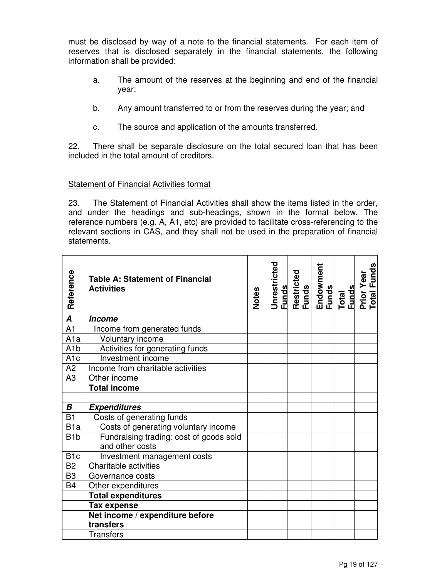must be disclosed by way of a note to the financial statements. For each item of reserves that is disclosed separately in the financial statements, the following information shall be provided:

- a. The amount of the reserves at the beginning and end of the financial year;
- b. Any amount transferred to or from the reserves during the year; and
- c. The source and application of the amounts transferred.

22. There shall be separate disclosure on the total secured loan that has been included in the total amount of creditors.

#### Statement of Financial Activities format

23. The Statement of Financial Activities shall show the items listed in the order, and under the headings and sub-headings, shown in the format below. The reference numbers (e.g. A, A1, etc) are provided to facilitate cross-referencing to the relevant sections in CAS, and they shall not be used in the preparation of financial statements.

| Reference        | <b>Table A: Statement of Financial</b><br><b>Activities</b> | <b>Notes</b> | Unrestricted<br>Eunds<br>Restricted<br>Eunds<br>Eunds<br>Total<br>Total<br>Funds |  | Prior Year<br>Total Funds |
|------------------|-------------------------------------------------------------|--------------|----------------------------------------------------------------------------------|--|---------------------------|
| $\boldsymbol{A}$ | <i><b>Income</b></i>                                        |              |                                                                                  |  |                           |
| A1               | Income from generated funds                                 |              |                                                                                  |  |                           |
| A <sub>1a</sub>  | Voluntary income                                            |              |                                                                                  |  |                           |
| A <sub>1</sub> b | Activities for generating funds                             |              |                                                                                  |  |                           |
| A <sub>1c</sub>  | Investment income                                           |              |                                                                                  |  |                           |
| $\overline{A2}$  | Income from charitable activities                           |              |                                                                                  |  |                           |
| A <sub>3</sub>   | Other income                                                |              |                                                                                  |  |                           |
|                  | <b>Total income</b>                                         |              |                                                                                  |  |                           |
|                  |                                                             |              |                                                                                  |  |                           |
| B                | <b>Expenditures</b>                                         |              |                                                                                  |  |                           |
| <b>B1</b>        | Costs of generating funds                                   |              |                                                                                  |  |                           |
| B1a              | Costs of generating voluntary income                        |              |                                                                                  |  |                           |
| B <sub>1</sub> b | Fundraising trading: cost of goods sold                     |              |                                                                                  |  |                           |
|                  | and other costs                                             |              |                                                                                  |  |                           |
| B <sub>1c</sub>  | Investment management costs                                 |              |                                                                                  |  |                           |
| <b>B2</b>        | <b>Charitable activities</b>                                |              |                                                                                  |  |                           |
| B <sub>3</sub>   | Governance costs                                            |              |                                                                                  |  |                           |
| <b>B4</b>        | Other expenditures                                          |              |                                                                                  |  |                           |
|                  | <b>Total expenditures</b>                                   |              |                                                                                  |  |                           |
|                  | <b>Tax expense</b>                                          |              |                                                                                  |  |                           |
|                  | Net income / expenditure before                             |              |                                                                                  |  |                           |
|                  | transfers                                                   |              |                                                                                  |  |                           |
|                  | <b>Transfers</b>                                            |              |                                                                                  |  |                           |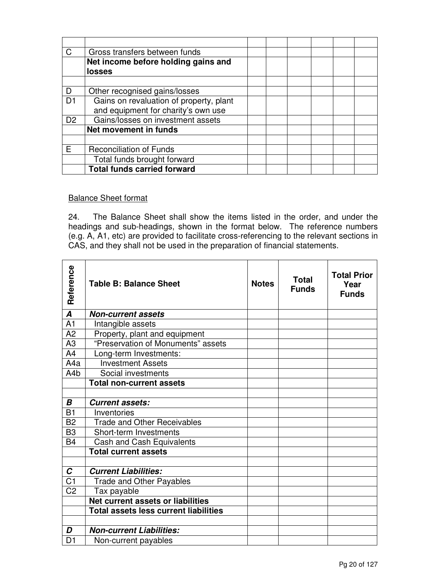| C              | Gross transfers between funds           |  |  |  |
|----------------|-----------------------------------------|--|--|--|
|                | Net income before holding gains and     |  |  |  |
|                | <b>losses</b>                           |  |  |  |
|                |                                         |  |  |  |
|                | Other recognised gains/losses           |  |  |  |
| D <sub>1</sub> | Gains on revaluation of property, plant |  |  |  |
|                | and equipment for charity's own use     |  |  |  |
| D <sub>2</sub> | Gains/losses on investment assets       |  |  |  |
|                | Net movement in funds                   |  |  |  |
|                |                                         |  |  |  |
| F              | <b>Reconciliation of Funds</b>          |  |  |  |
|                | Total funds brought forward             |  |  |  |
|                | <b>Total funds carried forward</b>      |  |  |  |

#### Balance Sheet format

24. The Balance Sheet shall show the items listed in the order, and under the headings and sub-headings, shown in the format below. The reference numbers (e.g. A, A1, etc) are provided to facilitate cross-referencing to the relevant sections in CAS, and they shall not be used in the preparation of financial statements.

| Reference        | <b>Table B: Balance Sheet</b>                | <b>Notes</b> | <b>Total</b><br><b>Funds</b> | <b>Total Prior</b><br>Year<br><b>Funds</b> |
|------------------|----------------------------------------------|--------------|------------------------------|--------------------------------------------|
| $\boldsymbol{A}$ | <b>Non-current assets</b>                    |              |                              |                                            |
| A <sub>1</sub>   | Intangible assets                            |              |                              |                                            |
| A2               | Property, plant and equipment                |              |                              |                                            |
| A <sub>3</sub>   | "Preservation of Monuments" assets           |              |                              |                                            |
| A <sub>4</sub>   | Long-term Investments:                       |              |                              |                                            |
| A4a              | <b>Investment Assets</b>                     |              |                              |                                            |
| A <sub>4</sub> b | Social investments                           |              |                              |                                            |
|                  | <b>Total non-current assets</b>              |              |                              |                                            |
|                  |                                              |              |                              |                                            |
| B                | <b>Current assets:</b>                       |              |                              |                                            |
| <b>B1</b>        | Inventories                                  |              |                              |                                            |
| <b>B2</b>        | <b>Trade and Other Receivables</b>           |              |                              |                                            |
| B <sub>3</sub>   | Short-term Investments                       |              |                              |                                            |
| <b>B4</b>        | Cash and Cash Equivalents                    |              |                              |                                            |
|                  | <b>Total current assets</b>                  |              |                              |                                            |
|                  |                                              |              |                              |                                            |
| $\boldsymbol{c}$ | <b>Current Liabilities:</b>                  |              |                              |                                            |
| $\overline{C}$ 1 | <b>Trade and Other Payables</b>              |              |                              |                                            |
| C <sub>2</sub>   | Tax payable                                  |              |                              |                                            |
|                  | Net current assets or liabilities            |              |                              |                                            |
|                  | <b>Total assets less current liabilities</b> |              |                              |                                            |
|                  |                                              |              |                              |                                            |
| D                | <b>Non-current Liabilities:</b>              |              |                              |                                            |
| D <sub>1</sub>   | Non-current payables                         |              |                              |                                            |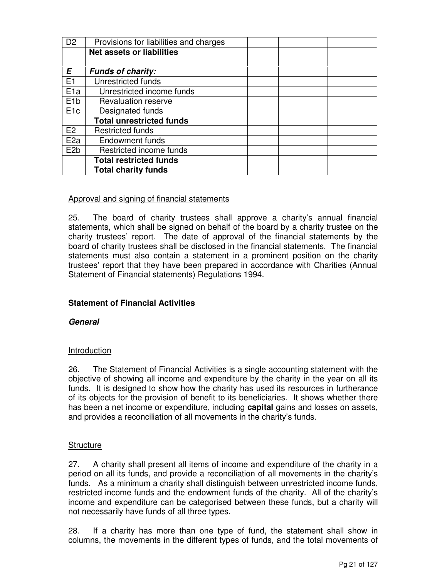| D <sub>2</sub>   | Provisions for liabilities and charges |  |  |
|------------------|----------------------------------------|--|--|
|                  | <b>Net assets or liabilities</b>       |  |  |
|                  |                                        |  |  |
| E                | <b>Funds of charity:</b>               |  |  |
| E <sub>1</sub>   | Unrestricted funds                     |  |  |
| E <sub>1</sub> a | Unrestricted income funds              |  |  |
| E <sub>1b</sub>  | <b>Revaluation reserve</b>             |  |  |
| E <sub>1c</sub>  | Designated funds                       |  |  |
|                  | <b>Total unrestricted funds</b>        |  |  |
| E2               | <b>Restricted funds</b>                |  |  |
| E <sub>2a</sub>  | <b>Endowment funds</b>                 |  |  |
| E <sub>2</sub> b | Restricted income funds                |  |  |
|                  | <b>Total restricted funds</b>          |  |  |
|                  | <b>Total charity funds</b>             |  |  |

#### Approval and signing of financial statements

25. The board of charity trustees shall approve a charity's annual financial statements, which shall be signed on behalf of the board by a charity trustee on the charity trustees' report. The date of approval of the financial statements by the board of charity trustees shall be disclosed in the financial statements. The financial statements must also contain a statement in a prominent position on the charity trustees' report that they have been prepared in accordance with Charities (Annual Statement of Financial statements) Regulations 1994.

#### **Statement of Financial Activities**

#### **General**

#### Introduction

26. The Statement of Financial Activities is a single accounting statement with the objective of showing all income and expenditure by the charity in the year on all its funds. It is designed to show how the charity has used its resources in furtherance of its objects for the provision of benefit to its beneficiaries. It shows whether there has been a net income or expenditure, including **capital** gains and losses on assets, and provides a reconciliation of all movements in the charity's funds.

#### **Structure**

27. A charity shall present all items of income and expenditure of the charity in a period on all its funds, and provide a reconciliation of all movements in the charity's funds. As a minimum a charity shall distinguish between unrestricted income funds, restricted income funds and the endowment funds of the charity. All of the charity's income and expenditure can be categorised between these funds, but a charity will not necessarily have funds of all three types.

28. If a charity has more than one type of fund, the statement shall show in columns, the movements in the different types of funds, and the total movements of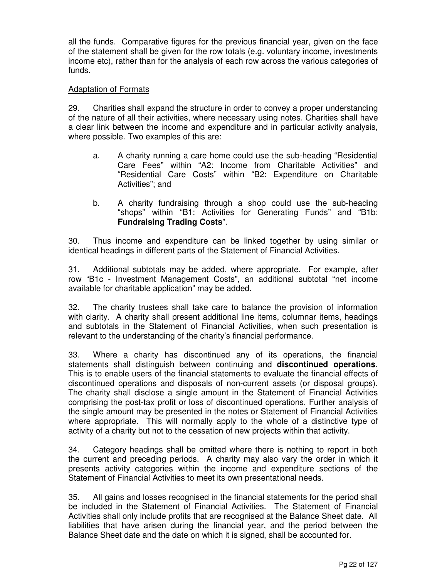all the funds. Comparative figures for the previous financial year, given on the face of the statement shall be given for the row totals (e.g. voluntary income, investments income etc), rather than for the analysis of each row across the various categories of funds.

#### Adaptation of Formats

29. Charities shall expand the structure in order to convey a proper understanding of the nature of all their activities, where necessary using notes. Charities shall have a clear link between the income and expenditure and in particular activity analysis, where possible. Two examples of this are:

- a. A charity running a care home could use the sub-heading "Residential Care Fees" within "A2: Income from Charitable Activities" and "Residential Care Costs" within "B2: Expenditure on Charitable Activities"; and
- b. A charity fundraising through a shop could use the sub-heading "shops" within "B1: Activities for Generating Funds" and "B1b: **Fundraising Trading Costs**".

30. Thus income and expenditure can be linked together by using similar or identical headings in different parts of the Statement of Financial Activities.

31. Additional subtotals may be added, where appropriate. For example, after row "B1c - Investment Management Costs", an additional subtotal "net income available for charitable application" may be added.

32. The charity trustees shall take care to balance the provision of information with clarity. A charity shall present additional line items, columnar items, headings and subtotals in the Statement of Financial Activities, when such presentation is relevant to the understanding of the charity's financial performance.

33. Where a charity has discontinued any of its operations, the financial statements shall distinguish between continuing and **discontinued operations**. This is to enable users of the financial statements to evaluate the financial effects of discontinued operations and disposals of non-current assets (or disposal groups). The charity shall disclose a single amount in the Statement of Financial Activities comprising the post-tax profit or loss of discontinued operations. Further analysis of the single amount may be presented in the notes or Statement of Financial Activities where appropriate. This will normally apply to the whole of a distinctive type of activity of a charity but not to the cessation of new projects within that activity.

34. Category headings shall be omitted where there is nothing to report in both the current and preceding periods. A charity may also vary the order in which it presents activity categories within the income and expenditure sections of the Statement of Financial Activities to meet its own presentational needs.

35. All gains and losses recognised in the financial statements for the period shall be included in the Statement of Financial Activities. The Statement of Financial Activities shall only include profits that are recognised at the Balance Sheet date. All liabilities that have arisen during the financial year, and the period between the Balance Sheet date and the date on which it is signed, shall be accounted for.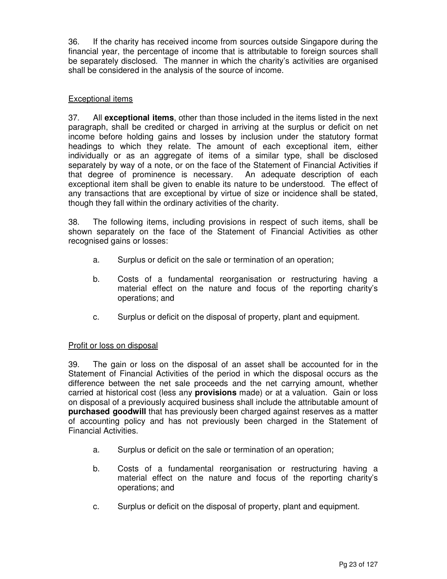36. If the charity has received income from sources outside Singapore during the financial year, the percentage of income that is attributable to foreign sources shall be separately disclosed. The manner in which the charity's activities are organised shall be considered in the analysis of the source of income.

#### Exceptional items

37. All **exceptional items**, other than those included in the items listed in the next paragraph, shall be credited or charged in arriving at the surplus or deficit on net income before holding gains and losses by inclusion under the statutory format headings to which they relate. The amount of each exceptional item, either individually or as an aggregate of items of a similar type, shall be disclosed separately by way of a note, or on the face of the Statement of Financial Activities if that degree of prominence is necessary. An adequate description of each exceptional item shall be given to enable its nature to be understood. The effect of any transactions that are exceptional by virtue of size or incidence shall be stated, though they fall within the ordinary activities of the charity.

38. The following items, including provisions in respect of such items, shall be shown separately on the face of the Statement of Financial Activities as other recognised gains or losses:

- a. Surplus or deficit on the sale or termination of an operation;
- b. Costs of a fundamental reorganisation or restructuring having a material effect on the nature and focus of the reporting charity's operations; and
- c. Surplus or deficit on the disposal of property, plant and equipment.

#### Profit or loss on disposal

39. The gain or loss on the disposal of an asset shall be accounted for in the Statement of Financial Activities of the period in which the disposal occurs as the difference between the net sale proceeds and the net carrying amount, whether carried at historical cost (less any **provisions** made) or at a valuation. Gain or loss on disposal of a previously acquired business shall include the attributable amount of **purchased goodwill** that has previously been charged against reserves as a matter of accounting policy and has not previously been charged in the Statement of Financial Activities.

- a. Surplus or deficit on the sale or termination of an operation;
- b. Costs of a fundamental reorganisation or restructuring having a material effect on the nature and focus of the reporting charity's operations; and
- c. Surplus or deficit on the disposal of property, plant and equipment.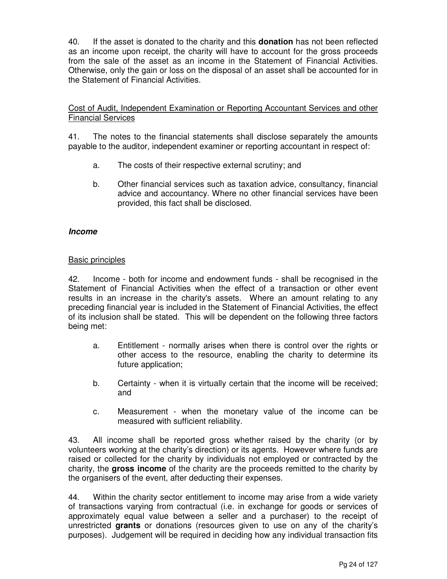40. If the asset is donated to the charity and this **donation** has not been reflected as an income upon receipt, the charity will have to account for the gross proceeds from the sale of the asset as an income in the Statement of Financial Activities. Otherwise, only the gain or loss on the disposal of an asset shall be accounted for in the Statement of Financial Activities.

Cost of Audit, Independent Examination or Reporting Accountant Services and other Financial Services

41. The notes to the financial statements shall disclose separately the amounts payable to the auditor, independent examiner or reporting accountant in respect of:

- a. The costs of their respective external scrutiny; and
- b. Other financial services such as taxation advice, consultancy, financial advice and accountancy. Where no other financial services have been provided, this fact shall be disclosed.

#### **Income**

#### Basic principles

42. Income - both for income and endowment funds - shall be recognised in the Statement of Financial Activities when the effect of a transaction or other event results in an increase in the charity's assets. Where an amount relating to any preceding financial year is included in the Statement of Financial Activities, the effect of its inclusion shall be stated. This will be dependent on the following three factors being met:

- a. Entitlement normally arises when there is control over the rights or other access to the resource, enabling the charity to determine its future application;
- b. Certainty when it is virtually certain that the income will be received; and
- c. Measurement when the monetary value of the income can be measured with sufficient reliability.

43. All income shall be reported gross whether raised by the charity (or by volunteers working at the charity's direction) or its agents. However where funds are raised or collected for the charity by individuals not employed or contracted by the charity, the **gross income** of the charity are the proceeds remitted to the charity by the organisers of the event, after deducting their expenses.

44. Within the charity sector entitlement to income may arise from a wide variety of transactions varying from contractual (i.e. in exchange for goods or services of approximately equal value between a seller and a purchaser) to the receipt of unrestricted **grants** or donations (resources given to use on any of the charity's purposes). Judgement will be required in deciding how any individual transaction fits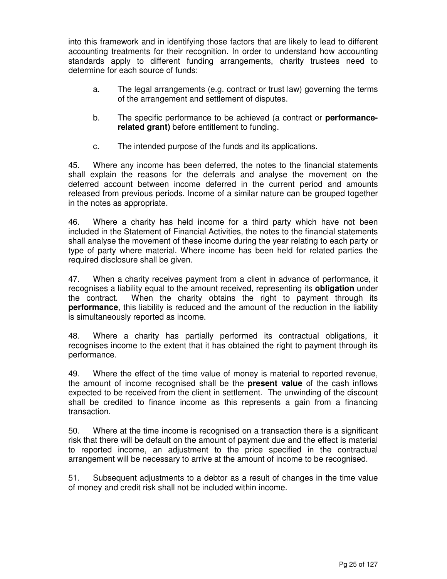into this framework and in identifying those factors that are likely to lead to different accounting treatments for their recognition. In order to understand how accounting standards apply to different funding arrangements, charity trustees need to determine for each source of funds:

- a. The legal arrangements (e.g. contract or trust law) governing the terms of the arrangement and settlement of disputes.
- b. The specific performance to be achieved (a contract or **performancerelated grant)** before entitlement to funding.
- c. The intended purpose of the funds and its applications.

45. Where any income has been deferred, the notes to the financial statements shall explain the reasons for the deferrals and analyse the movement on the deferred account between income deferred in the current period and amounts released from previous periods. Income of a similar nature can be grouped together in the notes as appropriate.

46. Where a charity has held income for a third party which have not been included in the Statement of Financial Activities, the notes to the financial statements shall analyse the movement of these income during the year relating to each party or type of party where material. Where income has been held for related parties the required disclosure shall be given.

47. When a charity receives payment from a client in advance of performance, it recognises a liability equal to the amount received, representing its **obligation** under the contract. When the charity obtains the right to payment through its **performance**, this liability is reduced and the amount of the reduction in the liability is simultaneously reported as income.

48. Where a charity has partially performed its contractual obligations, it recognises income to the extent that it has obtained the right to payment through its performance.

49. Where the effect of the time value of money is material to reported revenue, the amount of income recognised shall be the **present value** of the cash inflows expected to be received from the client in settlement. The unwinding of the discount shall be credited to finance income as this represents a gain from a financing transaction.

50. Where at the time income is recognised on a transaction there is a significant risk that there will be default on the amount of payment due and the effect is material to reported income, an adjustment to the price specified in the contractual arrangement will be necessary to arrive at the amount of income to be recognised.

51. Subsequent adjustments to a debtor as a result of changes in the time value of money and credit risk shall not be included within income.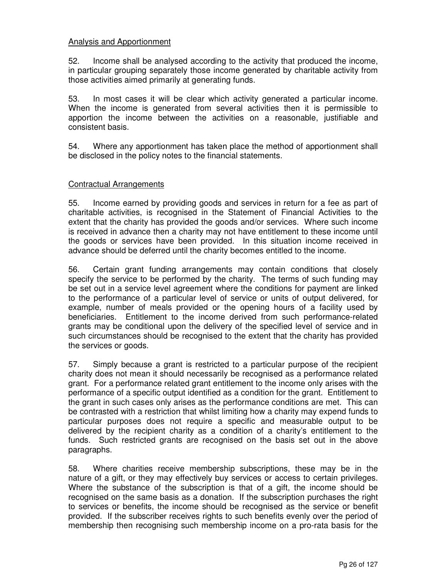#### Analysis and Apportionment

52. Income shall be analysed according to the activity that produced the income, in particular grouping separately those income generated by charitable activity from those activities aimed primarily at generating funds.

53. In most cases it will be clear which activity generated a particular income. When the income is generated from several activities then it is permissible to apportion the income between the activities on a reasonable, justifiable and consistent basis.

54. Where any apportionment has taken place the method of apportionment shall be disclosed in the policy notes to the financial statements.

#### Contractual Arrangements

55. Income earned by providing goods and services in return for a fee as part of charitable activities, is recognised in the Statement of Financial Activities to the extent that the charity has provided the goods and/or services. Where such income is received in advance then a charity may not have entitlement to these income until the goods or services have been provided. In this situation income received in advance should be deferred until the charity becomes entitled to the income.

56. Certain grant funding arrangements may contain conditions that closely specify the service to be performed by the charity. The terms of such funding may be set out in a service level agreement where the conditions for payment are linked to the performance of a particular level of service or units of output delivered, for example, number of meals provided or the opening hours of a facility used by beneficiaries. Entitlement to the income derived from such performance-related grants may be conditional upon the delivery of the specified level of service and in such circumstances should be recognised to the extent that the charity has provided the services or goods.

57. Simply because a grant is restricted to a particular purpose of the recipient charity does not mean it should necessarily be recognised as a performance related grant. For a performance related grant entitlement to the income only arises with the performance of a specific output identified as a condition for the grant. Entitlement to the grant in such cases only arises as the performance conditions are met. This can be contrasted with a restriction that whilst limiting how a charity may expend funds to particular purposes does not require a specific and measurable output to be delivered by the recipient charity as a condition of a charity's entitlement to the funds. Such restricted grants are recognised on the basis set out in the above paragraphs.

58. Where charities receive membership subscriptions, these may be in the nature of a gift, or they may effectively buy services or access to certain privileges. Where the substance of the subscription is that of a gift, the income should be recognised on the same basis as a donation. If the subscription purchases the right to services or benefits, the income should be recognised as the service or benefit provided. If the subscriber receives rights to such benefits evenly over the period of membership then recognising such membership income on a pro-rata basis for the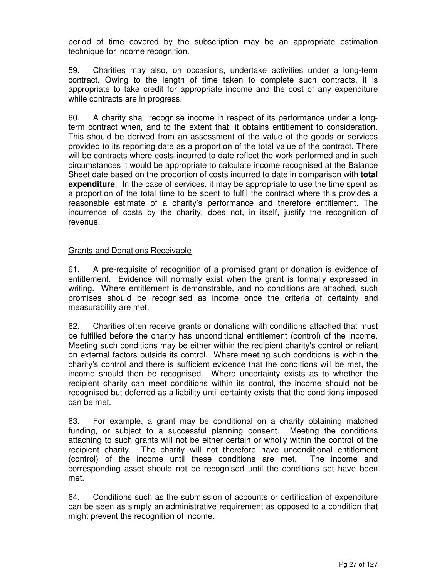period of time covered by the subscription may be an appropriate estimation technique for income recognition.

59. Charities may also, on occasions, undertake activities under a long-term contract. Owing to the length of time taken to complete such contracts, it is appropriate to take credit for appropriate income and the cost of any expenditure while contracts are in progress.

60. A charity shall recognise income in respect of its performance under a longterm contract when, and to the extent that, it obtains entitlement to consideration. This should be derived from an assessment of the value of the goods or services provided to its reporting date as a proportion of the total value of the contract. There will be contracts where costs incurred to date reflect the work performed and in such circumstances it would be appropriate to calculate income recognised at the Balance Sheet date based on the proportion of costs incurred to date in comparison with **total expenditure**. In the case of services, it may be appropriate to use the time spent as a proportion of the total time to be spent to fulfil the contract where this provides a reasonable estimate of a charity's performance and therefore entitlement. The incurrence of costs by the charity, does not, in itself, justify the recognition of revenue.

#### Grants and Donations Receivable

61. A pre-requisite of recognition of a promised grant or donation is evidence of entitlement. Evidence will normally exist when the grant is formally expressed in writing. Where entitlement is demonstrable, and no conditions are attached, such promises should be recognised as income once the criteria of certainty and measurability are met.

62. Charities often receive grants or donations with conditions attached that must be fulfilled before the charity has unconditional entitlement (control) of the income. Meeting such conditions may be either within the recipient charity's control or reliant on external factors outside its control. Where meeting such conditions is within the charity's control and there is sufficient evidence that the conditions will be met, the income should then be recognised. Where uncertainty exists as to whether the recipient charity can meet conditions within its control, the income should not be recognised but deferred as a liability until certainty exists that the conditions imposed can be met.

63. For example, a grant may be conditional on a charity obtaining matched funding, or subject to a successful planning consent. Meeting the conditions attaching to such grants will not be either certain or wholly within the control of the recipient charity. The charity will not therefore have unconditional entitlement (control) of the income until these conditions are met. The income and corresponding asset should not be recognised until the conditions set have been met.

64. Conditions such as the submission of accounts or certification of expenditure can be seen as simply an administrative requirement as opposed to a condition that might prevent the recognition of income.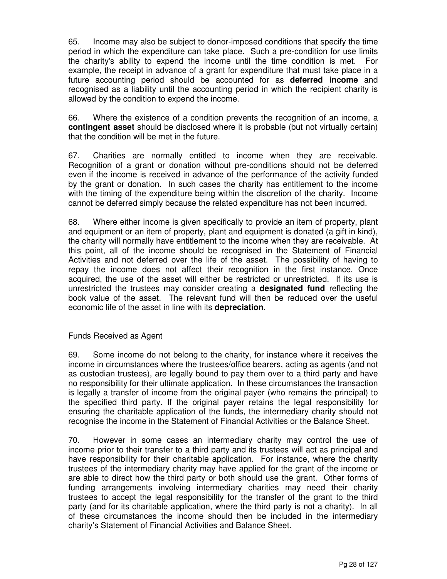65. Income may also be subject to donor-imposed conditions that specify the time period in which the expenditure can take place. Such a pre-condition for use limits the charity's ability to expend the income until the time condition is met. For example, the receipt in advance of a grant for expenditure that must take place in a future accounting period should be accounted for as **deferred income** and recognised as a liability until the accounting period in which the recipient charity is allowed by the condition to expend the income.

66. Where the existence of a condition prevents the recognition of an income, a **contingent asset** should be disclosed where it is probable (but not virtually certain) that the condition will be met in the future.

67. Charities are normally entitled to income when they are receivable. Recognition of a grant or donation without pre-conditions should not be deferred even if the income is received in advance of the performance of the activity funded by the grant or donation. In such cases the charity has entitlement to the income with the timing of the expenditure being within the discretion of the charity. Income cannot be deferred simply because the related expenditure has not been incurred.

68. Where either income is given specifically to provide an item of property, plant and equipment or an item of property, plant and equipment is donated (a gift in kind), the charity will normally have entitlement to the income when they are receivable. At this point, all of the income should be recognised in the Statement of Financial Activities and not deferred over the life of the asset. The possibility of having to repay the income does not affect their recognition in the first instance. Once acquired, the use of the asset will either be restricted or unrestricted. If its use is unrestricted the trustees may consider creating a **designated fund** reflecting the book value of the asset. The relevant fund will then be reduced over the useful economic life of the asset in line with its **depreciation**.

#### Funds Received as Agent

69. Some income do not belong to the charity, for instance where it receives the income in circumstances where the trustees/office bearers, acting as agents (and not as custodian trustees), are legally bound to pay them over to a third party and have no responsibility for their ultimate application. In these circumstances the transaction is legally a transfer of income from the original payer (who remains the principal) to the specified third party. If the original payer retains the legal responsibility for ensuring the charitable application of the funds, the intermediary charity should not recognise the income in the Statement of Financial Activities or the Balance Sheet.

70. However in some cases an intermediary charity may control the use of income prior to their transfer to a third party and its trustees will act as principal and have responsibility for their charitable application. For instance, where the charity trustees of the intermediary charity may have applied for the grant of the income or are able to direct how the third party or both should use the grant. Other forms of funding arrangements involving intermediary charities may need their charity trustees to accept the legal responsibility for the transfer of the grant to the third party (and for its charitable application, where the third party is not a charity). In all of these circumstances the income should then be included in the intermediary charity's Statement of Financial Activities and Balance Sheet.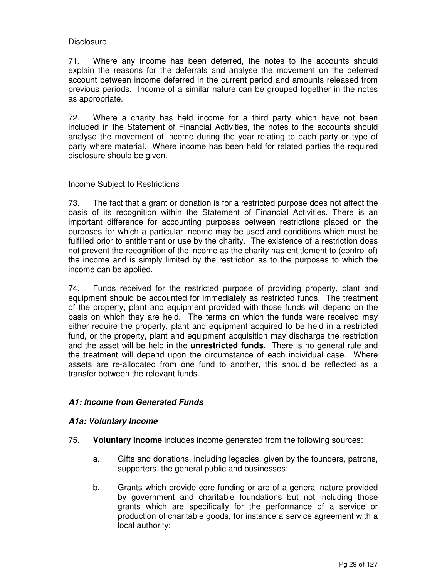#### **Disclosure**

71. Where any income has been deferred, the notes to the accounts should explain the reasons for the deferrals and analyse the movement on the deferred account between income deferred in the current period and amounts released from previous periods. Income of a similar nature can be grouped together in the notes as appropriate.

72. Where a charity has held income for a third party which have not been included in the Statement of Financial Activities, the notes to the accounts should analyse the movement of income during the year relating to each party or type of party where material. Where income has been held for related parties the required disclosure should be given.

#### Income Subject to Restrictions

73. The fact that a grant or donation is for a restricted purpose does not affect the basis of its recognition within the Statement of Financial Activities. There is an important difference for accounting purposes between restrictions placed on the purposes for which a particular income may be used and conditions which must be fulfilled prior to entitlement or use by the charity. The existence of a restriction does not prevent the recognition of the income as the charity has entitlement to (control of) the income and is simply limited by the restriction as to the purposes to which the income can be applied.

74. Funds received for the restricted purpose of providing property, plant and equipment should be accounted for immediately as restricted funds. The treatment of the property, plant and equipment provided with those funds will depend on the basis on which they are held. The terms on which the funds were received may either require the property, plant and equipment acquired to be held in a restricted fund, or the property, plant and equipment acquisition may discharge the restriction and the asset will be held in the **unrestricted funds**. There is no general rule and the treatment will depend upon the circumstance of each individual case. Where assets are re-allocated from one fund to another, this should be reflected as a transfer between the relevant funds.

#### **A1: Income from Generated Funds**

#### **A1a: Voluntary Income**

- 75. **Voluntary income** includes income generated from the following sources:
	- a. Gifts and donations, including legacies, given by the founders, patrons, supporters, the general public and businesses;
	- b. Grants which provide core funding or are of a general nature provided by government and charitable foundations but not including those grants which are specifically for the performance of a service or production of charitable goods, for instance a service agreement with a local authority;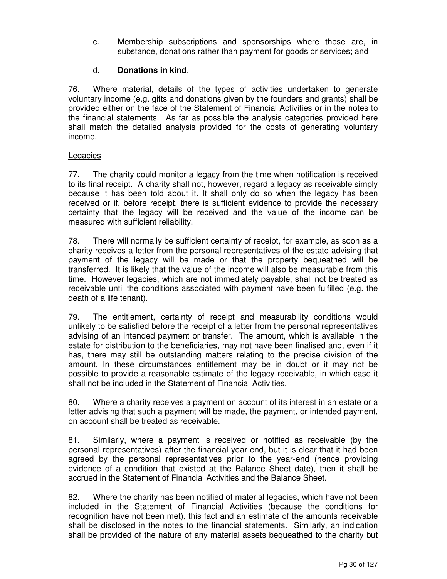c. Membership subscriptions and sponsorships where these are, in substance, donations rather than payment for goods or services; and

#### d. **Donations in kind**.

76. Where material, details of the types of activities undertaken to generate voluntary income (e.g. gifts and donations given by the founders and grants) shall be provided either on the face of the Statement of Financial Activities or in the notes to the financial statements. As far as possible the analysis categories provided here shall match the detailed analysis provided for the costs of generating voluntary income.

#### Legacies

77. The charity could monitor a legacy from the time when notification is received to its final receipt. A charity shall not, however, regard a legacy as receivable simply because it has been told about it. It shall only do so when the legacy has been received or if, before receipt, there is sufficient evidence to provide the necessary certainty that the legacy will be received and the value of the income can be measured with sufficient reliability.

78. There will normally be sufficient certainty of receipt, for example, as soon as a charity receives a letter from the personal representatives of the estate advising that payment of the legacy will be made or that the property bequeathed will be transferred. It is likely that the value of the income will also be measurable from this time. However legacies, which are not immediately payable, shall not be treated as receivable until the conditions associated with payment have been fulfilled (e.g. the death of a life tenant).

79. The entitlement, certainty of receipt and measurability conditions would unlikely to be satisfied before the receipt of a letter from the personal representatives advising of an intended payment or transfer. The amount, which is available in the estate for distribution to the beneficiaries, may not have been finalised and, even if it has, there may still be outstanding matters relating to the precise division of the amount. In these circumstances entitlement may be in doubt or it may not be possible to provide a reasonable estimate of the legacy receivable, in which case it shall not be included in the Statement of Financial Activities.

80. Where a charity receives a payment on account of its interest in an estate or a letter advising that such a payment will be made, the payment, or intended payment, on account shall be treated as receivable.

81. Similarly, where a payment is received or notified as receivable (by the personal representatives) after the financial year-end, but it is clear that it had been agreed by the personal representatives prior to the year-end (hence providing evidence of a condition that existed at the Balance Sheet date), then it shall be accrued in the Statement of Financial Activities and the Balance Sheet.

82. Where the charity has been notified of material legacies, which have not been included in the Statement of Financial Activities (because the conditions for recognition have not been met), this fact and an estimate of the amounts receivable shall be disclosed in the notes to the financial statements. Similarly, an indication shall be provided of the nature of any material assets bequeathed to the charity but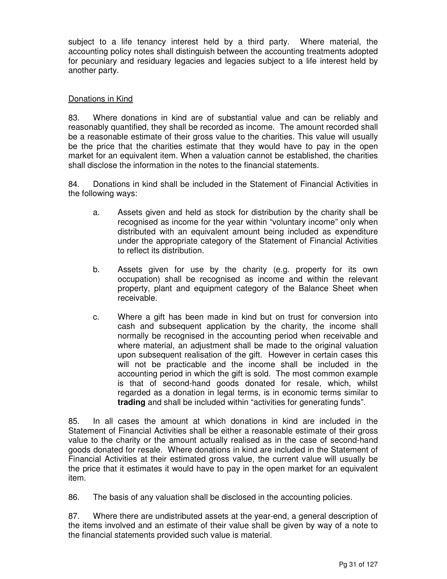subject to a life tenancy interest held by a third party. Where material, the accounting policy notes shall distinguish between the accounting treatments adopted for pecuniary and residuary legacies and legacies subject to a life interest held by another party.

#### Donations in Kind

83. Where donations in kind are of substantial value and can be reliably and reasonably quantified, they shall be recorded as income. The amount recorded shall be a reasonable estimate of their gross value to the charities. This value will usually be the price that the charities estimate that they would have to pay in the open market for an equivalent item. When a valuation cannot be established, the charities shall disclose the information in the notes to the financial statements.

84. Donations in kind shall be included in the Statement of Financial Activities in the following ways:

- a. Assets given and held as stock for distribution by the charity shall be recognised as income for the year within "voluntary income" only when distributed with an equivalent amount being included as expenditure under the appropriate category of the Statement of Financial Activities to reflect its distribution.
- b. Assets given for use by the charity (e.g. property for its own occupation) shall be recognised as income and within the relevant property, plant and equipment category of the Balance Sheet when receivable.
- c. Where a gift has been made in kind but on trust for conversion into cash and subsequent application by the charity, the income shall normally be recognised in the accounting period when receivable and where material, an adjustment shall be made to the original valuation upon subsequent realisation of the gift. However in certain cases this will not be practicable and the income shall be included in the accounting period in which the gift is sold. The most common example is that of second-hand goods donated for resale, which, whilst regarded as a donation in legal terms, is in economic terms similar to **trading** and shall be included within "activities for generating funds".

85. In all cases the amount at which donations in kind are included in the Statement of Financial Activities shall be either a reasonable estimate of their gross value to the charity or the amount actually realised as in the case of second-hand goods donated for resale. Where donations in kind are included in the Statement of Financial Activities at their estimated gross value, the current value will usually be the price that it estimates it would have to pay in the open market for an equivalent item.

86. The basis of any valuation shall be disclosed in the accounting policies.

87. Where there are undistributed assets at the year-end, a general description of the items involved and an estimate of their value shall be given by way of a note to the financial statements provided such value is material.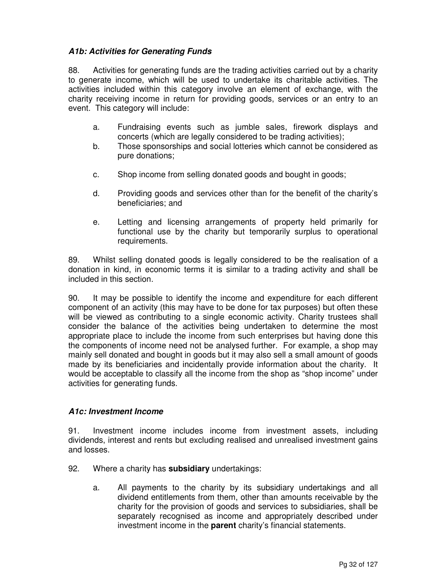#### **A1b: Activities for Generating Funds**

88. Activities for generating funds are the trading activities carried out by a charity to generate income, which will be used to undertake its charitable activities. The activities included within this category involve an element of exchange, with the charity receiving income in return for providing goods, services or an entry to an event. This category will include:

- a. Fundraising events such as jumble sales, firework displays and concerts (which are legally considered to be trading activities);
- b. Those sponsorships and social lotteries which cannot be considered as pure donations;
- c. Shop income from selling donated goods and bought in goods;
- d. Providing goods and services other than for the benefit of the charity's beneficiaries; and
- e. Letting and licensing arrangements of property held primarily for functional use by the charity but temporarily surplus to operational requirements.

89. Whilst selling donated goods is legally considered to be the realisation of a donation in kind, in economic terms it is similar to a trading activity and shall be included in this section.

90. It may be possible to identify the income and expenditure for each different component of an activity (this may have to be done for tax purposes) but often these will be viewed as contributing to a single economic activity. Charity trustees shall consider the balance of the activities being undertaken to determine the most appropriate place to include the income from such enterprises but having done this the components of income need not be analysed further. For example, a shop may mainly sell donated and bought in goods but it may also sell a small amount of goods made by its beneficiaries and incidentally provide information about the charity. It would be acceptable to classify all the income from the shop as "shop income" under activities for generating funds.

#### **A1c: Investment Income**

91. Investment income includes income from investment assets, including dividends, interest and rents but excluding realised and unrealised investment gains and losses.

- 92. Where a charity has **subsidiary** undertakings:
	- a. All payments to the charity by its subsidiary undertakings and all dividend entitlements from them, other than amounts receivable by the charity for the provision of goods and services to subsidiaries, shall be separately recognised as income and appropriately described under investment income in the **parent** charity's financial statements.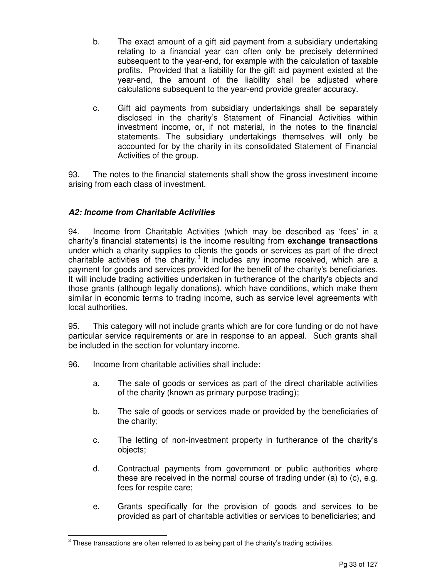- b. The exact amount of a gift aid payment from a subsidiary undertaking relating to a financial year can often only be precisely determined subsequent to the year-end, for example with the calculation of taxable profits. Provided that a liability for the gift aid payment existed at the year-end, the amount of the liability shall be adjusted where calculations subsequent to the year-end provide greater accuracy.
- c. Gift aid payments from subsidiary undertakings shall be separately disclosed in the charity's Statement of Financial Activities within investment income, or, if not material, in the notes to the financial statements. The subsidiary undertakings themselves will only be accounted for by the charity in its consolidated Statement of Financial Activities of the group.

93. The notes to the financial statements shall show the gross investment income arising from each class of investment.

#### **A2: Income from Charitable Activities**

94. Income from Charitable Activities (which may be described as 'fees' in a charity's financial statements) is the income resulting from **exchange transactions** under which a charity supplies to clients the goods or services as part of the direct charitable activities of the charity. $3$  It includes any income received, which are a payment for goods and services provided for the benefit of the charity's beneficiaries. It will include trading activities undertaken in furtherance of the charity's objects and those grants (although legally donations), which have conditions, which make them similar in economic terms to trading income, such as service level agreements with local authorities.

95. This category will not include grants which are for core funding or do not have particular service requirements or are in response to an appeal. Such grants shall be included in the section for voluntary income.

96. Income from charitable activities shall include:

 $\overline{a}$ 

- a. The sale of goods or services as part of the direct charitable activities of the charity (known as primary purpose trading);
- b. The sale of goods or services made or provided by the beneficiaries of the charity;
- c. The letting of non-investment property in furtherance of the charity's objects;
- d. Contractual payments from government or public authorities where these are received in the normal course of trading under (a) to (c), e.g. fees for respite care;
- e. Grants specifically for the provision of goods and services to be provided as part of charitable activities or services to beneficiaries; and

 $3$  These transactions are often referred to as being part of the charity's trading activities.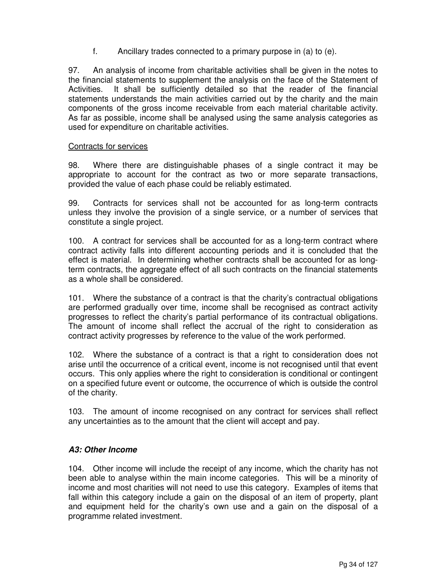f. Ancillary trades connected to a primary purpose in (a) to (e).

97. An analysis of income from charitable activities shall be given in the notes to the financial statements to supplement the analysis on the face of the Statement of Activities. It shall be sufficiently detailed so that the reader of the financial statements understands the main activities carried out by the charity and the main components of the gross income receivable from each material charitable activity. As far as possible, income shall be analysed using the same analysis categories as used for expenditure on charitable activities.

#### Contracts for services

98. Where there are distinguishable phases of a single contract it may be appropriate to account for the contract as two or more separate transactions, provided the value of each phase could be reliably estimated.

99. Contracts for services shall not be accounted for as long-term contracts unless they involve the provision of a single service, or a number of services that constitute a single project.

100. A contract for services shall be accounted for as a long-term contract where contract activity falls into different accounting periods and it is concluded that the effect is material. In determining whether contracts shall be accounted for as longterm contracts, the aggregate effect of all such contracts on the financial statements as a whole shall be considered.

101. Where the substance of a contract is that the charity's contractual obligations are performed gradually over time, income shall be recognised as contract activity progresses to reflect the charity's partial performance of its contractual obligations. The amount of income shall reflect the accrual of the right to consideration as contract activity progresses by reference to the value of the work performed.

102. Where the substance of a contract is that a right to consideration does not arise until the occurrence of a critical event, income is not recognised until that event occurs. This only applies where the right to consideration is conditional or contingent on a specified future event or outcome, the occurrence of which is outside the control of the charity.

103. The amount of income recognised on any contract for services shall reflect any uncertainties as to the amount that the client will accept and pay.

#### **A3: Other Income**

104. Other income will include the receipt of any income, which the charity has not been able to analyse within the main income categories. This will be a minority of income and most charities will not need to use this category. Examples of items that fall within this category include a gain on the disposal of an item of property, plant and equipment held for the charity's own use and a gain on the disposal of a programme related investment.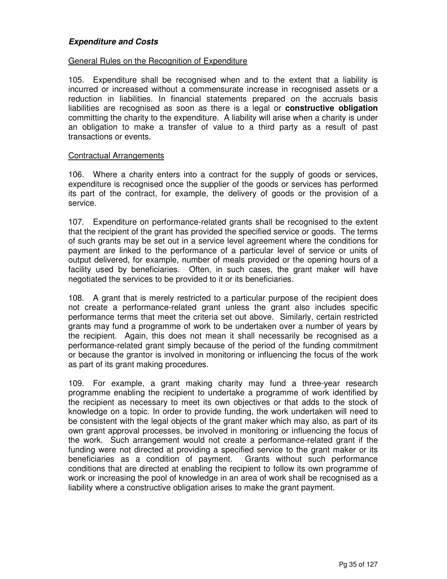#### **Expenditure and Costs**

#### General Rules on the Recognition of Expenditure

105. Expenditure shall be recognised when and to the extent that a liability is incurred or increased without a commensurate increase in recognised assets or a reduction in liabilities. In financial statements prepared on the accruals basis liabilities are recognised as soon as there is a legal or **constructive obligation** committing the charity to the expenditure. A liability will arise when a charity is under an obligation to make a transfer of value to a third party as a result of past transactions or events.

#### Contractual Arrangements

106. Where a charity enters into a contract for the supply of goods or services, expenditure is recognised once the supplier of the goods or services has performed its part of the contract, for example, the delivery of goods or the provision of a service.

107. Expenditure on performance-related grants shall be recognised to the extent that the recipient of the grant has provided the specified service or goods. The terms of such grants may be set out in a service level agreement where the conditions for payment are linked to the performance of a particular level of service or units of output delivered, for example, number of meals provided or the opening hours of a facility used by beneficiaries. Often, in such cases, the grant maker will have negotiated the services to be provided to it or its beneficiaries.

108. A grant that is merely restricted to a particular purpose of the recipient does not create a performance-related grant unless the grant also includes specific performance terms that meet the criteria set out above. Similarly, certain restricted grants may fund a programme of work to be undertaken over a number of years by the recipient. Again, this does not mean it shall necessarily be recognised as a performance-related grant simply because of the period of the funding commitment or because the grantor is involved in monitoring or influencing the focus of the work as part of its grant making procedures.

109. For example, a grant making charity may fund a three-year research programme enabling the recipient to undertake a programme of work identified by the recipient as necessary to meet its own objectives or that adds to the stock of knowledge on a topic. In order to provide funding, the work undertaken will need to be consistent with the legal objects of the grant maker which may also, as part of its own grant approval processes, be involved in monitoring or influencing the focus of the work. Such arrangement would not create a performance-related grant if the funding were not directed at providing a specified service to the grant maker or its beneficiaries as a condition of payment. Grants without such performance conditions that are directed at enabling the recipient to follow its own programme of work or increasing the pool of knowledge in an area of work shall be recognised as a liability where a constructive obligation arises to make the grant payment.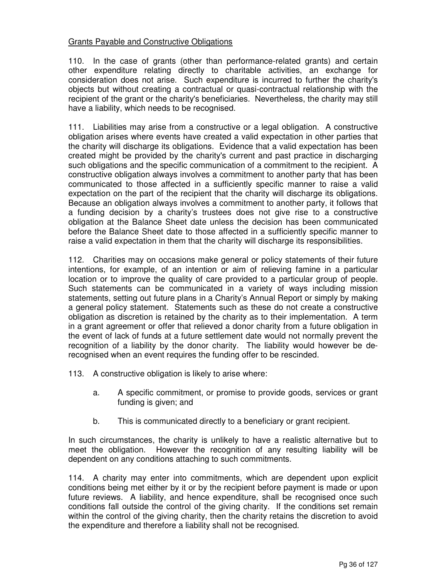#### Grants Payable and Constructive Obligations

110. In the case of grants (other than performance-related grants) and certain other expenditure relating directly to charitable activities, an exchange for consideration does not arise. Such expenditure is incurred to further the charity's objects but without creating a contractual or quasi-contractual relationship with the recipient of the grant or the charity's beneficiaries. Nevertheless, the charity may still have a liability, which needs to be recognised.

111. Liabilities may arise from a constructive or a legal obligation. A constructive obligation arises where events have created a valid expectation in other parties that the charity will discharge its obligations. Evidence that a valid expectation has been created might be provided by the charity's current and past practice in discharging such obligations and the specific communication of a commitment to the recipient. A constructive obligation always involves a commitment to another party that has been communicated to those affected in a sufficiently specific manner to raise a valid expectation on the part of the recipient that the charity will discharge its obligations. Because an obligation always involves a commitment to another party, it follows that a funding decision by a charity's trustees does not give rise to a constructive obligation at the Balance Sheet date unless the decision has been communicated before the Balance Sheet date to those affected in a sufficiently specific manner to raise a valid expectation in them that the charity will discharge its responsibilities.

112. Charities may on occasions make general or policy statements of their future intentions, for example, of an intention or aim of relieving famine in a particular location or to improve the quality of care provided to a particular group of people. Such statements can be communicated in a variety of ways including mission statements, setting out future plans in a Charity's Annual Report or simply by making a general policy statement. Statements such as these do not create a constructive obligation as discretion is retained by the charity as to their implementation. A term in a grant agreement or offer that relieved a donor charity from a future obligation in the event of lack of funds at a future settlement date would not normally prevent the recognition of a liability by the donor charity. The liability would however be derecognised when an event requires the funding offer to be rescinded.

- 113. A constructive obligation is likely to arise where:
	- a. A specific commitment, or promise to provide goods, services or grant funding is given; and
	- b. This is communicated directly to a beneficiary or grant recipient.

In such circumstances, the charity is unlikely to have a realistic alternative but to meet the obligation. However the recognition of any resulting liability will be dependent on any conditions attaching to such commitments.

114. A charity may enter into commitments, which are dependent upon explicit conditions being met either by it or by the recipient before payment is made or upon future reviews. A liability, and hence expenditure, shall be recognised once such conditions fall outside the control of the giving charity. If the conditions set remain within the control of the giving charity, then the charity retains the discretion to avoid the expenditure and therefore a liability shall not be recognised.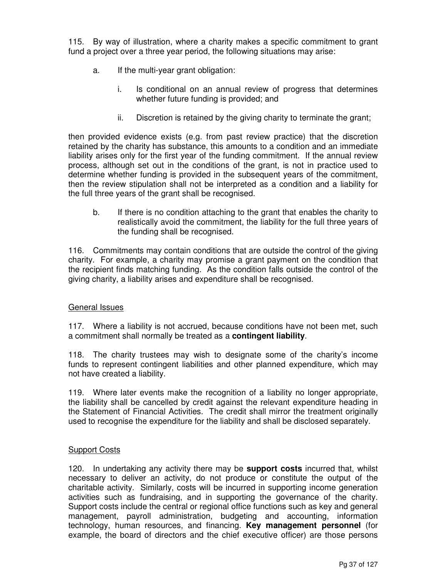115. By way of illustration, where a charity makes a specific commitment to grant fund a project over a three year period, the following situations may arise:

- a. If the multi-year grant obligation:
	- i. Is conditional on an annual review of progress that determines whether future funding is provided; and
	- ii. Discretion is retained by the giving charity to terminate the grant;

then provided evidence exists (e.g. from past review practice) that the discretion retained by the charity has substance, this amounts to a condition and an immediate liability arises only for the first year of the funding commitment. If the annual review process, although set out in the conditions of the grant, is not in practice used to determine whether funding is provided in the subsequent years of the commitment, then the review stipulation shall not be interpreted as a condition and a liability for the full three years of the grant shall be recognised.

b. If there is no condition attaching to the grant that enables the charity to realistically avoid the commitment, the liability for the full three years of the funding shall be recognised.

116. Commitments may contain conditions that are outside the control of the giving charity. For example, a charity may promise a grant payment on the condition that the recipient finds matching funding. As the condition falls outside the control of the giving charity, a liability arises and expenditure shall be recognised.

# General Issues

117. Where a liability is not accrued, because conditions have not been met, such a commitment shall normally be treated as a **contingent liability**.

118. The charity trustees may wish to designate some of the charity's income funds to represent contingent liabilities and other planned expenditure, which may not have created a liability.

119. Where later events make the recognition of a liability no longer appropriate, the liability shall be cancelled by credit against the relevant expenditure heading in the Statement of Financial Activities. The credit shall mirror the treatment originally used to recognise the expenditure for the liability and shall be disclosed separately.

#### **Support Costs**

120. In undertaking any activity there may be **support costs** incurred that, whilst necessary to deliver an activity, do not produce or constitute the output of the charitable activity. Similarly, costs will be incurred in supporting income generation activities such as fundraising, and in supporting the governance of the charity. Support costs include the central or regional office functions such as key and general management, payroll administration, budgeting and accounting, information technology, human resources, and financing. **Key management personnel** (for example, the board of directors and the chief executive officer) are those persons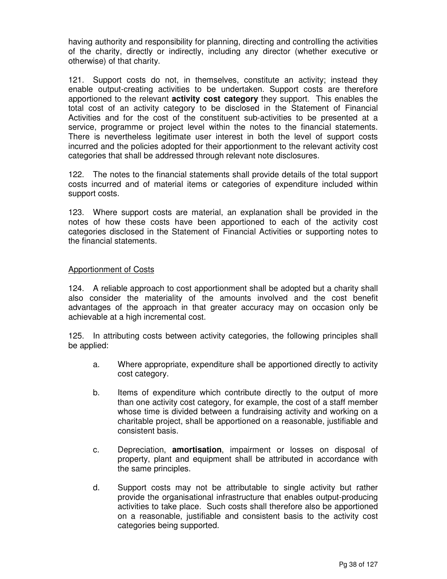having authority and responsibility for planning, directing and controlling the activities of the charity, directly or indirectly, including any director (whether executive or otherwise) of that charity.

121. Support costs do not, in themselves, constitute an activity; instead they enable output-creating activities to be undertaken. Support costs are therefore apportioned to the relevant **activity cost category** they support. This enables the total cost of an activity category to be disclosed in the Statement of Financial Activities and for the cost of the constituent sub-activities to be presented at a service, programme or project level within the notes to the financial statements. There is nevertheless legitimate user interest in both the level of support costs incurred and the policies adopted for their apportionment to the relevant activity cost categories that shall be addressed through relevant note disclosures.

122. The notes to the financial statements shall provide details of the total support costs incurred and of material items or categories of expenditure included within support costs.

123. Where support costs are material, an explanation shall be provided in the notes of how these costs have been apportioned to each of the activity cost categories disclosed in the Statement of Financial Activities or supporting notes to the financial statements.

#### Apportionment of Costs

124. A reliable approach to cost apportionment shall be adopted but a charity shall also consider the materiality of the amounts involved and the cost benefit advantages of the approach in that greater accuracy may on occasion only be achievable at a high incremental cost.

125. In attributing costs between activity categories, the following principles shall be applied:

- a. Where appropriate, expenditure shall be apportioned directly to activity cost category.
- b. Items of expenditure which contribute directly to the output of more than one activity cost category, for example, the cost of a staff member whose time is divided between a fundraising activity and working on a charitable project, shall be apportioned on a reasonable, justifiable and consistent basis.
- c. Depreciation, **amortisation**, impairment or losses on disposal of property, plant and equipment shall be attributed in accordance with the same principles.
- d. Support costs may not be attributable to single activity but rather provide the organisational infrastructure that enables output-producing activities to take place. Such costs shall therefore also be apportioned on a reasonable, justifiable and consistent basis to the activity cost categories being supported.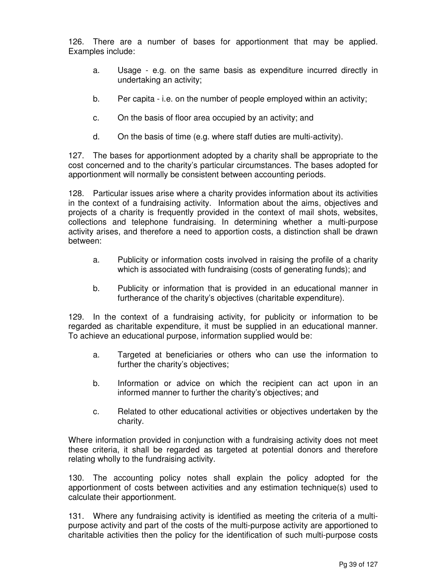126. There are a number of bases for apportionment that may be applied. Examples include:

- a. Usage e.g. on the same basis as expenditure incurred directly in undertaking an activity;
- b. Per capita i.e. on the number of people employed within an activity;
- c. On the basis of floor area occupied by an activity; and
- d. On the basis of time (e.g. where staff duties are multi-activity).

127. The bases for apportionment adopted by a charity shall be appropriate to the cost concerned and to the charity's particular circumstances. The bases adopted for apportionment will normally be consistent between accounting periods.

128. Particular issues arise where a charity provides information about its activities in the context of a fundraising activity. Information about the aims, objectives and projects of a charity is frequently provided in the context of mail shots, websites, collections and telephone fundraising. In determining whether a multi-purpose activity arises, and therefore a need to apportion costs, a distinction shall be drawn between:

- a. Publicity or information costs involved in raising the profile of a charity which is associated with fundraising (costs of generating funds); and
- b. Publicity or information that is provided in an educational manner in furtherance of the charity's objectives (charitable expenditure).

129. In the context of a fundraising activity, for publicity or information to be regarded as charitable expenditure, it must be supplied in an educational manner. To achieve an educational purpose, information supplied would be:

- a. Targeted at beneficiaries or others who can use the information to further the charity's objectives;
- b. Information or advice on which the recipient can act upon in an informed manner to further the charity's objectives; and
- c. Related to other educational activities or objectives undertaken by the charity.

Where information provided in conjunction with a fundraising activity does not meet these criteria, it shall be regarded as targeted at potential donors and therefore relating wholly to the fundraising activity.

130. The accounting policy notes shall explain the policy adopted for the apportionment of costs between activities and any estimation technique(s) used to calculate their apportionment.

131. Where any fundraising activity is identified as meeting the criteria of a multipurpose activity and part of the costs of the multi-purpose activity are apportioned to charitable activities then the policy for the identification of such multi-purpose costs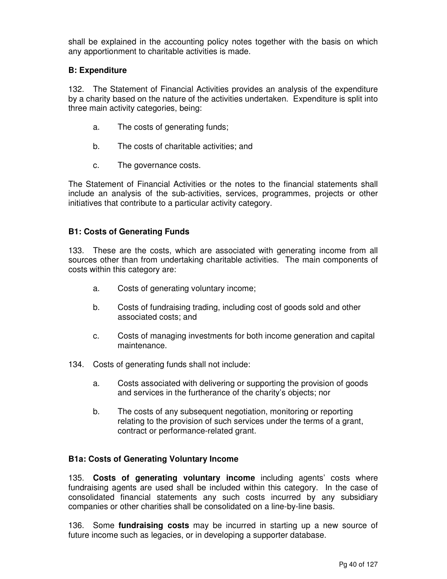shall be explained in the accounting policy notes together with the basis on which any apportionment to charitable activities is made.

# **B: Expenditure**

132. The Statement of Financial Activities provides an analysis of the expenditure by a charity based on the nature of the activities undertaken. Expenditure is split into three main activity categories, being:

- a. The costs of generating funds;
- b. The costs of charitable activities; and
- c. The governance costs.

The Statement of Financial Activities or the notes to the financial statements shall include an analysis of the sub-activities, services, programmes, projects or other initiatives that contribute to a particular activity category.

# **B1: Costs of Generating Funds**

133. These are the costs, which are associated with generating income from all sources other than from undertaking charitable activities. The main components of costs within this category are:

- a. Costs of generating voluntary income;
- b. Costs of fundraising trading, including cost of goods sold and other associated costs; and
- c. Costs of managing investments for both income generation and capital maintenance.
- 134. Costs of generating funds shall not include:
	- a. Costs associated with delivering or supporting the provision of goods and services in the furtherance of the charity's objects; nor
	- b. The costs of any subsequent negotiation, monitoring or reporting relating to the provision of such services under the terms of a grant, contract or performance-related grant.

# **B1a: Costs of Generating Voluntary Income**

135. **Costs of generating voluntary income** including agents' costs where fundraising agents are used shall be included within this category. In the case of consolidated financial statements any such costs incurred by any subsidiary companies or other charities shall be consolidated on a line-by-line basis.

136. Some **fundraising costs** may be incurred in starting up a new source of future income such as legacies, or in developing a supporter database.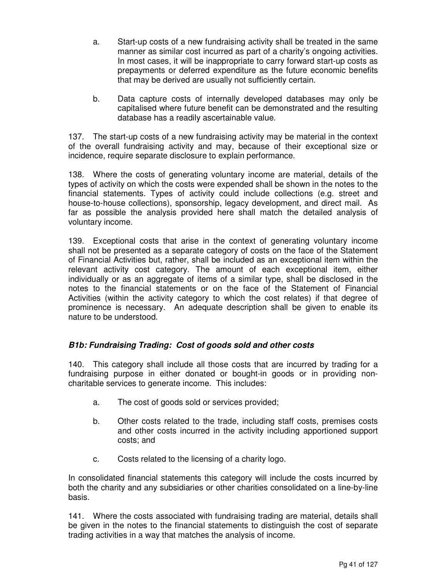- a. Start-up costs of a new fundraising activity shall be treated in the same manner as similar cost incurred as part of a charity's ongoing activities. In most cases, it will be inappropriate to carry forward start-up costs as prepayments or deferred expenditure as the future economic benefits that may be derived are usually not sufficiently certain.
- b. Data capture costs of internally developed databases may only be capitalised where future benefit can be demonstrated and the resulting database has a readily ascertainable value.

137. The start-up costs of a new fundraising activity may be material in the context of the overall fundraising activity and may, because of their exceptional size or incidence, require separate disclosure to explain performance.

138. Where the costs of generating voluntary income are material, details of the types of activity on which the costs were expended shall be shown in the notes to the financial statements. Types of activity could include collections (e.g. street and house-to-house collections), sponsorship, legacy development, and direct mail. As far as possible the analysis provided here shall match the detailed analysis of voluntary income.

139. Exceptional costs that arise in the context of generating voluntary income shall not be presented as a separate category of costs on the face of the Statement of Financial Activities but, rather, shall be included as an exceptional item within the relevant activity cost category. The amount of each exceptional item, either individually or as an aggregate of items of a similar type, shall be disclosed in the notes to the financial statements or on the face of the Statement of Financial Activities (within the activity category to which the cost relates) if that degree of prominence is necessary. An adequate description shall be given to enable its nature to be understood.

# **B1b: Fundraising Trading: Cost of goods sold and other costs**

140. This category shall include all those costs that are incurred by trading for a fundraising purpose in either donated or bought-in goods or in providing noncharitable services to generate income. This includes:

- a. The cost of goods sold or services provided;
- b. Other costs related to the trade, including staff costs, premises costs and other costs incurred in the activity including apportioned support costs; and
- c. Costs related to the licensing of a charity logo.

In consolidated financial statements this category will include the costs incurred by both the charity and any subsidiaries or other charities consolidated on a line-by-line basis.

141. Where the costs associated with fundraising trading are material, details shall be given in the notes to the financial statements to distinguish the cost of separate trading activities in a way that matches the analysis of income.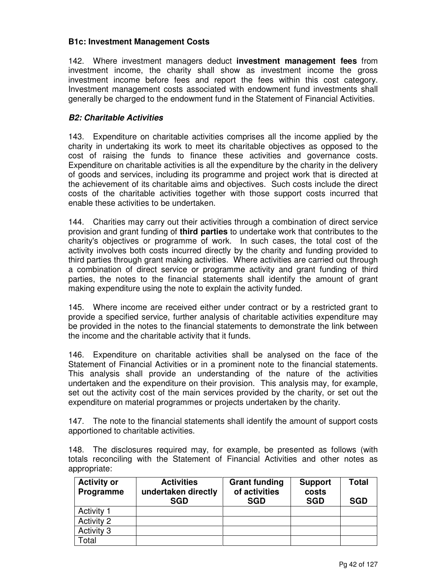# **B1c: Investment Management Costs**

142. Where investment managers deduct **investment management fees** from investment income, the charity shall show as investment income the gross investment income before fees and report the fees within this cost category. Investment management costs associated with endowment fund investments shall generally be charged to the endowment fund in the Statement of Financial Activities.

# **B2: Charitable Activities**

143. Expenditure on charitable activities comprises all the income applied by the charity in undertaking its work to meet its charitable objectives as opposed to the cost of raising the funds to finance these activities and governance costs. Expenditure on charitable activities is all the expenditure by the charity in the delivery of goods and services, including its programme and project work that is directed at the achievement of its charitable aims and objectives. Such costs include the direct costs of the charitable activities together with those support costs incurred that enable these activities to be undertaken.

144. Charities may carry out their activities through a combination of direct service provision and grant funding of **third parties** to undertake work that contributes to the charity's objectives or programme of work. In such cases, the total cost of the activity involves both costs incurred directly by the charity and funding provided to third parties through grant making activities. Where activities are carried out through a combination of direct service or programme activity and grant funding of third parties, the notes to the financial statements shall identify the amount of grant making expenditure using the note to explain the activity funded.

145. Where income are received either under contract or by a restricted grant to provide a specified service, further analysis of charitable activities expenditure may be provided in the notes to the financial statements to demonstrate the link between the income and the charitable activity that it funds.

146. Expenditure on charitable activities shall be analysed on the face of the Statement of Financial Activities or in a prominent note to the financial statements. This analysis shall provide an understanding of the nature of the activities undertaken and the expenditure on their provision. This analysis may, for example, set out the activity cost of the main services provided by the charity, or set out the expenditure on material programmes or projects undertaken by the charity.

147. The note to the financial statements shall identify the amount of support costs apportioned to charitable activities.

148. The disclosures required may, for example, be presented as follows (with totals reconciling with the Statement of Financial Activities and other notes as appropriate:

| <b>Activity or</b><br>Programme | <b>Activities</b><br>undertaken directly<br><b>SGD</b> | <b>Grant funding</b><br>of activities<br><b>SGD</b> | <b>Support</b><br>costs<br><b>SGD</b> | Total<br><b>SGD</b> |
|---------------------------------|--------------------------------------------------------|-----------------------------------------------------|---------------------------------------|---------------------|
| <b>Activity 1</b>               |                                                        |                                                     |                                       |                     |
| Activity 2                      |                                                        |                                                     |                                       |                     |
| Activity 3                      |                                                        |                                                     |                                       |                     |
| Total                           |                                                        |                                                     |                                       |                     |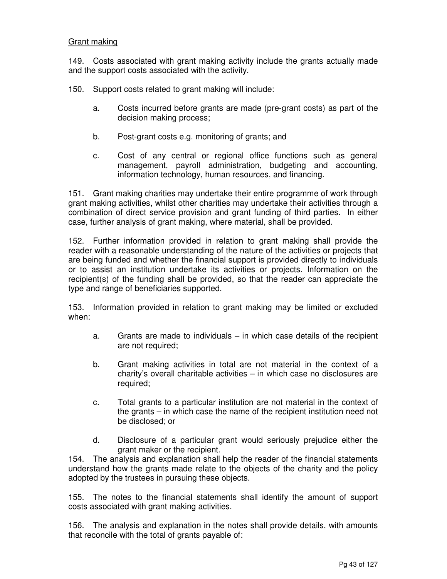# Grant making

149. Costs associated with grant making activity include the grants actually made and the support costs associated with the activity.

150. Support costs related to grant making will include:

- a. Costs incurred before grants are made (pre-grant costs) as part of the decision making process;
- b. Post-grant costs e.g. monitoring of grants; and
- c. Cost of any central or regional office functions such as general management, payroll administration, budgeting and accounting, information technology, human resources, and financing.

151. Grant making charities may undertake their entire programme of work through grant making activities, whilst other charities may undertake their activities through a combination of direct service provision and grant funding of third parties. In either case, further analysis of grant making, where material, shall be provided.

152. Further information provided in relation to grant making shall provide the reader with a reasonable understanding of the nature of the activities or projects that are being funded and whether the financial support is provided directly to individuals or to assist an institution undertake its activities or projects. Information on the recipient(s) of the funding shall be provided, so that the reader can appreciate the type and range of beneficiaries supported.

153. Information provided in relation to grant making may be limited or excluded when:

- a. Grants are made to individuals in which case details of the recipient are not required;
- b. Grant making activities in total are not material in the context of a charity's overall charitable activities – in which case no disclosures are required;
- c. Total grants to a particular institution are not material in the context of the grants – in which case the name of the recipient institution need not be disclosed; or
- d. Disclosure of a particular grant would seriously prejudice either the grant maker or the recipient.

154. The analysis and explanation shall help the reader of the financial statements understand how the grants made relate to the objects of the charity and the policy adopted by the trustees in pursuing these objects.

155. The notes to the financial statements shall identify the amount of support costs associated with grant making activities.

156. The analysis and explanation in the notes shall provide details, with amounts that reconcile with the total of grants payable of: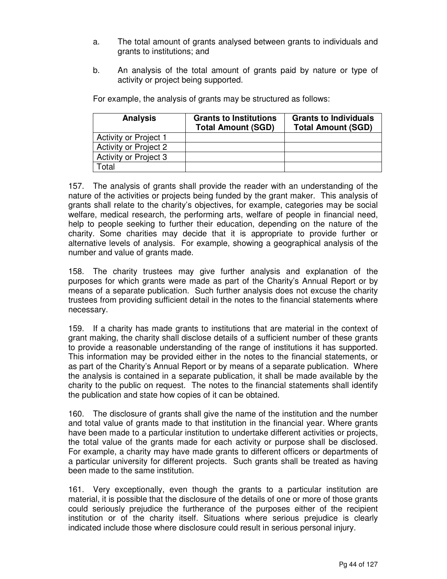- a. The total amount of grants analysed between grants to individuals and grants to institutions; and
- b. An analysis of the total amount of grants paid by nature or type of activity or project being supported.

| <b>Analysis</b>              | <b>Grants to Institutions</b><br><b>Total Amount (SGD)</b> | <b>Grants to Individuals</b><br><b>Total Amount (SGD)</b> |
|------------------------------|------------------------------------------------------------|-----------------------------------------------------------|
| <b>Activity or Project 1</b> |                                                            |                                                           |
| <b>Activity or Project 2</b> |                                                            |                                                           |
| <b>Activity or Project 3</b> |                                                            |                                                           |
| Total                        |                                                            |                                                           |

For example, the analysis of grants may be structured as follows:

157. The analysis of grants shall provide the reader with an understanding of the nature of the activities or projects being funded by the grant maker. This analysis of grants shall relate to the charity's objectives, for example, categories may be social welfare, medical research, the performing arts, welfare of people in financial need, help to people seeking to further their education, depending on the nature of the charity. Some charities may decide that it is appropriate to provide further or alternative levels of analysis. For example, showing a geographical analysis of the number and value of grants made.

158. The charity trustees may give further analysis and explanation of the purposes for which grants were made as part of the Charity's Annual Report or by means of a separate publication. Such further analysis does not excuse the charity trustees from providing sufficient detail in the notes to the financial statements where necessary.

159. If a charity has made grants to institutions that are material in the context of grant making, the charity shall disclose details of a sufficient number of these grants to provide a reasonable understanding of the range of institutions it has supported. This information may be provided either in the notes to the financial statements, or as part of the Charity's Annual Report or by means of a separate publication. Where the analysis is contained in a separate publication, it shall be made available by the charity to the public on request. The notes to the financial statements shall identify the publication and state how copies of it can be obtained.

160. The disclosure of grants shall give the name of the institution and the number and total value of grants made to that institution in the financial year. Where grants have been made to a particular institution to undertake different activities or projects, the total value of the grants made for each activity or purpose shall be disclosed. For example, a charity may have made grants to different officers or departments of a particular university for different projects. Such grants shall be treated as having been made to the same institution.

161. Very exceptionally, even though the grants to a particular institution are material, it is possible that the disclosure of the details of one or more of those grants could seriously prejudice the furtherance of the purposes either of the recipient institution or of the charity itself. Situations where serious prejudice is clearly indicated include those where disclosure could result in serious personal injury.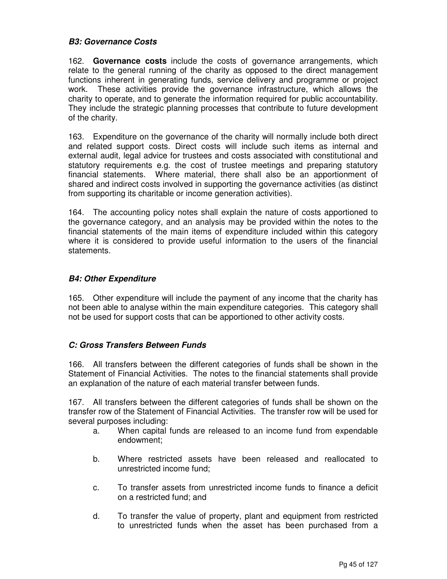# **B3: Governance Costs**

162. **Governance costs** include the costs of governance arrangements, which relate to the general running of the charity as opposed to the direct management functions inherent in generating funds, service delivery and programme or project work. These activities provide the governance infrastructure, which allows the charity to operate, and to generate the information required for public accountability. They include the strategic planning processes that contribute to future development of the charity.

163. Expenditure on the governance of the charity will normally include both direct and related support costs. Direct costs will include such items as internal and external audit, legal advice for trustees and costs associated with constitutional and statutory requirements e.g. the cost of trustee meetings and preparing statutory financial statements. Where material, there shall also be an apportionment of shared and indirect costs involved in supporting the governance activities (as distinct from supporting its charitable or income generation activities).

164. The accounting policy notes shall explain the nature of costs apportioned to the governance category, and an analysis may be provided within the notes to the financial statements of the main items of expenditure included within this category where it is considered to provide useful information to the users of the financial statements.

# **B4: Other Expenditure**

165. Other expenditure will include the payment of any income that the charity has not been able to analyse within the main expenditure categories. This category shall not be used for support costs that can be apportioned to other activity costs.

# **C: Gross Transfers Between Funds**

166. All transfers between the different categories of funds shall be shown in the Statement of Financial Activities. The notes to the financial statements shall provide an explanation of the nature of each material transfer between funds.

167. All transfers between the different categories of funds shall be shown on the transfer row of the Statement of Financial Activities. The transfer row will be used for several purposes including:

- a. When capital funds are released to an income fund from expendable endowment;
- b. Where restricted assets have been released and reallocated to unrestricted income fund;
- c. To transfer assets from unrestricted income funds to finance a deficit on a restricted fund; and
- d. To transfer the value of property, plant and equipment from restricted to unrestricted funds when the asset has been purchased from a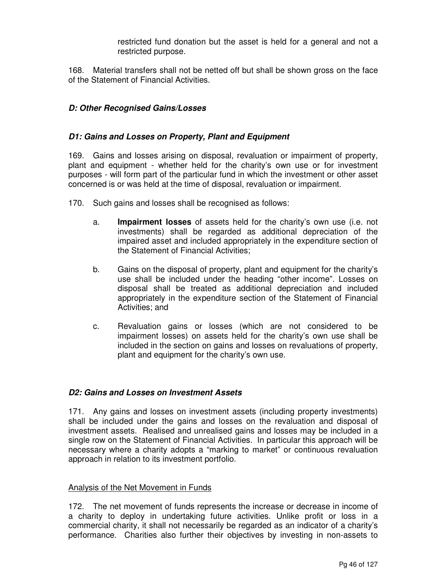restricted fund donation but the asset is held for a general and not a restricted purpose.

168. Material transfers shall not be netted off but shall be shown gross on the face of the Statement of Financial Activities.

# **D: Other Recognised Gains/Losses**

# **D1: Gains and Losses on Property, Plant and Equipment**

169. Gains and losses arising on disposal, revaluation or impairment of property, plant and equipment - whether held for the charity's own use or for investment purposes - will form part of the particular fund in which the investment or other asset concerned is or was held at the time of disposal, revaluation or impairment.

- 170. Such gains and losses shall be recognised as follows:
	- a. **Impairment losses** of assets held for the charity's own use (i.e. not investments) shall be regarded as additional depreciation of the impaired asset and included appropriately in the expenditure section of the Statement of Financial Activities;
	- b. Gains on the disposal of property, plant and equipment for the charity's use shall be included under the heading "other income". Losses on disposal shall be treated as additional depreciation and included appropriately in the expenditure section of the Statement of Financial Activities; and
	- c. Revaluation gains or losses (which are not considered to be impairment losses) on assets held for the charity's own use shall be included in the section on gains and losses on revaluations of property, plant and equipment for the charity's own use.

# **D2: Gains and Losses on Investment Assets**

171. Any gains and losses on investment assets (including property investments) shall be included under the gains and losses on the revaluation and disposal of investment assets. Realised and unrealised gains and losses may be included in a single row on the Statement of Financial Activities. In particular this approach will be necessary where a charity adopts a "marking to market" or continuous revaluation approach in relation to its investment portfolio.

# Analysis of the Net Movement in Funds

172. The net movement of funds represents the increase or decrease in income of a charity to deploy in undertaking future activities. Unlike profit or loss in a commercial charity, it shall not necessarily be regarded as an indicator of a charity's performance. Charities also further their objectives by investing in non-assets to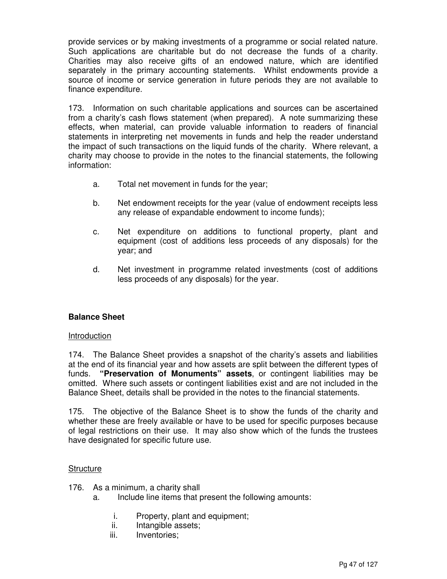provide services or by making investments of a programme or social related nature. Such applications are charitable but do not decrease the funds of a charity. Charities may also receive gifts of an endowed nature, which are identified separately in the primary accounting statements. Whilst endowments provide a source of income or service generation in future periods they are not available to finance expenditure.

173. Information on such charitable applications and sources can be ascertained from a charity's cash flows statement (when prepared). A note summarizing these effects, when material, can provide valuable information to readers of financial statements in interpreting net movements in funds and help the reader understand the impact of such transactions on the liquid funds of the charity. Where relevant, a charity may choose to provide in the notes to the financial statements, the following information:

- a. Total net movement in funds for the year;
- b. Net endowment receipts for the year (value of endowment receipts less any release of expandable endowment to income funds);
- c. Net expenditure on additions to functional property, plant and equipment (cost of additions less proceeds of any disposals) for the year; and
- d. Net investment in programme related investments (cost of additions less proceeds of any disposals) for the year.

# **Balance Sheet**

# Introduction

174. The Balance Sheet provides a snapshot of the charity's assets and liabilities at the end of its financial year and how assets are split between the different types of funds. **"Preservation of Monuments" assets**, or contingent liabilities may be omitted. Where such assets or contingent liabilities exist and are not included in the Balance Sheet, details shall be provided in the notes to the financial statements.

175. The objective of the Balance Sheet is to show the funds of the charity and whether these are freely available or have to be used for specific purposes because of legal restrictions on their use. It may also show which of the funds the trustees have designated for specific future use.

# **Structure**

- 176. As a minimum, a charity shall
	- a. Include line items that present the following amounts:
		- i. Property, plant and equipment;
		- ii. Intangible assets;
		- iii. Inventories;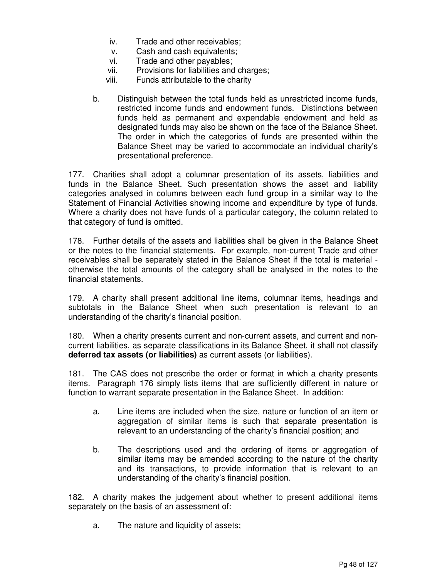- iv. Trade and other receivables;
- v. Cash and cash equivalents;
- vi. Trade and other payables;
- vii. Provisions for liabilities and charges;
- viii. Funds attributable to the charity
- b. Distinguish between the total funds held as unrestricted income funds, restricted income funds and endowment funds. Distinctions between funds held as permanent and expendable endowment and held as designated funds may also be shown on the face of the Balance Sheet. The order in which the categories of funds are presented within the Balance Sheet may be varied to accommodate an individual charity's presentational preference.

177. Charities shall adopt a columnar presentation of its assets, liabilities and funds in the Balance Sheet. Such presentation shows the asset and liability categories analysed in columns between each fund group in a similar way to the Statement of Financial Activities showing income and expenditure by type of funds. Where a charity does not have funds of a particular category, the column related to that category of fund is omitted.

178. Further details of the assets and liabilities shall be given in the Balance Sheet or the notes to the financial statements. For example, non-current Trade and other receivables shall be separately stated in the Balance Sheet if the total is material otherwise the total amounts of the category shall be analysed in the notes to the financial statements.

179. A charity shall present additional line items, columnar items, headings and subtotals in the Balance Sheet when such presentation is relevant to an understanding of the charity's financial position.

180. When a charity presents current and non-current assets, and current and noncurrent liabilities, as separate classifications in its Balance Sheet, it shall not classify **deferred tax assets (or liabilities)** as current assets (or liabilities).

181. The CAS does not prescribe the order or format in which a charity presents items. Paragraph 176 simply lists items that are sufficiently different in nature or function to warrant separate presentation in the Balance Sheet. In addition:

- a. Line items are included when the size, nature or function of an item or aggregation of similar items is such that separate presentation is relevant to an understanding of the charity's financial position; and
- b. The descriptions used and the ordering of items or aggregation of similar items may be amended according to the nature of the charity and its transactions, to provide information that is relevant to an understanding of the charity's financial position.

182. A charity makes the judgement about whether to present additional items separately on the basis of an assessment of:

a. The nature and liquidity of assets;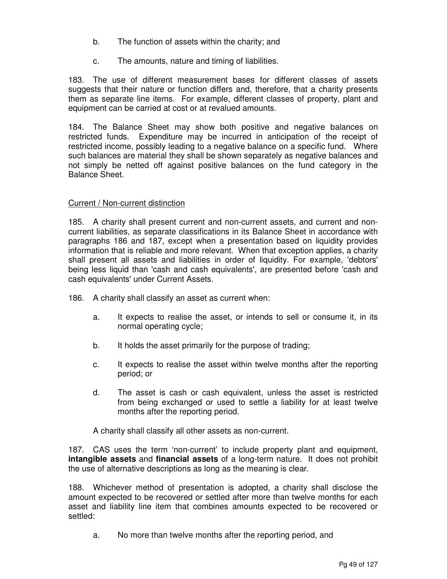- b. The function of assets within the charity; and
- c. The amounts, nature and timing of liabilities.

183. The use of different measurement bases for different classes of assets suggests that their nature or function differs and, therefore, that a charity presents them as separate line items. For example, different classes of property, plant and equipment can be carried at cost or at revalued amounts.

184. The Balance Sheet may show both positive and negative balances on restricted funds. Expenditure may be incurred in anticipation of the receipt of restricted income, possibly leading to a negative balance on a specific fund. Where such balances are material they shall be shown separately as negative balances and not simply be netted off against positive balances on the fund category in the Balance Sheet.

# Current / Non-current distinction

185. A charity shall present current and non-current assets, and current and noncurrent liabilities, as separate classifications in its Balance Sheet in accordance with paragraphs 186 and 187, except when a presentation based on liquidity provides information that is reliable and more relevant. When that exception applies, a charity shall present all assets and liabilities in order of liquidity. For example, 'debtors' being less liquid than 'cash and cash equivalents', are presented before 'cash and cash equivalents' under Current Assets.

- 186. A charity shall classify an asset as current when:
	- a. It expects to realise the asset, or intends to sell or consume it, in its normal operating cycle;
	- b. It holds the asset primarily for the purpose of trading;
	- c. It expects to realise the asset within twelve months after the reporting period; or
	- d. The asset is cash or cash equivalent, unless the asset is restricted from being exchanged or used to settle a liability for at least twelve months after the reporting period.

A charity shall classify all other assets as non-current.

187. CAS uses the term 'non-current' to include property plant and equipment, **intangible assets** and **financial assets** of a long-term nature. It does not prohibit the use of alternative descriptions as long as the meaning is clear.

188. Whichever method of presentation is adopted, a charity shall disclose the amount expected to be recovered or settled after more than twelve months for each asset and liability line item that combines amounts expected to be recovered or settled:

a. No more than twelve months after the reporting period, and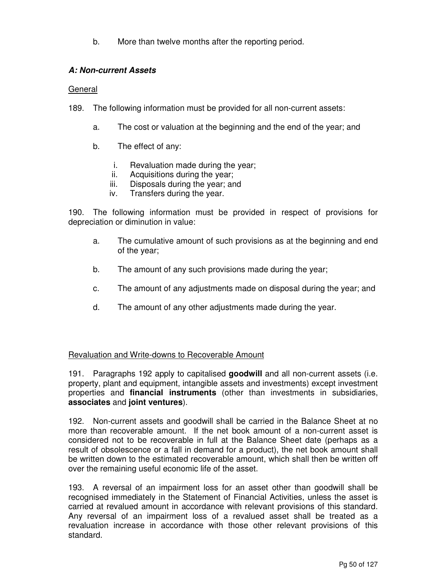b. More than twelve months after the reporting period.

# **A: Non-current Assets**

# General

- 189. The following information must be provided for all non-current assets:
	- a. The cost or valuation at the beginning and the end of the year; and
	- b. The effect of any:
		- i. Revaluation made during the year;
		- ii. Acquisitions during the year;
		- iii. Disposals during the year; and
		- iv. Transfers during the year.

190. The following information must be provided in respect of provisions for depreciation or diminution in value:

- a. The cumulative amount of such provisions as at the beginning and end of the year;
- b. The amount of any such provisions made during the year;
- c. The amount of any adjustments made on disposal during the year; and
- d. The amount of any other adjustments made during the year.

# Revaluation and Write-downs to Recoverable Amount

191. Paragraphs 192 apply to capitalised **goodwill** and all non-current assets (i.e. property, plant and equipment, intangible assets and investments) except investment properties and **financial instruments** (other than investments in subsidiaries, **associates** and **joint ventures**).

192. Non-current assets and goodwill shall be carried in the Balance Sheet at no more than recoverable amount. If the net book amount of a non-current asset is considered not to be recoverable in full at the Balance Sheet date (perhaps as a result of obsolescence or a fall in demand for a product), the net book amount shall be written down to the estimated recoverable amount, which shall then be written off over the remaining useful economic life of the asset.

193. A reversal of an impairment loss for an asset other than goodwill shall be recognised immediately in the Statement of Financial Activities, unless the asset is carried at revalued amount in accordance with relevant provisions of this standard. Any reversal of an impairment loss of a revalued asset shall be treated as a revaluation increase in accordance with those other relevant provisions of this standard.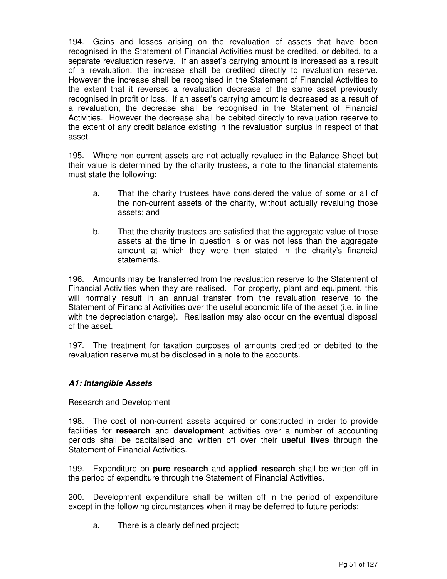194. Gains and losses arising on the revaluation of assets that have been recognised in the Statement of Financial Activities must be credited, or debited, to a separate revaluation reserve. If an asset's carrying amount is increased as a result of a revaluation, the increase shall be credited directly to revaluation reserve. However the increase shall be recognised in the Statement of Financial Activities to the extent that it reverses a revaluation decrease of the same asset previously recognised in profit or loss. If an asset's carrying amount is decreased as a result of a revaluation, the decrease shall be recognised in the Statement of Financial Activities. However the decrease shall be debited directly to revaluation reserve to the extent of any credit balance existing in the revaluation surplus in respect of that asset.

195. Where non-current assets are not actually revalued in the Balance Sheet but their value is determined by the charity trustees, a note to the financial statements must state the following:

- a. That the charity trustees have considered the value of some or all of the non-current assets of the charity, without actually revaluing those assets; and
- b. That the charity trustees are satisfied that the aggregate value of those assets at the time in question is or was not less than the aggregate amount at which they were then stated in the charity's financial statements.

196. Amounts may be transferred from the revaluation reserve to the Statement of Financial Activities when they are realised. For property, plant and equipment, this will normally result in an annual transfer from the revaluation reserve to the Statement of Financial Activities over the useful economic life of the asset (i.e. in line with the depreciation charge). Realisation may also occur on the eventual disposal of the asset.

197. The treatment for taxation purposes of amounts credited or debited to the revaluation reserve must be disclosed in a note to the accounts.

# **A1: Intangible Assets**

# Research and Development

198. The cost of non-current assets acquired or constructed in order to provide facilities for **research** and **development** activities over a number of accounting periods shall be capitalised and written off over their **useful lives** through the Statement of Financial Activities.

199. Expenditure on **pure research** and **applied research** shall be written off in the period of expenditure through the Statement of Financial Activities.

200. Development expenditure shall be written off in the period of expenditure except in the following circumstances when it may be deferred to future periods:

a. There is a clearly defined project;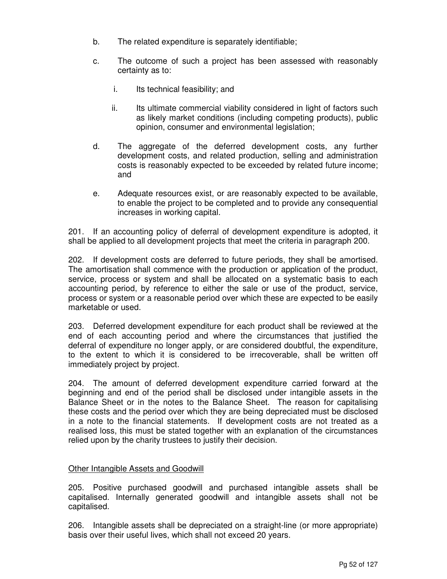- b. The related expenditure is separately identifiable;
- c. The outcome of such a project has been assessed with reasonably certainty as to:
	- i. Its technical feasibility; and
	- ii. Its ultimate commercial viability considered in light of factors such as likely market conditions (including competing products), public opinion, consumer and environmental legislation;
- d. The aggregate of the deferred development costs, any further development costs, and related production, selling and administration costs is reasonably expected to be exceeded by related future income; and
- e. Adequate resources exist, or are reasonably expected to be available, to enable the project to be completed and to provide any consequential increases in working capital.

201. If an accounting policy of deferral of development expenditure is adopted, it shall be applied to all development projects that meet the criteria in paragraph 200.

202. If development costs are deferred to future periods, they shall be amortised. The amortisation shall commence with the production or application of the product, service, process or system and shall be allocated on a systematic basis to each accounting period, by reference to either the sale or use of the product, service, process or system or a reasonable period over which these are expected to be easily marketable or used.

203. Deferred development expenditure for each product shall be reviewed at the end of each accounting period and where the circumstances that justified the deferral of expenditure no longer apply, or are considered doubtful, the expenditure, to the extent to which it is considered to be irrecoverable, shall be written off immediately project by project.

204. The amount of deferred development expenditure carried forward at the beginning and end of the period shall be disclosed under intangible assets in the Balance Sheet or in the notes to the Balance Sheet. The reason for capitalising these costs and the period over which they are being depreciated must be disclosed in a note to the financial statements. If development costs are not treated as a realised loss, this must be stated together with an explanation of the circumstances relied upon by the charity trustees to justify their decision.

# Other Intangible Assets and Goodwill

205. Positive purchased goodwill and purchased intangible assets shall be capitalised. Internally generated goodwill and intangible assets shall not be capitalised.

206. Intangible assets shall be depreciated on a straight-line (or more appropriate) basis over their useful lives, which shall not exceed 20 years.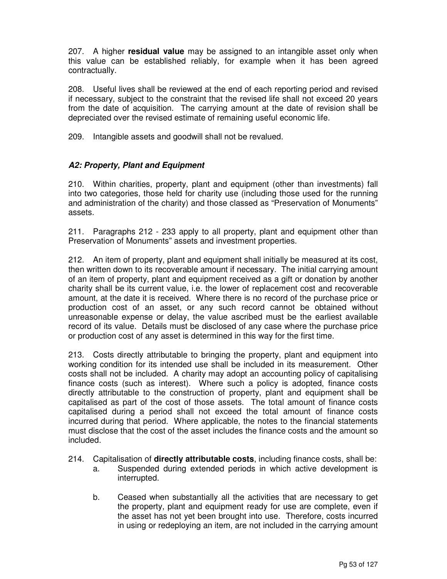207. A higher **residual value** may be assigned to an intangible asset only when this value can be established reliably, for example when it has been agreed contractually.

208. Useful lives shall be reviewed at the end of each reporting period and revised if necessary, subject to the constraint that the revised life shall not exceed 20 years from the date of acquisition. The carrying amount at the date of revision shall be depreciated over the revised estimate of remaining useful economic life.

209. Intangible assets and goodwill shall not be revalued.

# **A2: Property, Plant and Equipment**

210. Within charities, property, plant and equipment (other than investments) fall into two categories, those held for charity use (including those used for the running and administration of the charity) and those classed as "Preservation of Monuments" assets.

211. Paragraphs 212 - 233 apply to all property, plant and equipment other than Preservation of Monuments" assets and investment properties.

212. An item of property, plant and equipment shall initially be measured at its cost, then written down to its recoverable amount if necessary. The initial carrying amount of an item of property, plant and equipment received as a gift or donation by another charity shall be its current value, i.e. the lower of replacement cost and recoverable amount, at the date it is received. Where there is no record of the purchase price or production cost of an asset, or any such record cannot be obtained without unreasonable expense or delay, the value ascribed must be the earliest available record of its value. Details must be disclosed of any case where the purchase price or production cost of any asset is determined in this way for the first time.

213. Costs directly attributable to bringing the property, plant and equipment into working condition for its intended use shall be included in its measurement. Other costs shall not be included. A charity may adopt an accounting policy of capitalising finance costs (such as interest). Where such a policy is adopted, finance costs directly attributable to the construction of property, plant and equipment shall be capitalised as part of the cost of those assets. The total amount of finance costs capitalised during a period shall not exceed the total amount of finance costs incurred during that period. Where applicable, the notes to the financial statements must disclose that the cost of the asset includes the finance costs and the amount so included.

# 214. Capitalisation of **directly attributable costs**, including finance costs, shall be:

- a. Suspended during extended periods in which active development is interrupted.
- b. Ceased when substantially all the activities that are necessary to get the property, plant and equipment ready for use are complete, even if the asset has not yet been brought into use. Therefore, costs incurred in using or redeploying an item, are not included in the carrying amount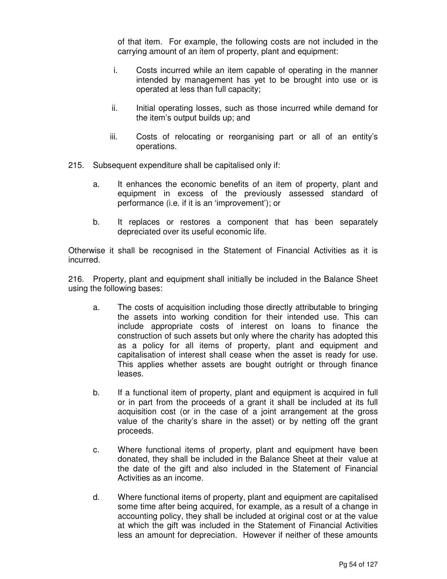of that item. For example, the following costs are not included in the carrying amount of an item of property, plant and equipment:

- i. Costs incurred while an item capable of operating in the manner intended by management has yet to be brought into use or is operated at less than full capacity;
- ii. Initial operating losses, such as those incurred while demand for the item's output builds up; and
- iii. Costs of relocating or reorganising part or all of an entity's operations.
- 215. Subsequent expenditure shall be capitalised only if:
	- a. It enhances the economic benefits of an item of property, plant and equipment in excess of the previously assessed standard of performance (i.e. if it is an 'improvement'); or
	- b. It replaces or restores a component that has been separately depreciated over its useful economic life.

Otherwise it shall be recognised in the Statement of Financial Activities as it is incurred.

216. Property, plant and equipment shall initially be included in the Balance Sheet using the following bases:

- a. The costs of acquisition including those directly attributable to bringing the assets into working condition for their intended use. This can include appropriate costs of interest on loans to finance the construction of such assets but only where the charity has adopted this as a policy for all items of property, plant and equipment and capitalisation of interest shall cease when the asset is ready for use. This applies whether assets are bought outright or through finance leases.
- b. If a functional item of property, plant and equipment is acquired in full or in part from the proceeds of a grant it shall be included at its full acquisition cost (or in the case of a joint arrangement at the gross value of the charity's share in the asset) or by netting off the grant proceeds.
- c. Where functional items of property, plant and equipment have been donated, they shall be included in the Balance Sheet at their value at the date of the gift and also included in the Statement of Financial Activities as an income.
- d. Where functional items of property, plant and equipment are capitalised some time after being acquired, for example, as a result of a change in accounting policy, they shall be included at original cost or at the value at which the gift was included in the Statement of Financial Activities less an amount for depreciation. However if neither of these amounts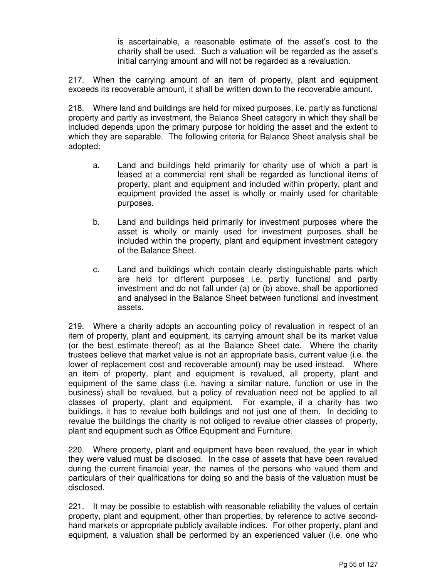is ascertainable, a reasonable estimate of the asset's cost to the charity shall be used. Such a valuation will be regarded as the asset's initial carrying amount and will not be regarded as a revaluation.

217. When the carrying amount of an item of property, plant and equipment exceeds its recoverable amount, it shall be written down to the recoverable amount.

218. Where land and buildings are held for mixed purposes, i.e. partly as functional property and partly as investment, the Balance Sheet category in which they shall be included depends upon the primary purpose for holding the asset and the extent to which they are separable. The following criteria for Balance Sheet analysis shall be adopted:

- a. Land and buildings held primarily for charity use of which a part is leased at a commercial rent shall be regarded as functional items of property, plant and equipment and included within property, plant and equipment provided the asset is wholly or mainly used for charitable purposes.
- b. Land and buildings held primarily for investment purposes where the asset is wholly or mainly used for investment purposes shall be included within the property, plant and equipment investment category of the Balance Sheet.
- c. Land and buildings which contain clearly distinguishable parts which are held for different purposes i.e. partly functional and partly investment and do not fall under (a) or (b) above, shall be apportioned and analysed in the Balance Sheet between functional and investment assets.

219. Where a charity adopts an accounting policy of revaluation in respect of an item of property, plant and equipment, its carrying amount shall be its market value (or the best estimate thereof) as at the Balance Sheet date. Where the charity trustees believe that market value is not an appropriate basis, current value (i.e. the lower of replacement cost and recoverable amount) may be used instead. Where an item of property, plant and equipment is revalued, all property, plant and equipment of the same class (i.e. having a similar nature, function or use in the business) shall be revalued, but a policy of revaluation need not be applied to all classes of property, plant and equipment. For example, if a charity has two buildings, it has to revalue both buildings and not just one of them. In deciding to revalue the buildings the charity is not obliged to revalue other classes of property, plant and equipment such as Office Equipment and Furniture.

220. Where property, plant and equipment have been revalued, the year in which they were valued must be disclosed. In the case of assets that have been revalued during the current financial year, the names of the persons who valued them and particulars of their qualifications for doing so and the basis of the valuation must be disclosed.

221. It may be possible to establish with reasonable reliability the values of certain property, plant and equipment, other than properties, by reference to active secondhand markets or appropriate publicly available indices. For other property, plant and equipment, a valuation shall be performed by an experienced valuer (i.e. one who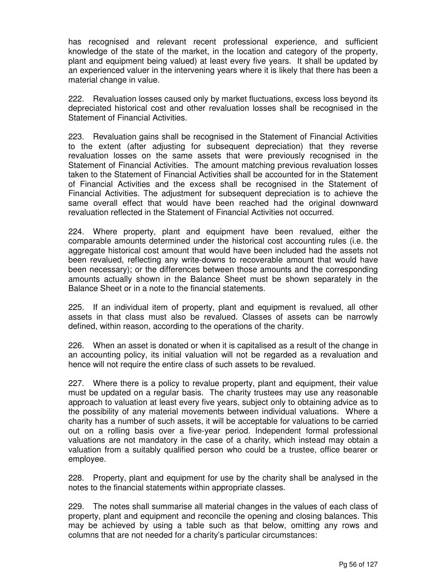has recognised and relevant recent professional experience, and sufficient knowledge of the state of the market, in the location and category of the property, plant and equipment being valued) at least every five years. It shall be updated by an experienced valuer in the intervening years where it is likely that there has been a material change in value.

222. Revaluation losses caused only by market fluctuations, excess loss beyond its depreciated historical cost and other revaluation losses shall be recognised in the Statement of Financial Activities.

223. Revaluation gains shall be recognised in the Statement of Financial Activities to the extent (after adjusting for subsequent depreciation) that they reverse revaluation losses on the same assets that were previously recognised in the Statement of Financial Activities. The amount matching previous revaluation losses taken to the Statement of Financial Activities shall be accounted for in the Statement of Financial Activities and the excess shall be recognised in the Statement of Financial Activities. The adjustment for subsequent depreciation is to achieve the same overall effect that would have been reached had the original downward revaluation reflected in the Statement of Financial Activities not occurred.

224. Where property, plant and equipment have been revalued, either the comparable amounts determined under the historical cost accounting rules (i.e. the aggregate historical cost amount that would have been included had the assets not been revalued, reflecting any write-downs to recoverable amount that would have been necessary); or the differences between those amounts and the corresponding amounts actually shown in the Balance Sheet must be shown separately in the Balance Sheet or in a note to the financial statements.

225. If an individual item of property, plant and equipment is revalued, all other assets in that class must also be revalued. Classes of assets can be narrowly defined, within reason, according to the operations of the charity.

226. When an asset is donated or when it is capitalised as a result of the change in an accounting policy, its initial valuation will not be regarded as a revaluation and hence will not require the entire class of such assets to be revalued.

227. Where there is a policy to revalue property, plant and equipment, their value must be updated on a regular basis. The charity trustees may use any reasonable approach to valuation at least every five years, subject only to obtaining advice as to the possibility of any material movements between individual valuations. Where a charity has a number of such assets, it will be acceptable for valuations to be carried out on a rolling basis over a five-year period. Independent formal professional valuations are not mandatory in the case of a charity, which instead may obtain a valuation from a suitably qualified person who could be a trustee, office bearer or employee.

228. Property, plant and equipment for use by the charity shall be analysed in the notes to the financial statements within appropriate classes.

229. The notes shall summarise all material changes in the values of each class of property, plant and equipment and reconcile the opening and closing balances. This may be achieved by using a table such as that below, omitting any rows and columns that are not needed for a charity's particular circumstances: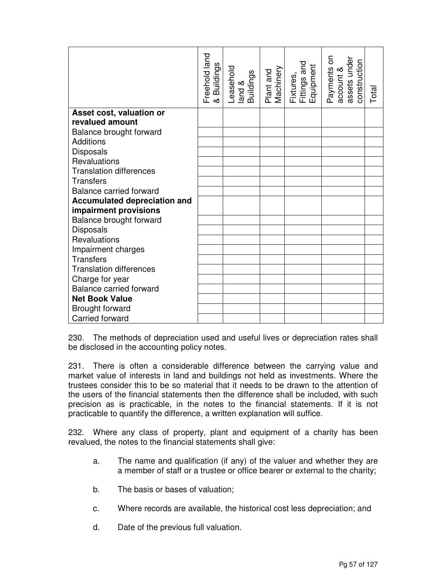| Asset cost, valuation or                                                                                                                                                                                                                                                                                                                                                                                                                                                                                                                                                                                                                                                 |                                                                                                                                                       | Freehold land<br><b>Buildings</b> | Leasehold<br>land &<br>Buildings | Plant and<br>Machinery | Fixtures,<br>Fittings and<br>Equipment | Payments on<br>account &<br>assets under<br>construction | Total |
|--------------------------------------------------------------------------------------------------------------------------------------------------------------------------------------------------------------------------------------------------------------------------------------------------------------------------------------------------------------------------------------------------------------------------------------------------------------------------------------------------------------------------------------------------------------------------------------------------------------------------------------------------------------------------|-------------------------------------------------------------------------------------------------------------------------------------------------------|-----------------------------------|----------------------------------|------------------------|----------------------------------------|----------------------------------------------------------|-------|
| revalued amount<br>Balance brought forward<br><b>Additions</b><br><b>Disposals</b><br>Revaluations<br><b>Translation differences</b><br><b>Transfers</b><br><b>Balance carried forward</b><br><b>Accumulated depreciation and</b><br>impairment provisions<br>Balance brought forward<br><b>Disposals</b><br>Revaluations<br>Impairment charges<br><b>Transfers</b><br><b>Translation differences</b><br>Charge for year<br>Balance carried forward<br><b>Net Book Value</b><br>Brought forward<br>Carried forward                                                                                                                                                       |                                                                                                                                                       |                                   |                                  |                        |                                        |                                                          |       |
|                                                                                                                                                                                                                                                                                                                                                                                                                                                                                                                                                                                                                                                                          |                                                                                                                                                       |                                   |                                  |                        |                                        |                                                          |       |
|                                                                                                                                                                                                                                                                                                                                                                                                                                                                                                                                                                                                                                                                          |                                                                                                                                                       |                                   |                                  |                        |                                        |                                                          |       |
|                                                                                                                                                                                                                                                                                                                                                                                                                                                                                                                                                                                                                                                                          |                                                                                                                                                       |                                   |                                  |                        |                                        |                                                          |       |
| The methods of depreciation used and useful lives or depreciation rates shall<br>230.<br>be disclosed in the accounting policy notes.<br>231.<br>There is often a considerable difference between the carrying value and<br>market value of interests in land and buildings not held as investments. Where the<br>trustees consider this to be so material that it needs to be drawn to the attention of<br>the users of the financial statements then the difference shall be included, with such<br>precision as is practicable, in the notes to the financial statements. If it is not<br>practicable to quantify the difference, a written explanation will suffice. |                                                                                                                                                       |                                   |                                  |                        |                                        |                                                          |       |
| Where any class of property, plant and equipment of a charity has been<br>232.<br>revalued, the notes to the financial statements shall give:                                                                                                                                                                                                                                                                                                                                                                                                                                                                                                                            |                                                                                                                                                       |                                   |                                  |                        |                                        |                                                          |       |
| a.                                                                                                                                                                                                                                                                                                                                                                                                                                                                                                                                                                                                                                                                       | The name and qualification (if any) of the valuer and whether they are<br>a member of staff or a trustee or office bearer or external to the charity; |                                   |                                  |                        |                                        |                                                          |       |
| b.                                                                                                                                                                                                                                                                                                                                                                                                                                                                                                                                                                                                                                                                       | The basis or bases of valuation;                                                                                                                      |                                   |                                  |                        |                                        |                                                          |       |
| c.                                                                                                                                                                                                                                                                                                                                                                                                                                                                                                                                                                                                                                                                       | Where records are available, the historical cost less depreciation; and                                                                               |                                   |                                  |                        |                                        |                                                          |       |
| d.                                                                                                                                                                                                                                                                                                                                                                                                                                                                                                                                                                                                                                                                       | Date of the previous full valuation.                                                                                                                  |                                   |                                  |                        |                                        |                                                          |       |
|                                                                                                                                                                                                                                                                                                                                                                                                                                                                                                                                                                                                                                                                          |                                                                                                                                                       |                                   |                                  |                        |                                        | Pg 57 of 127                                             |       |

- a. The name and qualification (if any) of the valuer and whether they are a member of staff or a trustee or office bearer or external to the charity;
- b. The basis or bases of valuation;
- c. Where records are available, the historical cost less depreciation; and
- d. Date of the previous full valuation.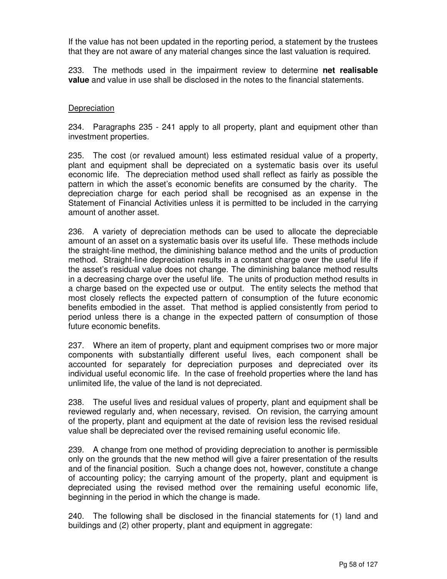If the value has not been updated in the reporting period, a statement by the trustees that they are not aware of any material changes since the last valuation is required.

233. The methods used in the impairment review to determine **net realisable value** and value in use shall be disclosed in the notes to the financial statements.

# **Depreciation**

234. Paragraphs 235 - 241 apply to all property, plant and equipment other than investment properties.

235. The cost (or revalued amount) less estimated residual value of a property, plant and equipment shall be depreciated on a systematic basis over its useful economic life. The depreciation method used shall reflect as fairly as possible the pattern in which the asset's economic benefits are consumed by the charity. The depreciation charge for each period shall be recognised as an expense in the Statement of Financial Activities unless it is permitted to be included in the carrying amount of another asset.

236. A variety of depreciation methods can be used to allocate the depreciable amount of an asset on a systematic basis over its useful life. These methods include the straight-line method, the diminishing balance method and the units of production method. Straight-line depreciation results in a constant charge over the useful life if the asset's residual value does not change. The diminishing balance method results in a decreasing charge over the useful life. The units of production method results in a charge based on the expected use or output. The entity selects the method that most closely reflects the expected pattern of consumption of the future economic benefits embodied in the asset. That method is applied consistently from period to period unless there is a change in the expected pattern of consumption of those future economic benefits.

237. Where an item of property, plant and equipment comprises two or more major components with substantially different useful lives, each component shall be accounted for separately for depreciation purposes and depreciated over its individual useful economic life. In the case of freehold properties where the land has unlimited life, the value of the land is not depreciated.

238. The useful lives and residual values of property, plant and equipment shall be reviewed regularly and, when necessary, revised. On revision, the carrying amount of the property, plant and equipment at the date of revision less the revised residual value shall be depreciated over the revised remaining useful economic life.

239. A change from one method of providing depreciation to another is permissible only on the grounds that the new method will give a fairer presentation of the results and of the financial position. Such a change does not, however, constitute a change of accounting policy; the carrying amount of the property, plant and equipment is depreciated using the revised method over the remaining useful economic life, beginning in the period in which the change is made.

240. The following shall be disclosed in the financial statements for (1) land and buildings and (2) other property, plant and equipment in aggregate: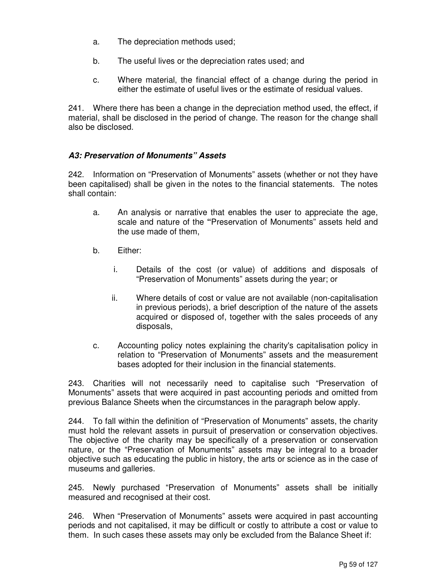- a. The depreciation methods used;
- b. The useful lives or the depreciation rates used; and
- c. Where material, the financial effect of a change during the period in either the estimate of useful lives or the estimate of residual values.

241. Where there has been a change in the depreciation method used, the effect, if material, shall be disclosed in the period of change. The reason for the change shall also be disclosed.

# **A3: Preservation of Monuments" Assets**

242. Information on "Preservation of Monuments" assets (whether or not they have been capitalised) shall be given in the notes to the financial statements. The notes shall contain:

- a. An analysis or narrative that enables the user to appreciate the age, scale and nature of the **"**Preservation of Monuments" assets held and the use made of them,
- b. Either:
	- i. Details of the cost (or value) of additions and disposals of "Preservation of Monuments" assets during the year; or
	- ii. Where details of cost or value are not available (non-capitalisation in previous periods), a brief description of the nature of the assets acquired or disposed of, together with the sales proceeds of any disposals,
- c. Accounting policy notes explaining the charity's capitalisation policy in relation to "Preservation of Monuments" assets and the measurement bases adopted for their inclusion in the financial statements.

243. Charities will not necessarily need to capitalise such "Preservation of Monuments" assets that were acquired in past accounting periods and omitted from previous Balance Sheets when the circumstances in the paragraph below apply.

244. To fall within the definition of "Preservation of Monuments" assets, the charity must hold the relevant assets in pursuit of preservation or conservation objectives. The objective of the charity may be specifically of a preservation or conservation nature, or the "Preservation of Monuments" assets may be integral to a broader objective such as educating the public in history, the arts or science as in the case of museums and galleries.

245. Newly purchased "Preservation of Monuments" assets shall be initially measured and recognised at their cost.

246. When "Preservation of Monuments" assets were acquired in past accounting periods and not capitalised, it may be difficult or costly to attribute a cost or value to them. In such cases these assets may only be excluded from the Balance Sheet if: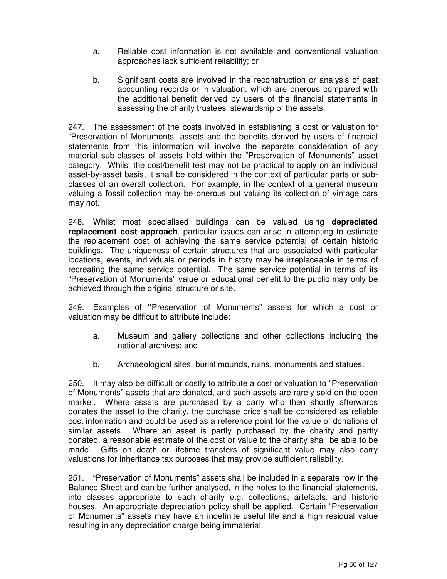- a. Reliable cost information is not available and conventional valuation approaches lack sufficient reliability; or
- b. Significant costs are involved in the reconstruction or analysis of past accounting records or in valuation, which are onerous compared with the additional benefit derived by users of the financial statements in assessing the charity trustees' stewardship of the assets.

247. The assessment of the costs involved in establishing a cost or valuation for "Preservation of Monuments" assets and the benefits derived by users of financial statements from this information will involve the separate consideration of any material sub-classes of assets held within the "Preservation of Monuments" asset category. Whilst the cost/benefit test may not be practical to apply on an individual asset-by-asset basis, it shall be considered in the context of particular parts or subclasses of an overall collection. For example, in the context of a general museum valuing a fossil collection may be onerous but valuing its collection of vintage cars may not.

248. Whilst most specialised buildings can be valued using **depreciated replacement cost approach**, particular issues can arise in attempting to estimate the replacement cost of achieving the same service potential of certain historic buildings. The uniqueness of certain structures that are associated with particular locations, events, individuals or periods in history may be irreplaceable in terms of recreating the same service potential. The same service potential in terms of its "Preservation of Monuments" value or educational benefit to the public may only be achieved through the original structure or site.

249. Examples of **"**Preservation of Monuments" assets for which a cost or valuation may be difficult to attribute include:

- a. Museum and gallery collections and other collections including the national archives; and
- b. Archaeological sites, burial mounds, ruins, monuments and statues.

250. It may also be difficult or costly to attribute a cost or valuation to "Preservation of Monuments" assets that are donated, and such assets are rarely sold on the open market. Where assets are purchased by a party who then shortly afterwards donates the asset to the charity, the purchase price shall be considered as reliable cost information and could be used as a reference point for the value of donations of similar assets. Where an asset is partly purchased by the charity and partly donated, a reasonable estimate of the cost or value to the charity shall be able to be made. Gifts on death or lifetime transfers of significant value may also carry valuations for inheritance tax purposes that may provide sufficient reliability.

251. "Preservation of Monuments" assets shall be included in a separate row in the Balance Sheet and can be further analysed, in the notes to the financial statements, into classes appropriate to each charity e.g. collections, artefacts, and historic houses. An appropriate depreciation policy shall be applied. Certain "Preservation of Monuments" assets may have an indefinite useful life and a high residual value resulting in any depreciation charge being immaterial.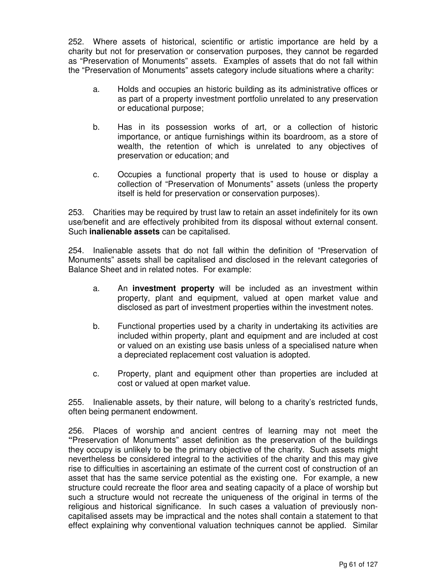252. Where assets of historical, scientific or artistic importance are held by a charity but not for preservation or conservation purposes, they cannot be regarded as "Preservation of Monuments" assets. Examples of assets that do not fall within the "Preservation of Monuments" assets category include situations where a charity:

- a. Holds and occupies an historic building as its administrative offices or as part of a property investment portfolio unrelated to any preservation or educational purpose;
- b. Has in its possession works of art, or a collection of historic importance, or antique furnishings within its boardroom, as a store of wealth, the retention of which is unrelated to any objectives of preservation or education; and
- c. Occupies a functional property that is used to house or display a collection of "Preservation of Monuments" assets (unless the property itself is held for preservation or conservation purposes).

253. Charities may be required by trust law to retain an asset indefinitely for its own use/benefit and are effectively prohibited from its disposal without external consent. Such **inalienable assets** can be capitalised.

254. Inalienable assets that do not fall within the definition of "Preservation of Monuments" assets shall be capitalised and disclosed in the relevant categories of Balance Sheet and in related notes. For example:

- a. An **investment property** will be included as an investment within property, plant and equipment, valued at open market value and disclosed as part of investment properties within the investment notes.
- b. Functional properties used by a charity in undertaking its activities are included within property, plant and equipment and are included at cost or valued on an existing use basis unless of a specialised nature when a depreciated replacement cost valuation is adopted.
- c. Property, plant and equipment other than properties are included at cost or valued at open market value.

255. Inalienable assets, by their nature, will belong to a charity's restricted funds, often being permanent endowment.

256. Places of worship and ancient centres of learning may not meet the **"**Preservation of Monuments" asset definition as the preservation of the buildings they occupy is unlikely to be the primary objective of the charity. Such assets might nevertheless be considered integral to the activities of the charity and this may give rise to difficulties in ascertaining an estimate of the current cost of construction of an asset that has the same service potential as the existing one. For example, a new structure could recreate the floor area and seating capacity of a place of worship but such a structure would not recreate the uniqueness of the original in terms of the religious and historical significance. In such cases a valuation of previously noncapitalised assets may be impractical and the notes shall contain a statement to that effect explaining why conventional valuation techniques cannot be applied. Similar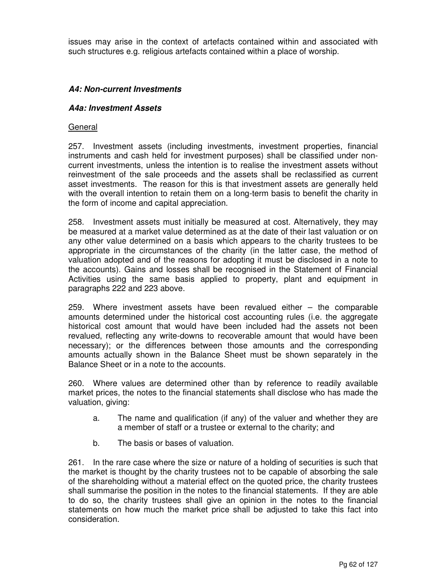issues may arise in the context of artefacts contained within and associated with such structures e.g. religious artefacts contained within a place of worship.

# **A4: Non-current Investments**

# **A4a: Investment Assets**

#### General

257. Investment assets (including investments, investment properties, financial instruments and cash held for investment purposes) shall be classified under noncurrent investments, unless the intention is to realise the investment assets without reinvestment of the sale proceeds and the assets shall be reclassified as current asset investments. The reason for this is that investment assets are generally held with the overall intention to retain them on a long-term basis to benefit the charity in the form of income and capital appreciation.

258. Investment assets must initially be measured at cost. Alternatively, they may be measured at a market value determined as at the date of their last valuation or on any other value determined on a basis which appears to the charity trustees to be appropriate in the circumstances of the charity (in the latter case, the method of valuation adopted and of the reasons for adopting it must be disclosed in a note to the accounts). Gains and losses shall be recognised in the Statement of Financial Activities using the same basis applied to property, plant and equipment in paragraphs 222 and 223 above.

259. Where investment assets have been revalued either – the comparable amounts determined under the historical cost accounting rules (i.e. the aggregate historical cost amount that would have been included had the assets not been revalued, reflecting any write-downs to recoverable amount that would have been necessary); or the differences between those amounts and the corresponding amounts actually shown in the Balance Sheet must be shown separately in the Balance Sheet or in a note to the accounts.

260. Where values are determined other than by reference to readily available market prices, the notes to the financial statements shall disclose who has made the valuation, giving:

- a. The name and qualification (if any) of the valuer and whether they are a member of staff or a trustee or external to the charity; and
- b. The basis or bases of valuation.

261. In the rare case where the size or nature of a holding of securities is such that the market is thought by the charity trustees not to be capable of absorbing the sale of the shareholding without a material effect on the quoted price, the charity trustees shall summarise the position in the notes to the financial statements. If they are able to do so, the charity trustees shall give an opinion in the notes to the financial statements on how much the market price shall be adjusted to take this fact into consideration.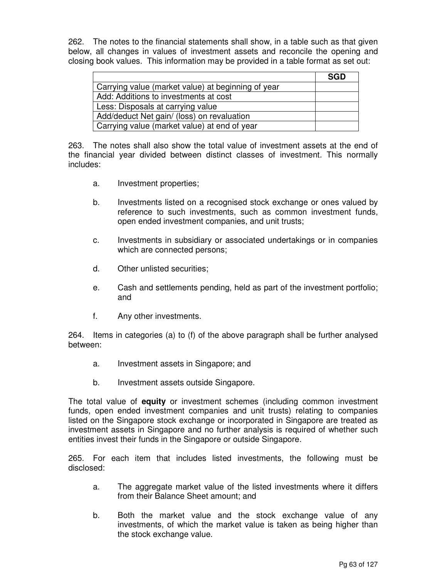262. The notes to the financial statements shall show, in a table such as that given below, all changes in values of investment assets and reconcile the opening and closing book values. This information may be provided in a table format as set out:

|                                                    | <b>SGD</b> |
|----------------------------------------------------|------------|
| Carrying value (market value) at beginning of year |            |
| Add: Additions to investments at cost              |            |
| Less: Disposals at carrying value                  |            |
| Add/deduct Net gain/ (loss) on revaluation         |            |
| Carrying value (market value) at end of year       |            |

263. The notes shall also show the total value of investment assets at the end of the financial year divided between distinct classes of investment. This normally includes:

- a. Investment properties;
- b. Investments listed on a recognised stock exchange or ones valued by reference to such investments, such as common investment funds, open ended investment companies, and unit trusts;
- c. Investments in subsidiary or associated undertakings or in companies which are connected persons;
- d. Other unlisted securities;
- e. Cash and settlements pending, held as part of the investment portfolio; and
- f. Any other investments.

264. Items in categories (a) to (f) of the above paragraph shall be further analysed between:

- a. Investment assets in Singapore; and
- b. Investment assets outside Singapore.

The total value of **equity** or investment schemes (including common investment funds, open ended investment companies and unit trusts) relating to companies listed on the Singapore stock exchange or incorporated in Singapore are treated as investment assets in Singapore and no further analysis is required of whether such entities invest their funds in the Singapore or outside Singapore.

265. For each item that includes listed investments, the following must be disclosed:

- a. The aggregate market value of the listed investments where it differs from their Balance Sheet amount; and
- b. Both the market value and the stock exchange value of any investments, of which the market value is taken as being higher than the stock exchange value.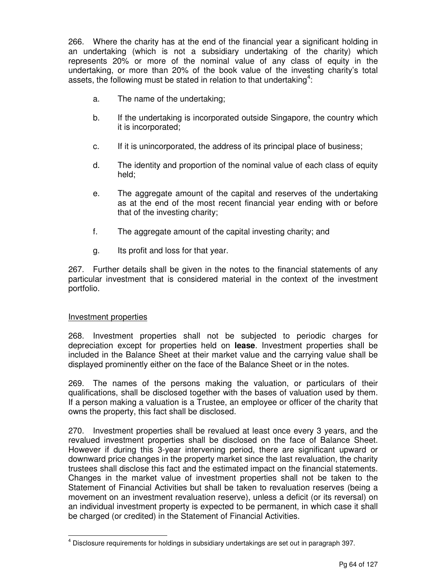266. Where the charity has at the end of the financial year a significant holding in an undertaking (which is not a subsidiary undertaking of the charity) which represents 20% or more of the nominal value of any class of equity in the undertaking, or more than 20% of the book value of the investing charity's total assets, the following must be stated in relation to that undertaking<sup>4</sup>:

- a. The name of the undertaking;
- b. If the undertaking is incorporated outside Singapore, the country which it is incorporated;
- c. If it is unincorporated, the address of its principal place of business;
- d. The identity and proportion of the nominal value of each class of equity held;
- e. The aggregate amount of the capital and reserves of the undertaking as at the end of the most recent financial year ending with or before that of the investing charity;
- f. The aggregate amount of the capital investing charity; and
- g. Its profit and loss for that year.

267. Further details shall be given in the notes to the financial statements of any particular investment that is considered material in the context of the investment portfolio.

# Investment properties

 $\overline{a}$ 

268. Investment properties shall not be subjected to periodic charges for depreciation except for properties held on **lease**. Investment properties shall be included in the Balance Sheet at their market value and the carrying value shall be displayed prominently either on the face of the Balance Sheet or in the notes.

269. The names of the persons making the valuation, or particulars of their qualifications, shall be disclosed together with the bases of valuation used by them. If a person making a valuation is a Trustee, an employee or officer of the charity that owns the property, this fact shall be disclosed.

270. Investment properties shall be revalued at least once every 3 years, and the revalued investment properties shall be disclosed on the face of Balance Sheet. However if during this 3-year intervening period, there are significant upward or downward price changes in the property market since the last revaluation, the charity trustees shall disclose this fact and the estimated impact on the financial statements. Changes in the market value of investment properties shall not be taken to the Statement of Financial Activities but shall be taken to revaluation reserves (being a movement on an investment revaluation reserve), unless a deficit (or its reversal) on an individual investment property is expected to be permanent, in which case it shall be charged (or credited) in the Statement of Financial Activities.

<sup>&</sup>lt;sup>4</sup> Disclosure requirements for holdings in subsidiary undertakings are set out in paragraph 397.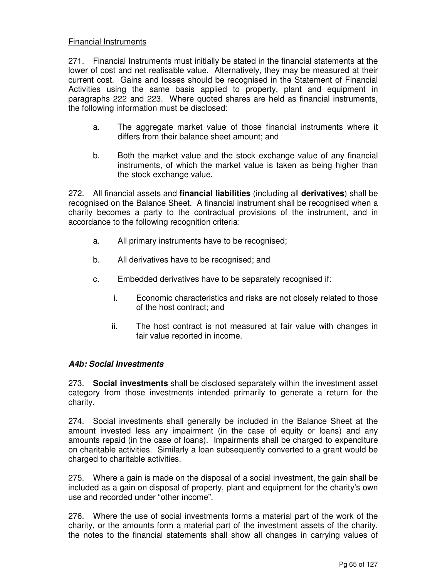# Financial Instruments

271. Financial Instruments must initially be stated in the financial statements at the lower of cost and net realisable value. Alternatively, they may be measured at their current cost. Gains and losses should be recognised in the Statement of Financial Activities using the same basis applied to property, plant and equipment in paragraphs 222 and 223. Where quoted shares are held as financial instruments, the following information must be disclosed:

- a. The aggregate market value of those financial instruments where it differs from their balance sheet amount; and
- b. Both the market value and the stock exchange value of any financial instruments, of which the market value is taken as being higher than the stock exchange value.

272. All financial assets and **financial liabilities** (including all **derivatives**) shall be recognised on the Balance Sheet. A financial instrument shall be recognised when a charity becomes a party to the contractual provisions of the instrument, and in accordance to the following recognition criteria:

- a. All primary instruments have to be recognised;
- b. All derivatives have to be recognised; and
- c. Embedded derivatives have to be separately recognised if:
	- i. Economic characteristics and risks are not closely related to those of the host contract; and
	- ii. The host contract is not measured at fair value with changes in fair value reported in income.

# **A4b: Social Investments**

273. **Social investments** shall be disclosed separately within the investment asset category from those investments intended primarily to generate a return for the charity.

274. Social investments shall generally be included in the Balance Sheet at the amount invested less any impairment (in the case of equity or loans) and any amounts repaid (in the case of loans). Impairments shall be charged to expenditure on charitable activities. Similarly a loan subsequently converted to a grant would be charged to charitable activities.

275. Where a gain is made on the disposal of a social investment, the gain shall be included as a gain on disposal of property, plant and equipment for the charity's own use and recorded under "other income".

276. Where the use of social investments forms a material part of the work of the charity, or the amounts form a material part of the investment assets of the charity, the notes to the financial statements shall show all changes in carrying values of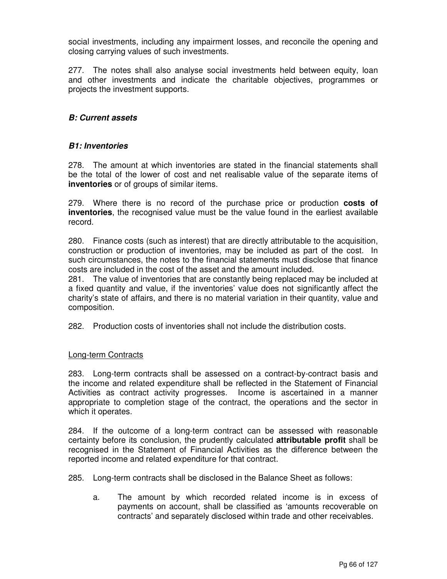social investments, including any impairment losses, and reconcile the opening and closing carrying values of such investments.

277. The notes shall also analyse social investments held between equity, loan and other investments and indicate the charitable objectives, programmes or projects the investment supports.

# **B: Current assets**

# **B1: Inventories**

278. The amount at which inventories are stated in the financial statements shall be the total of the lower of cost and net realisable value of the separate items of **inventories** or of groups of similar items.

279. Where there is no record of the purchase price or production **costs of inventories**, the recognised value must be the value found in the earliest available record.

280. Finance costs (such as interest) that are directly attributable to the acquisition, construction or production of inventories, may be included as part of the cost. In such circumstances, the notes to the financial statements must disclose that finance costs are included in the cost of the asset and the amount included.

281. The value of inventories that are constantly being replaced may be included at a fixed quantity and value, if the inventories' value does not significantly affect the charity's state of affairs, and there is no material variation in their quantity, value and composition.

282. Production costs of inventories shall not include the distribution costs.

# Long-term Contracts

283. Long-term contracts shall be assessed on a contract-by-contract basis and the income and related expenditure shall be reflected in the Statement of Financial Activities as contract activity progresses. Income is ascertained in a manner appropriate to completion stage of the contract, the operations and the sector in which it operates.

284. If the outcome of a long-term contract can be assessed with reasonable certainty before its conclusion, the prudently calculated **attributable profit** shall be recognised in the Statement of Financial Activities as the difference between the reported income and related expenditure for that contract.

285. Long-term contracts shall be disclosed in the Balance Sheet as follows:

a. The amount by which recorded related income is in excess of payments on account, shall be classified as 'amounts recoverable on contracts' and separately disclosed within trade and other receivables.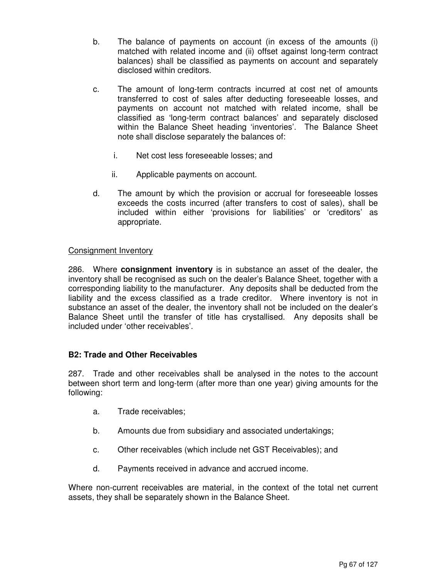- b. The balance of payments on account (in excess of the amounts (i) matched with related income and (ii) offset against long-term contract balances) shall be classified as payments on account and separately disclosed within creditors.
- c. The amount of long-term contracts incurred at cost net of amounts transferred to cost of sales after deducting foreseeable losses, and payments on account not matched with related income, shall be classified as 'long-term contract balances' and separately disclosed within the Balance Sheet heading 'inventories'. The Balance Sheet note shall disclose separately the balances of:
	- i. Net cost less foreseeable losses; and
	- ii. Applicable payments on account.
- d. The amount by which the provision or accrual for foreseeable losses exceeds the costs incurred (after transfers to cost of sales), shall be included within either 'provisions for liabilities' or 'creditors' as appropriate.

# Consignment Inventory

286. Where **consignment inventory** is in substance an asset of the dealer, the inventory shall be recognised as such on the dealer's Balance Sheet, together with a corresponding liability to the manufacturer. Any deposits shall be deducted from the liability and the excess classified as a trade creditor. Where inventory is not in substance an asset of the dealer, the inventory shall not be included on the dealer's Balance Sheet until the transfer of title has crystallised. Any deposits shall be included under 'other receivables'.

# **B2: Trade and Other Receivables**

287. Trade and other receivables shall be analysed in the notes to the account between short term and long-term (after more than one year) giving amounts for the following:

- a. Trade receivables;
- b. Amounts due from subsidiary and associated undertakings;
- c. Other receivables (which include net GST Receivables); and
- d. Payments received in advance and accrued income.

Where non-current receivables are material, in the context of the total net current assets, they shall be separately shown in the Balance Sheet.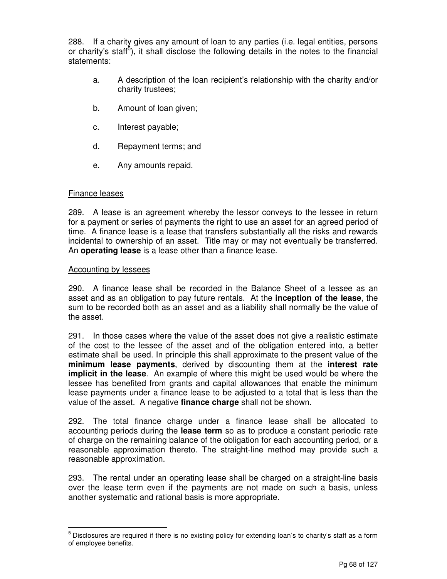288. If a charity gives any amount of loan to any parties (i.e. legal entities, persons or charity's staff<sup>5</sup>), it shall disclose the following details in the notes to the financial statements:

- a. A description of the loan recipient's relationship with the charity and/or charity trustees;
- b. Amount of loan given;
- c. Interest payable;
- d. Repayment terms; and
- e. Any amounts repaid.

# Finance leases

289. A lease is an agreement whereby the lessor conveys to the lessee in return for a payment or series of payments the right to use an asset for an agreed period of time. A finance lease is a lease that transfers substantially all the risks and rewards incidental to ownership of an asset. Title may or may not eventually be transferred. An **operating lease** is a lease other than a finance lease.

# Accounting by lessees

 $\overline{a}$ 

290. A finance lease shall be recorded in the Balance Sheet of a lessee as an asset and as an obligation to pay future rentals. At the **inception of the lease**, the sum to be recorded both as an asset and as a liability shall normally be the value of the asset.

291. In those cases where the value of the asset does not give a realistic estimate of the cost to the lessee of the asset and of the obligation entered into, a better estimate shall be used. In principle this shall approximate to the present value of the **minimum lease payments**, derived by discounting them at the **interest rate implicit in the lease**. An example of where this might be used would be where the lessee has benefited from grants and capital allowances that enable the minimum lease payments under a finance lease to be adjusted to a total that is less than the value of the asset. A negative **finance charge** shall not be shown.

292. The total finance charge under a finance lease shall be allocated to accounting periods during the **lease term** so as to produce a constant periodic rate of charge on the remaining balance of the obligation for each accounting period, or a reasonable approximation thereto. The straight-line method may provide such a reasonable approximation.

293. The rental under an operating lease shall be charged on a straight-line basis over the lease term even if the payments are not made on such a basis, unless another systematic and rational basis is more appropriate.

 $5$  Disclosures are required if there is no existing policy for extending loan's to charity's staff as a form of employee benefits.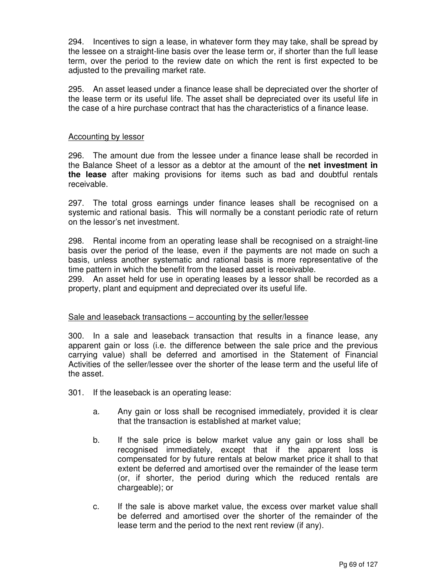294. Incentives to sign a lease, in whatever form they may take, shall be spread by the lessee on a straight-line basis over the lease term or, if shorter than the full lease term, over the period to the review date on which the rent is first expected to be adjusted to the prevailing market rate.

295. An asset leased under a finance lease shall be depreciated over the shorter of the lease term or its useful life. The asset shall be depreciated over its useful life in the case of a hire purchase contract that has the characteristics of a finance lease.

#### Accounting by lessor

296. The amount due from the lessee under a finance lease shall be recorded in the Balance Sheet of a lessor as a debtor at the amount of the **net investment in the lease** after making provisions for items such as bad and doubtful rentals receivable.

297. The total gross earnings under finance leases shall be recognised on a systemic and rational basis. This will normally be a constant periodic rate of return on the lessor's net investment.

298. Rental income from an operating lease shall be recognised on a straight-line basis over the period of the lease, even if the payments are not made on such a basis, unless another systematic and rational basis is more representative of the time pattern in which the benefit from the leased asset is receivable.

299. An asset held for use in operating leases by a lessor shall be recorded as a property, plant and equipment and depreciated over its useful life.

# Sale and leaseback transactions – accounting by the seller/lessee

300. In a sale and leaseback transaction that results in a finance lease, any apparent gain or loss (i.e. the difference between the sale price and the previous carrying value) shall be deferred and amortised in the Statement of Financial Activities of the seller/lessee over the shorter of the lease term and the useful life of the asset.

- 301. If the leaseback is an operating lease:
	- a. Any gain or loss shall be recognised immediately, provided it is clear that the transaction is established at market value;
	- b. If the sale price is below market value any gain or loss shall be recognised immediately, except that if the apparent loss is compensated for by future rentals at below market price it shall to that extent be deferred and amortised over the remainder of the lease term (or, if shorter, the period during which the reduced rentals are chargeable); or
	- c. If the sale is above market value, the excess over market value shall be deferred and amortised over the shorter of the remainder of the lease term and the period to the next rent review (if any).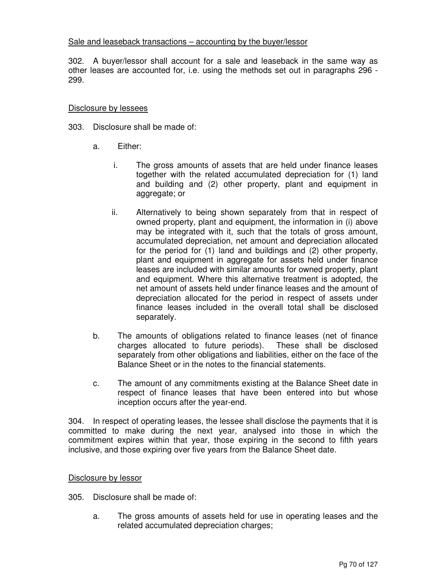# Sale and leaseback transactions – accounting by the buyer/lessor

302. A buyer/lessor shall account for a sale and leaseback in the same way as other leases are accounted for, i.e. using the methods set out in paragraphs 296 - 299.

#### Disclosure by lessees

- 303. Disclosure shall be made of:
	- a. Either:
		- i. The gross amounts of assets that are held under finance leases together with the related accumulated depreciation for (1) land and building and (2) other property, plant and equipment in aggregate; or
		- ii. Alternatively to being shown separately from that in respect of owned property, plant and equipment, the information in (i) above may be integrated with it, such that the totals of gross amount, accumulated depreciation, net amount and depreciation allocated for the period for (1) land and buildings and (2) other property, plant and equipment in aggregate for assets held under finance leases are included with similar amounts for owned property, plant and equipment. Where this alternative treatment is adopted, the net amount of assets held under finance leases and the amount of depreciation allocated for the period in respect of assets under finance leases included in the overall total shall be disclosed separately.
	- b. The amounts of obligations related to finance leases (net of finance charges allocated to future periods). These shall be disclosed separately from other obligations and liabilities, either on the face of the Balance Sheet or in the notes to the financial statements.
	- c. The amount of any commitments existing at the Balance Sheet date in respect of finance leases that have been entered into but whose inception occurs after the year-end.

304. In respect of operating leases, the lessee shall disclose the payments that it is committed to make during the next year, analysed into those in which the commitment expires within that year, those expiring in the second to fifth years inclusive, and those expiring over five years from the Balance Sheet date.

#### Disclosure by lessor

- 305. Disclosure shall be made of:
	- a. The gross amounts of assets held for use in operating leases and the related accumulated depreciation charges;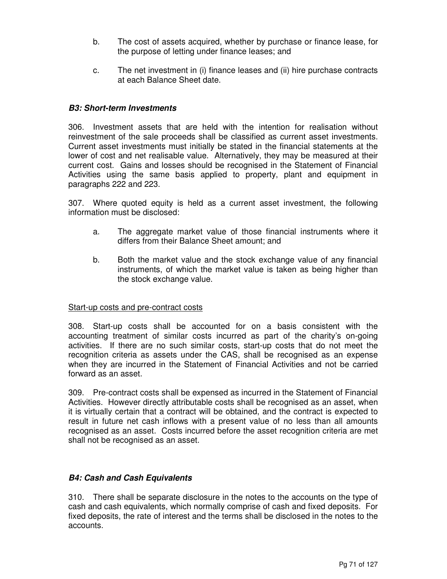- b. The cost of assets acquired, whether by purchase or finance lease, for the purpose of letting under finance leases; and
- c. The net investment in (i) finance leases and (ii) hire purchase contracts at each Balance Sheet date.

# **B3: Short-term Investments**

306. Investment assets that are held with the intention for realisation without reinvestment of the sale proceeds shall be classified as current asset investments. Current asset investments must initially be stated in the financial statements at the lower of cost and net realisable value. Alternatively, they may be measured at their current cost. Gains and losses should be recognised in the Statement of Financial Activities using the same basis applied to property, plant and equipment in paragraphs 222 and 223.

307. Where quoted equity is held as a current asset investment, the following information must be disclosed:

- a. The aggregate market value of those financial instruments where it differs from their Balance Sheet amount; and
- b. Both the market value and the stock exchange value of any financial instruments, of which the market value is taken as being higher than the stock exchange value.

# Start-up costs and pre-contract costs

308. Start-up costs shall be accounted for on a basis consistent with the accounting treatment of similar costs incurred as part of the charity's on-going activities. If there are no such similar costs, start-up costs that do not meet the recognition criteria as assets under the CAS, shall be recognised as an expense when they are incurred in the Statement of Financial Activities and not be carried forward as an asset.

309. Pre-contract costs shall be expensed as incurred in the Statement of Financial Activities. However directly attributable costs shall be recognised as an asset, when it is virtually certain that a contract will be obtained, and the contract is expected to result in future net cash inflows with a present value of no less than all amounts recognised as an asset. Costs incurred before the asset recognition criteria are met shall not be recognised as an asset.

# **B4: Cash and Cash Equivalents**

310. There shall be separate disclosure in the notes to the accounts on the type of cash and cash equivalents, which normally comprise of cash and fixed deposits. For fixed deposits, the rate of interest and the terms shall be disclosed in the notes to the accounts.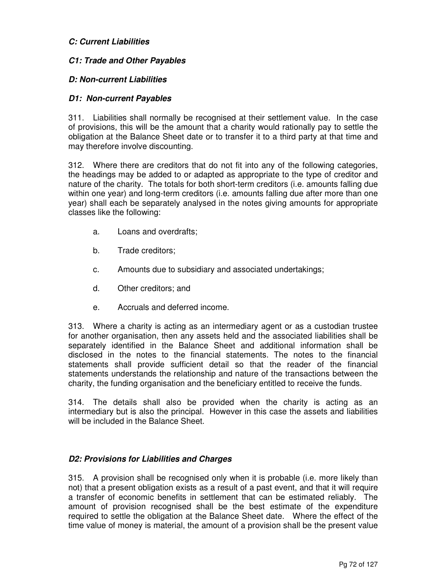# **C: Current Liabilities**

# **C1: Trade and Other Payables**

# **D: Non-current Liabilities**

# **D1: Non-current Payables**

311. Liabilities shall normally be recognised at their settlement value. In the case of provisions, this will be the amount that a charity would rationally pay to settle the obligation at the Balance Sheet date or to transfer it to a third party at that time and may therefore involve discounting.

312. Where there are creditors that do not fit into any of the following categories, the headings may be added to or adapted as appropriate to the type of creditor and nature of the charity. The totals for both short-term creditors (i.e. amounts falling due within one year) and long-term creditors (i.e. amounts falling due after more than one year) shall each be separately analysed in the notes giving amounts for appropriate classes like the following:

- a. Loans and overdrafts;
- b. Trade creditors;
- c. Amounts due to subsidiary and associated undertakings;
- d. Other creditors; and
- e. Accruals and deferred income.

313. Where a charity is acting as an intermediary agent or as a custodian trustee for another organisation, then any assets held and the associated liabilities shall be separately identified in the Balance Sheet and additional information shall be disclosed in the notes to the financial statements. The notes to the financial statements shall provide sufficient detail so that the reader of the financial statements understands the relationship and nature of the transactions between the charity, the funding organisation and the beneficiary entitled to receive the funds.

314. The details shall also be provided when the charity is acting as an intermediary but is also the principal. However in this case the assets and liabilities will be included in the Balance Sheet.

# **D2: Provisions for Liabilities and Charges**

315. A provision shall be recognised only when it is probable (i.e. more likely than not) that a present obligation exists as a result of a past event, and that it will require a transfer of economic benefits in settlement that can be estimated reliably. The amount of provision recognised shall be the best estimate of the expenditure required to settle the obligation at the Balance Sheet date. Where the effect of the time value of money is material, the amount of a provision shall be the present value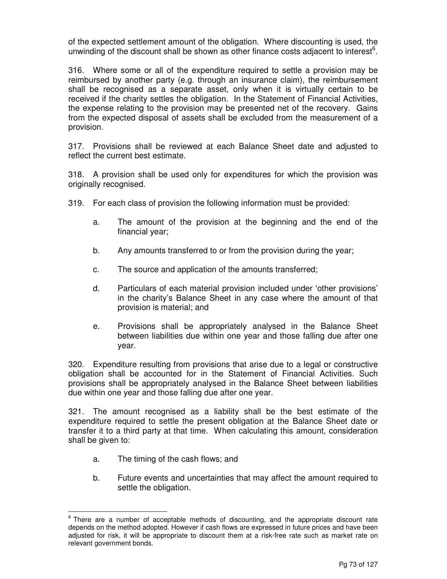of the expected settlement amount of the obligation. Where discounting is used, the unwinding of the discount shall be shown as other finance costs adjacent to interest $6$ .

316. Where some or all of the expenditure required to settle a provision may be reimbursed by another party (e.g. through an insurance claim), the reimbursement shall be recognised as a separate asset, only when it is virtually certain to be received if the charity settles the obligation. In the Statement of Financial Activities, the expense relating to the provision may be presented net of the recovery. Gains from the expected disposal of assets shall be excluded from the measurement of a provision.

317. Provisions shall be reviewed at each Balance Sheet date and adjusted to reflect the current best estimate.

318. A provision shall be used only for expenditures for which the provision was originally recognised.

- 319. For each class of provision the following information must be provided:
	- a. The amount of the provision at the beginning and the end of the financial year;
	- b. Any amounts transferred to or from the provision during the year;
	- c. The source and application of the amounts transferred;
	- d. Particulars of each material provision included under 'other provisions' in the charity's Balance Sheet in any case where the amount of that provision is material; and
	- e. Provisions shall be appropriately analysed in the Balance Sheet between liabilities due within one year and those falling due after one year.

320. Expenditure resulting from provisions that arise due to a legal or constructive obligation shall be accounted for in the Statement of Financial Activities. Such provisions shall be appropriately analysed in the Balance Sheet between liabilities due within one year and those falling due after one year.

321. The amount recognised as a liability shall be the best estimate of the expenditure required to settle the present obligation at the Balance Sheet date or transfer it to a third party at that time. When calculating this amount, consideration shall be given to:

a. The timing of the cash flows; and

 $\overline{a}$ 

b. Future events and uncertainties that may affect the amount required to settle the obligation.

 $6$  There are a number of acceptable methods of discounting, and the appropriate discount rate depends on the method adopted. However if cash flows are expressed in future prices and have been adjusted for risk, it will be appropriate to discount them at a risk-free rate such as market rate on relevant government bonds.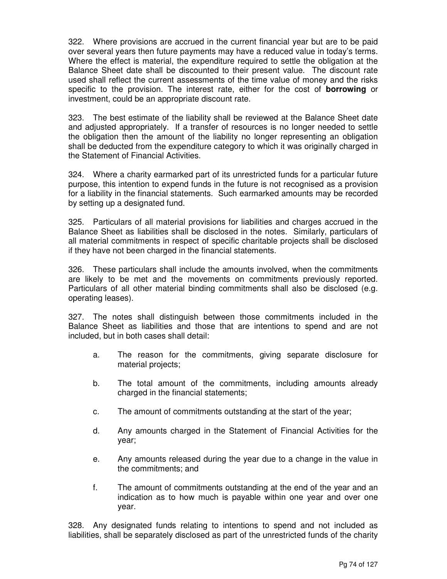322. Where provisions are accrued in the current financial year but are to be paid over several years then future payments may have a reduced value in today's terms. Where the effect is material, the expenditure required to settle the obligation at the Balance Sheet date shall be discounted to their present value. The discount rate used shall reflect the current assessments of the time value of money and the risks specific to the provision. The interest rate, either for the cost of **borrowing** or investment, could be an appropriate discount rate.

323. The best estimate of the liability shall be reviewed at the Balance Sheet date and adjusted appropriately. If a transfer of resources is no longer needed to settle the obligation then the amount of the liability no longer representing an obligation shall be deducted from the expenditure category to which it was originally charged in the Statement of Financial Activities.

324. Where a charity earmarked part of its unrestricted funds for a particular future purpose, this intention to expend funds in the future is not recognised as a provision for a liability in the financial statements. Such earmarked amounts may be recorded by setting up a designated fund.

325. Particulars of all material provisions for liabilities and charges accrued in the Balance Sheet as liabilities shall be disclosed in the notes. Similarly, particulars of all material commitments in respect of specific charitable projects shall be disclosed if they have not been charged in the financial statements.

326. These particulars shall include the amounts involved, when the commitments are likely to be met and the movements on commitments previously reported. Particulars of all other material binding commitments shall also be disclosed (e.g. operating leases).

327. The notes shall distinguish between those commitments included in the Balance Sheet as liabilities and those that are intentions to spend and are not included, but in both cases shall detail:

- a. The reason for the commitments, giving separate disclosure for material projects;
- b. The total amount of the commitments, including amounts already charged in the financial statements;
- c. The amount of commitments outstanding at the start of the year;
- d. Any amounts charged in the Statement of Financial Activities for the year;
- e. Any amounts released during the year due to a change in the value in the commitments; and
- f. The amount of commitments outstanding at the end of the year and an indication as to how much is payable within one year and over one year.

328. Any designated funds relating to intentions to spend and not included as liabilities, shall be separately disclosed as part of the unrestricted funds of the charity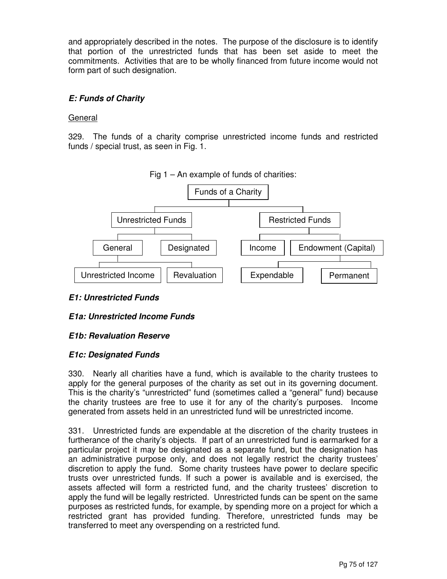and appropriately described in the notes. The purpose of the disclosure is to identify that portion of the unrestricted funds that has been set aside to meet the commitments. Activities that are to be wholly financed from future income would not form part of such designation.

# **E: Funds of Charity**

### General

329. The funds of a charity comprise unrestricted income funds and restricted funds / special trust, as seen in Fig. 1.



Fig  $1 - An$  example of funds of charities:

# **E1: Unrestricted Funds**

# **E1a: Unrestricted Income Funds**

# **E1b: Revaluation Reserve**

# **E1c: Designated Funds**

330. Nearly all charities have a fund, which is available to the charity trustees to apply for the general purposes of the charity as set out in its governing document. This is the charity's "unrestricted" fund (sometimes called a "general" fund) because the charity trustees are free to use it for any of the charity's purposes. Income generated from assets held in an unrestricted fund will be unrestricted income.

331. Unrestricted funds are expendable at the discretion of the charity trustees in furtherance of the charity's objects. If part of an unrestricted fund is earmarked for a particular project it may be designated as a separate fund, but the designation has an administrative purpose only, and does not legally restrict the charity trustees' discretion to apply the fund. Some charity trustees have power to declare specific trusts over unrestricted funds. If such a power is available and is exercised, the assets affected will form a restricted fund, and the charity trustees' discretion to apply the fund will be legally restricted. Unrestricted funds can be spent on the same purposes as restricted funds, for example, by spending more on a project for which a restricted grant has provided funding. Therefore, unrestricted funds may be transferred to meet any overspending on a restricted fund.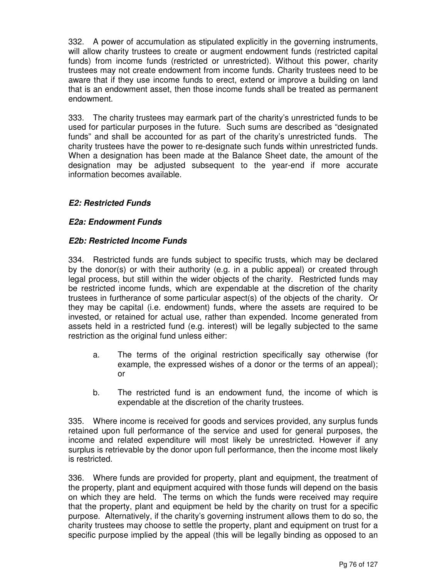332. A power of accumulation as stipulated explicitly in the governing instruments, will allow charity trustees to create or augment endowment funds (restricted capital funds) from income funds (restricted or unrestricted). Without this power, charity trustees may not create endowment from income funds. Charity trustees need to be aware that if they use income funds to erect, extend or improve a building on land that is an endowment asset, then those income funds shall be treated as permanent endowment.

333. The charity trustees may earmark part of the charity's unrestricted funds to be used for particular purposes in the future. Such sums are described as "designated funds" and shall be accounted for as part of the charity's unrestricted funds. The charity trustees have the power to re-designate such funds within unrestricted funds. When a designation has been made at the Balance Sheet date, the amount of the designation may be adjusted subsequent to the year-end if more accurate information becomes available.

# **E2: Restricted Funds**

## **E2a: Endowment Funds**

## **E2b: Restricted Income Funds**

334. Restricted funds are funds subject to specific trusts, which may be declared by the donor(s) or with their authority (e.g. in a public appeal) or created through legal process, but still within the wider objects of the charity. Restricted funds may be restricted income funds, which are expendable at the discretion of the charity trustees in furtherance of some particular aspect(s) of the objects of the charity. Or they may be capital (i.e. endowment) funds, where the assets are required to be invested, or retained for actual use, rather than expended. Income generated from assets held in a restricted fund (e.g. interest) will be legally subjected to the same restriction as the original fund unless either:

- a. The terms of the original restriction specifically say otherwise (for example, the expressed wishes of a donor or the terms of an appeal); or
- b. The restricted fund is an endowment fund, the income of which is expendable at the discretion of the charity trustees.

335. Where income is received for goods and services provided, any surplus funds retained upon full performance of the service and used for general purposes, the income and related expenditure will most likely be unrestricted. However if any surplus is retrievable by the donor upon full performance, then the income most likely is restricted.

336. Where funds are provided for property, plant and equipment, the treatment of the property, plant and equipment acquired with those funds will depend on the basis on which they are held. The terms on which the funds were received may require that the property, plant and equipment be held by the charity on trust for a specific purpose. Alternatively, if the charity's governing instrument allows them to do so, the charity trustees may choose to settle the property, plant and equipment on trust for a specific purpose implied by the appeal (this will be legally binding as opposed to an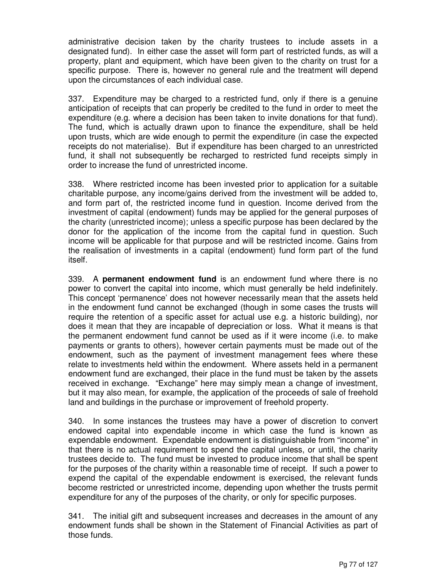administrative decision taken by the charity trustees to include assets in a designated fund). In either case the asset will form part of restricted funds, as will a property, plant and equipment, which have been given to the charity on trust for a specific purpose. There is, however no general rule and the treatment will depend upon the circumstances of each individual case.

337. Expenditure may be charged to a restricted fund, only if there is a genuine anticipation of receipts that can properly be credited to the fund in order to meet the expenditure (e.g. where a decision has been taken to invite donations for that fund). The fund, which is actually drawn upon to finance the expenditure, shall be held upon trusts, which are wide enough to permit the expenditure (in case the expected receipts do not materialise). But if expenditure has been charged to an unrestricted fund, it shall not subsequently be recharged to restricted fund receipts simply in order to increase the fund of unrestricted income.

338. Where restricted income has been invested prior to application for a suitable charitable purpose, any income/gains derived from the investment will be added to, and form part of, the restricted income fund in question. Income derived from the investment of capital (endowment) funds may be applied for the general purposes of the charity (unrestricted income); unless a specific purpose has been declared by the donor for the application of the income from the capital fund in question. Such income will be applicable for that purpose and will be restricted income. Gains from the realisation of investments in a capital (endowment) fund form part of the fund itself.

339. A **permanent endowment fund** is an endowment fund where there is no power to convert the capital into income, which must generally be held indefinitely. This concept 'permanence' does not however necessarily mean that the assets held in the endowment fund cannot be exchanged (though in some cases the trusts will require the retention of a specific asset for actual use e.g. a historic building), nor does it mean that they are incapable of depreciation or loss. What it means is that the permanent endowment fund cannot be used as if it were income (i.e. to make payments or grants to others), however certain payments must be made out of the endowment, such as the payment of investment management fees where these relate to investments held within the endowment. Where assets held in a permanent endowment fund are exchanged, their place in the fund must be taken by the assets received in exchange. "Exchange" here may simply mean a change of investment, but it may also mean, for example, the application of the proceeds of sale of freehold land and buildings in the purchase or improvement of freehold property.

340. In some instances the trustees may have a power of discretion to convert endowed capital into expendable income in which case the fund is known as expendable endowment. Expendable endowment is distinguishable from "income" in that there is no actual requirement to spend the capital unless, or until, the charity trustees decide to. The fund must be invested to produce income that shall be spent for the purposes of the charity within a reasonable time of receipt. If such a power to expend the capital of the expendable endowment is exercised, the relevant funds become restricted or unrestricted income, depending upon whether the trusts permit expenditure for any of the purposes of the charity, or only for specific purposes.

341. The initial gift and subsequent increases and decreases in the amount of any endowment funds shall be shown in the Statement of Financial Activities as part of those funds.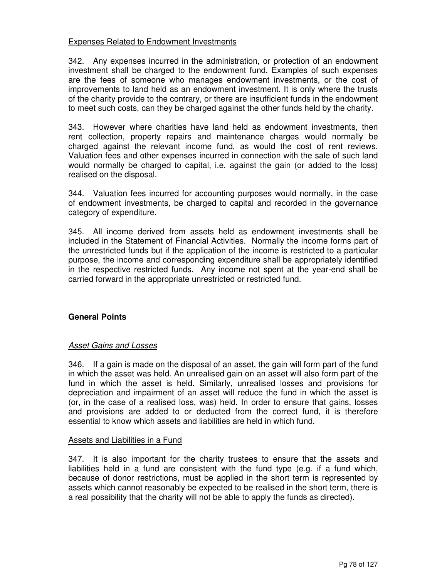### Expenses Related to Endowment Investments

342. Any expenses incurred in the administration, or protection of an endowment investment shall be charged to the endowment fund. Examples of such expenses are the fees of someone who manages endowment investments, or the cost of improvements to land held as an endowment investment. It is only where the trusts of the charity provide to the contrary, or there are insufficient funds in the endowment to meet such costs, can they be charged against the other funds held by the charity.

343. However where charities have land held as endowment investments, then rent collection, property repairs and maintenance charges would normally be charged against the relevant income fund, as would the cost of rent reviews. Valuation fees and other expenses incurred in connection with the sale of such land would normally be charged to capital, i.e. against the gain (or added to the loss) realised on the disposal.

344. Valuation fees incurred for accounting purposes would normally, in the case of endowment investments, be charged to capital and recorded in the governance category of expenditure.

345. All income derived from assets held as endowment investments shall be included in the Statement of Financial Activities. Normally the income forms part of the unrestricted funds but if the application of the income is restricted to a particular purpose, the income and corresponding expenditure shall be appropriately identified in the respective restricted funds. Any income not spent at the year-end shall be carried forward in the appropriate unrestricted or restricted fund.

# **General Points**

### **Asset Gains and Losses**

346. If a gain is made on the disposal of an asset, the gain will form part of the fund in which the asset was held. An unrealised gain on an asset will also form part of the fund in which the asset is held. Similarly, unrealised losses and provisions for depreciation and impairment of an asset will reduce the fund in which the asset is (or, in the case of a realised loss, was) held. In order to ensure that gains, losses and provisions are added to or deducted from the correct fund, it is therefore essential to know which assets and liabilities are held in which fund.

### Assets and Liabilities in a Fund

347. It is also important for the charity trustees to ensure that the assets and liabilities held in a fund are consistent with the fund type (e.g. if a fund which, because of donor restrictions, must be applied in the short term is represented by assets which cannot reasonably be expected to be realised in the short term, there is a real possibility that the charity will not be able to apply the funds as directed).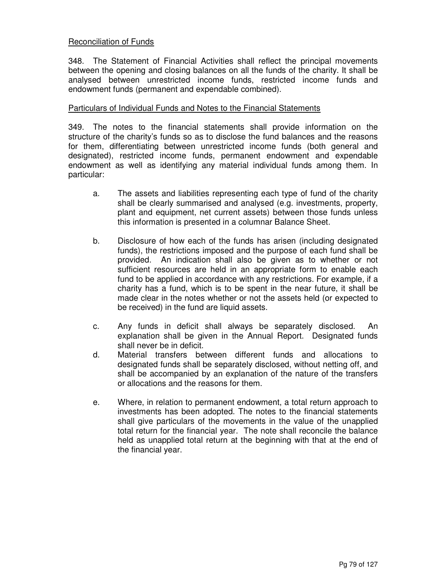### Reconciliation of Funds

348. The Statement of Financial Activities shall reflect the principal movements between the opening and closing balances on all the funds of the charity. It shall be analysed between unrestricted income funds, restricted income funds and endowment funds (permanent and expendable combined).

### Particulars of Individual Funds and Notes to the Financial Statements

349. The notes to the financial statements shall provide information on the structure of the charity's funds so as to disclose the fund balances and the reasons for them, differentiating between unrestricted income funds (both general and designated), restricted income funds, permanent endowment and expendable endowment as well as identifying any material individual funds among them. In particular:

- a. The assets and liabilities representing each type of fund of the charity shall be clearly summarised and analysed (e.g. investments, property, plant and equipment, net current assets) between those funds unless this information is presented in a columnar Balance Sheet.
- b. Disclosure of how each of the funds has arisen (including designated funds), the restrictions imposed and the purpose of each fund shall be provided. An indication shall also be given as to whether or not sufficient resources are held in an appropriate form to enable each fund to be applied in accordance with any restrictions. For example, if a charity has a fund, which is to be spent in the near future, it shall be made clear in the notes whether or not the assets held (or expected to be received) in the fund are liquid assets.
- c. Any funds in deficit shall always be separately disclosed. An explanation shall be given in the Annual Report. Designated funds shall never be in deficit.
- d. Material transfers between different funds and allocations to designated funds shall be separately disclosed, without netting off, and shall be accompanied by an explanation of the nature of the transfers or allocations and the reasons for them.
- e. Where, in relation to permanent endowment, a total return approach to investments has been adopted. The notes to the financial statements shall give particulars of the movements in the value of the unapplied total return for the financial year. The note shall reconcile the balance held as unapplied total return at the beginning with that at the end of the financial year.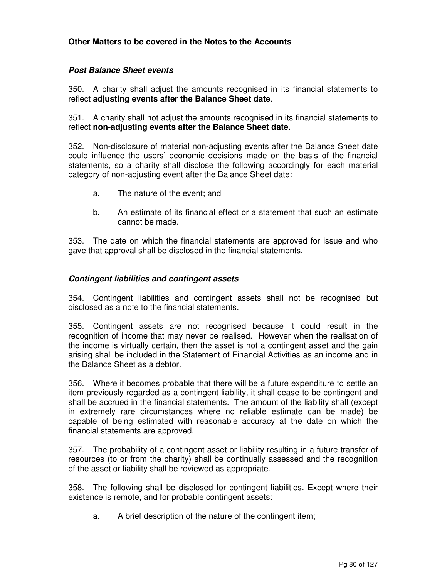## **Other Matters to be covered in the Notes to the Accounts**

## **Post Balance Sheet events**

350. A charity shall adjust the amounts recognised in its financial statements to reflect **adjusting events after the Balance Sheet date**.

351. A charity shall not adjust the amounts recognised in its financial statements to reflect **non-adjusting events after the Balance Sheet date.**

352. Non-disclosure of material non-adjusting events after the Balance Sheet date could influence the users' economic decisions made on the basis of the financial statements, so a charity shall disclose the following accordingly for each material category of non-adjusting event after the Balance Sheet date:

- a. The nature of the event; and
- b. An estimate of its financial effect or a statement that such an estimate cannot be made.

353. The date on which the financial statements are approved for issue and who gave that approval shall be disclosed in the financial statements.

#### **Contingent liabilities and contingent assets**

354. Contingent liabilities and contingent assets shall not be recognised but disclosed as a note to the financial statements.

355. Contingent assets are not recognised because it could result in the recognition of income that may never be realised. However when the realisation of the income is virtually certain, then the asset is not a contingent asset and the gain arising shall be included in the Statement of Financial Activities as an income and in the Balance Sheet as a debtor.

356. Where it becomes probable that there will be a future expenditure to settle an item previously regarded as a contingent liability, it shall cease to be contingent and shall be accrued in the financial statements. The amount of the liability shall (except in extremely rare circumstances where no reliable estimate can be made) be capable of being estimated with reasonable accuracy at the date on which the financial statements are approved.

357. The probability of a contingent asset or liability resulting in a future transfer of resources (to or from the charity) shall be continually assessed and the recognition of the asset or liability shall be reviewed as appropriate.

358. The following shall be disclosed for contingent liabilities. Except where their existence is remote, and for probable contingent assets:

a. A brief description of the nature of the contingent item;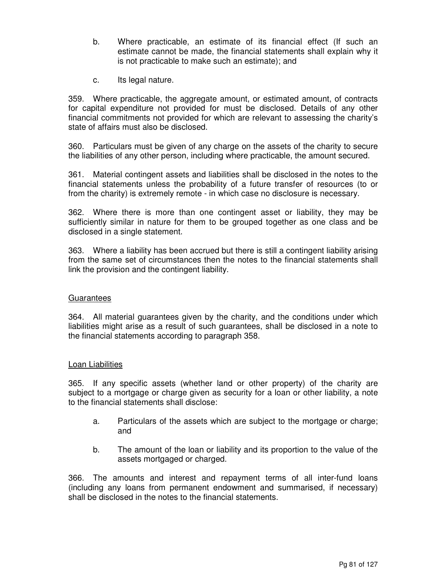- b. Where practicable, an estimate of its financial effect (If such an estimate cannot be made, the financial statements shall explain why it is not practicable to make such an estimate); and
- c. Its legal nature.

359. Where practicable, the aggregate amount, or estimated amount, of contracts for capital expenditure not provided for must be disclosed. Details of any other financial commitments not provided for which are relevant to assessing the charity's state of affairs must also be disclosed.

360. Particulars must be given of any charge on the assets of the charity to secure the liabilities of any other person, including where practicable, the amount secured.

361. Material contingent assets and liabilities shall be disclosed in the notes to the financial statements unless the probability of a future transfer of resources (to or from the charity) is extremely remote - in which case no disclosure is necessary.

362. Where there is more than one contingent asset or liability, they may be sufficiently similar in nature for them to be grouped together as one class and be disclosed in a single statement.

363. Where a liability has been accrued but there is still a contingent liability arising from the same set of circumstances then the notes to the financial statements shall link the provision and the contingent liability.

### **Guarantees**

364. All material guarantees given by the charity, and the conditions under which liabilities might arise as a result of such guarantees, shall be disclosed in a note to the financial statements according to paragraph 358.

### Loan Liabilities

365. If any specific assets (whether land or other property) of the charity are subject to a mortgage or charge given as security for a loan or other liability, a note to the financial statements shall disclose:

- a. Particulars of the assets which are subject to the mortgage or charge; and
- b. The amount of the loan or liability and its proportion to the value of the assets mortgaged or charged.

366. The amounts and interest and repayment terms of all inter-fund loans (including any loans from permanent endowment and summarised, if necessary) shall be disclosed in the notes to the financial statements.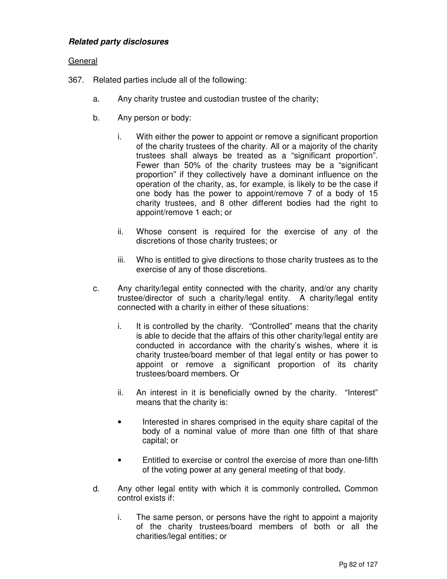## **Related party disclosures**

#### General

- 367. Related parties include all of the following:
	- a. Any charity trustee and custodian trustee of the charity;
	- b. Any person or body:
		- i. With either the power to appoint or remove a significant proportion of the charity trustees of the charity. All or a majority of the charity trustees shall always be treated as a "significant proportion". Fewer than 50% of the charity trustees may be a "significant proportion" if they collectively have a dominant influence on the operation of the charity, as, for example, is likely to be the case if one body has the power to appoint/remove 7 of a body of 15 charity trustees, and 8 other different bodies had the right to appoint/remove 1 each; or
		- ii. Whose consent is required for the exercise of any of the discretions of those charity trustees; or
		- iii. Who is entitled to give directions to those charity trustees as to the exercise of any of those discretions.
	- c. Any charity/legal entity connected with the charity, and/or any charity trustee/director of such a charity/legal entity. A charity/legal entity connected with a charity in either of these situations:
		- i. It is controlled by the charity. "Controlled" means that the charity is able to decide that the affairs of this other charity/legal entity are conducted in accordance with the charity's wishes, where it is charity trustee/board member of that legal entity or has power to appoint or remove a significant proportion of its charity trustees/board members. Or
		- ii. An interest in it is beneficially owned by the charity. "Interest" means that the charity is:
		- Interested in shares comprised in the equity share capital of the body of a nominal value of more than one fifth of that share capital; or
		- Entitled to exercise or control the exercise of more than one-fifth of the voting power at any general meeting of that body.
	- d. Any other legal entity with which it is commonly controlled**.** Common control exists if:
		- i. The same person, or persons have the right to appoint a majority of the charity trustees/board members of both or all the charities/legal entities; or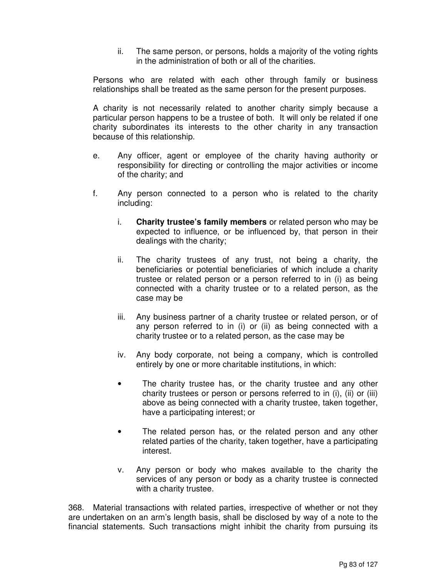ii. The same person, or persons, holds a majority of the voting rights in the administration of both or all of the charities.

Persons who are related with each other through family or business relationships shall be treated as the same person for the present purposes.

A charity is not necessarily related to another charity simply because a particular person happens to be a trustee of both. It will only be related if one charity subordinates its interests to the other charity in any transaction because of this relationship.

- e. Any officer, agent or employee of the charity having authority or responsibility for directing or controlling the major activities or income of the charity; and
- f. Any person connected to a person who is related to the charity including:
	- i. **Charity trustee's family members** or related person who may be expected to influence, or be influenced by, that person in their dealings with the charity;
	- ii. The charity trustees of any trust, not being a charity, the beneficiaries or potential beneficiaries of which include a charity trustee or related person or a person referred to in (i) as being connected with a charity trustee or to a related person, as the case may be
	- iii. Any business partner of a charity trustee or related person, or of any person referred to in (i) or (ii) as being connected with a charity trustee or to a related person, as the case may be
	- iv. Any body corporate, not being a company, which is controlled entirely by one or more charitable institutions, in which:
	- The charity trustee has, or the charity trustee and any other charity trustees or person or persons referred to in (i), (ii) or (iii) above as being connected with a charity trustee, taken together, have a participating interest; or
	- The related person has, or the related person and any other related parties of the charity, taken together, have a participating interest.
	- v. Any person or body who makes available to the charity the services of any person or body as a charity trustee is connected with a charity trustee.

368. Material transactions with related parties, irrespective of whether or not they are undertaken on an arm's length basis, shall be disclosed by way of a note to the financial statements. Such transactions might inhibit the charity from pursuing its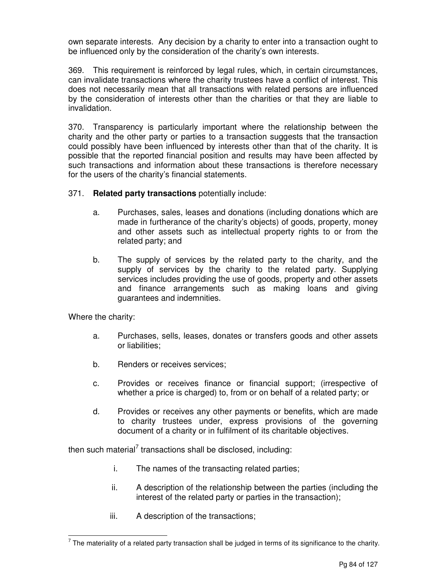own separate interests. Any decision by a charity to enter into a transaction ought to be influenced only by the consideration of the charity's own interests.

369. This requirement is reinforced by legal rules, which, in certain circumstances, can invalidate transactions where the charity trustees have a conflict of interest. This does not necessarily mean that all transactions with related persons are influenced by the consideration of interests other than the charities or that they are liable to invalidation.

370. Transparency is particularly important where the relationship between the charity and the other party or parties to a transaction suggests that the transaction could possibly have been influenced by interests other than that of the charity. It is possible that the reported financial position and results may have been affected by such transactions and information about these transactions is therefore necessary for the users of the charity's financial statements.

371. **Related party transactions** potentially include:

- a. Purchases, sales, leases and donations (including donations which are made in furtherance of the charity's objects) of goods, property, money and other assets such as intellectual property rights to or from the related party; and
- b. The supply of services by the related party to the charity, and the supply of services by the charity to the related party. Supplying services includes providing the use of goods, property and other assets and finance arrangements such as making loans and giving guarantees and indemnities.

Where the charity:

 $\overline{a}$ 

- a. Purchases, sells, leases, donates or transfers goods and other assets or liabilities;
- b. Renders or receives services;
- c. Provides or receives finance or financial support; (irrespective of whether a price is charged) to, from or on behalf of a related party; or
- d. Provides or receives any other payments or benefits, which are made to charity trustees under, express provisions of the governing document of a charity or in fulfilment of its charitable objectives.

then such material<sup>7</sup> transactions shall be disclosed, including:

- i. The names of the transacting related parties;
- ii. A description of the relationship between the parties (including the interest of the related party or parties in the transaction);
- iii. A description of the transactions;

 $^7$  The materiality of a related party transaction shall be judged in terms of its significance to the charity.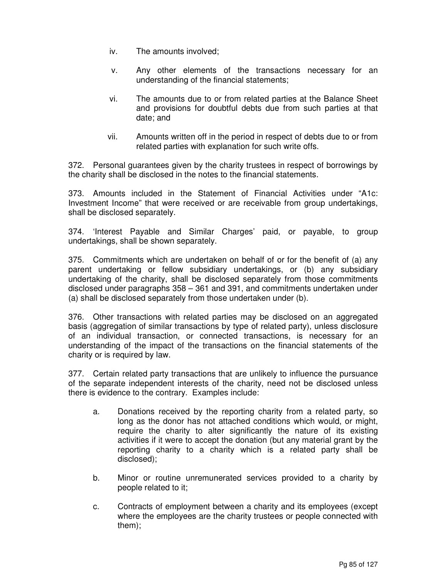- iv. The amounts involved;
- v. Any other elements of the transactions necessary for an understanding of the financial statements;
- vi. The amounts due to or from related parties at the Balance Sheet and provisions for doubtful debts due from such parties at that date; and
- vii. Amounts written off in the period in respect of debts due to or from related parties with explanation for such write offs.

372. Personal guarantees given by the charity trustees in respect of borrowings by the charity shall be disclosed in the notes to the financial statements.

373. Amounts included in the Statement of Financial Activities under "A1c: Investment Income" that were received or are receivable from group undertakings, shall be disclosed separately.

374. 'Interest Payable and Similar Charges' paid, or payable, to group undertakings, shall be shown separately.

375. Commitments which are undertaken on behalf of or for the benefit of (a) any parent undertaking or fellow subsidiary undertakings, or (b) any subsidiary undertaking of the charity, shall be disclosed separately from those commitments disclosed under paragraphs 358 – 361 and 391, and commitments undertaken under (a) shall be disclosed separately from those undertaken under (b).

376. Other transactions with related parties may be disclosed on an aggregated basis (aggregation of similar transactions by type of related party), unless disclosure of an individual transaction, or connected transactions, is necessary for an understanding of the impact of the transactions on the financial statements of the charity or is required by law.

377. Certain related party transactions that are unlikely to influence the pursuance of the separate independent interests of the charity, need not be disclosed unless there is evidence to the contrary. Examples include:

- a. Donations received by the reporting charity from a related party, so long as the donor has not attached conditions which would, or might, require the charity to alter significantly the nature of its existing activities if it were to accept the donation (but any material grant by the reporting charity to a charity which is a related party shall be disclosed);
- b. Minor or routine unremunerated services provided to a charity by people related to it;
- c. Contracts of employment between a charity and its employees (except where the employees are the charity trustees or people connected with them);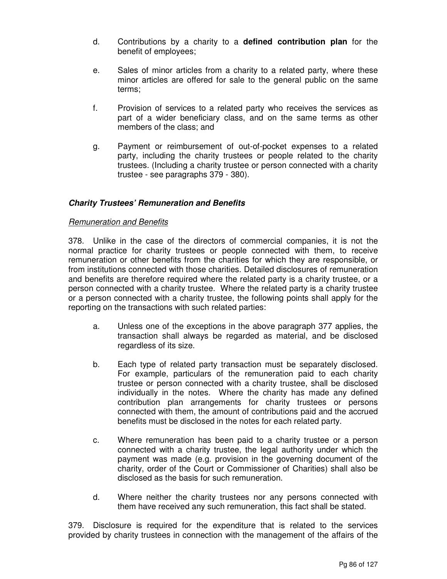- d. Contributions by a charity to a **defined contribution plan** for the benefit of employees;
- e. Sales of minor articles from a charity to a related party, where these minor articles are offered for sale to the general public on the same terms;
- f. Provision of services to a related party who receives the services as part of a wider beneficiary class, and on the same terms as other members of the class; and
- g. Payment or reimbursement of out-of-pocket expenses to a related party, including the charity trustees or people related to the charity trustees. (Including a charity trustee or person connected with a charity trustee - see paragraphs 379 - 380).

# **Charity Trustees' Remuneration and Benefits**

#### Remuneration and Benefits

378. Unlike in the case of the directors of commercial companies, it is not the normal practice for charity trustees or people connected with them, to receive remuneration or other benefits from the charities for which they are responsible, or from institutions connected with those charities. Detailed disclosures of remuneration and benefits are therefore required where the related party is a charity trustee, or a person connected with a charity trustee. Where the related party is a charity trustee or a person connected with a charity trustee, the following points shall apply for the reporting on the transactions with such related parties:

- a. Unless one of the exceptions in the above paragraph 377 applies, the transaction shall always be regarded as material, and be disclosed regardless of its size.
- b. Each type of related party transaction must be separately disclosed. For example, particulars of the remuneration paid to each charity trustee or person connected with a charity trustee, shall be disclosed individually in the notes. Where the charity has made any defined contribution plan arrangements for charity trustees or persons connected with them, the amount of contributions paid and the accrued benefits must be disclosed in the notes for each related party.
- c. Where remuneration has been paid to a charity trustee or a person connected with a charity trustee, the legal authority under which the payment was made (e.g. provision in the governing document of the charity, order of the Court or Commissioner of Charities) shall also be disclosed as the basis for such remuneration.
- d. Where neither the charity trustees nor any persons connected with them have received any such remuneration, this fact shall be stated.

379. Disclosure is required for the expenditure that is related to the services provided by charity trustees in connection with the management of the affairs of the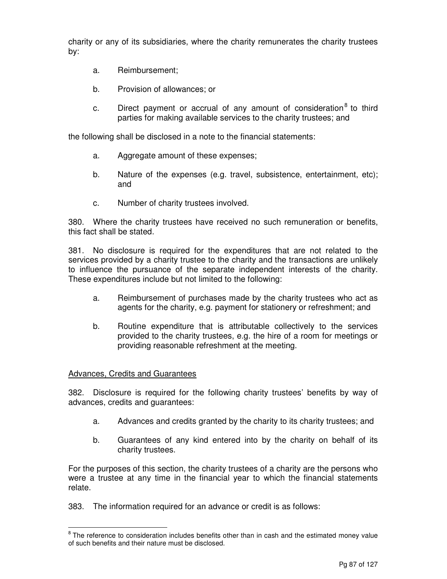charity or any of its subsidiaries, where the charity remunerates the charity trustees by:

- a. Reimbursement;
- b. Provision of allowances; or
- c. Direct payment or accrual of any amount of consideration<sup>8</sup> to third parties for making available services to the charity trustees; and

the following shall be disclosed in a note to the financial statements:

- a. Aggregate amount of these expenses;
- b. Nature of the expenses (e.g. travel, subsistence, entertainment, etc); and
- c. Number of charity trustees involved.

380. Where the charity trustees have received no such remuneration or benefits, this fact shall be stated.

381. No disclosure is required for the expenditures that are not related to the services provided by a charity trustee to the charity and the transactions are unlikely to influence the pursuance of the separate independent interests of the charity. These expenditures include but not limited to the following:

- a. Reimbursement of purchases made by the charity trustees who act as agents for the charity, e.g. payment for stationery or refreshment; and
- b. Routine expenditure that is attributable collectively to the services provided to the charity trustees, e.g. the hire of a room for meetings or providing reasonable refreshment at the meeting.

### Advances, Credits and Guarantees

 $\overline{a}$ 

382. Disclosure is required for the following charity trustees' benefits by way of advances, credits and guarantees:

- a. Advances and credits granted by the charity to its charity trustees; and
- b. Guarantees of any kind entered into by the charity on behalf of its charity trustees.

For the purposes of this section, the charity trustees of a charity are the persons who were a trustee at any time in the financial year to which the financial statements relate.

383. The information required for an advance or credit is as follows:

 $8$  The reference to consideration includes benefits other than in cash and the estimated money value of such benefits and their nature must be disclosed.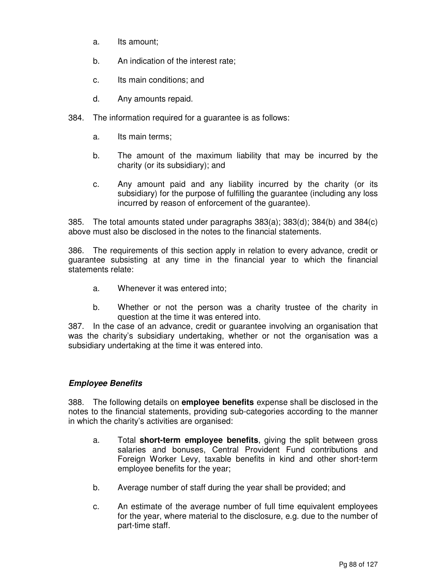- a. Its amount;
- b. An indication of the interest rate;
- c. Its main conditions; and
- d. Any amounts repaid.
- 384. The information required for a guarantee is as follows:
	- a. Its main terms;
	- b. The amount of the maximum liability that may be incurred by the charity (or its subsidiary); and
	- c. Any amount paid and any liability incurred by the charity (or its subsidiary) for the purpose of fulfilling the guarantee (including any loss incurred by reason of enforcement of the guarantee).

385. The total amounts stated under paragraphs 383(a); 383(d); 384(b) and 384(c) above must also be disclosed in the notes to the financial statements.

386. The requirements of this section apply in relation to every advance, credit or guarantee subsisting at any time in the financial year to which the financial statements relate:

- a. Whenever it was entered into;
- b. Whether or not the person was a charity trustee of the charity in question at the time it was entered into.

387. In the case of an advance, credit or guarantee involving an organisation that was the charity's subsidiary undertaking, whether or not the organisation was a subsidiary undertaking at the time it was entered into.

### **Employee Benefits**

388. The following details on **employee benefits** expense shall be disclosed in the notes to the financial statements, providing sub-categories according to the manner in which the charity's activities are organised:

- a. Total **short-term employee benefits**, giving the split between gross salaries and bonuses, Central Provident Fund contributions and Foreign Worker Levy, taxable benefits in kind and other short-term employee benefits for the year;
- b. Average number of staff during the year shall be provided; and
- c. An estimate of the average number of full time equivalent employees for the year, where material to the disclosure, e.g. due to the number of part-time staff.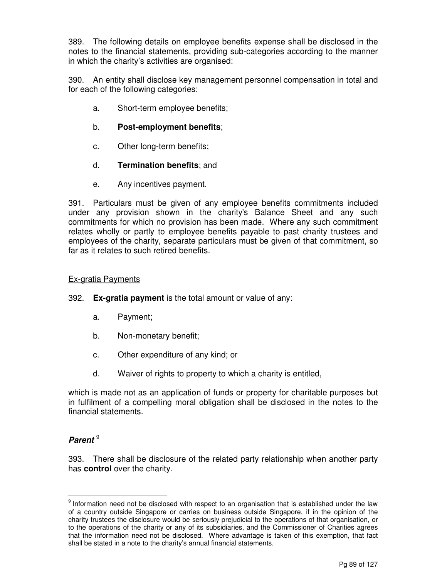389. The following details on employee benefits expense shall be disclosed in the notes to the financial statements, providing sub-categories according to the manner in which the charity's activities are organised:

390. An entity shall disclose key management personnel compensation in total and for each of the following categories:

- a. Short-term employee benefits;
- b. **Post-employment benefits**;
- c. Other long-term benefits;
- d. **Termination benefits**; and
- e. Any incentives payment.

391. Particulars must be given of any employee benefits commitments included under any provision shown in the charity's Balance Sheet and any such commitments for which no provision has been made. Where any such commitment relates wholly or partly to employee benefits payable to past charity trustees and employees of the charity, separate particulars must be given of that commitment, so far as it relates to such retired benefits.

### Ex-gratia Payments

- 392. **Ex-gratia payment** is the total amount or value of any:
	- a. Payment;
	- b. Non-monetary benefit;
	- c. Other expenditure of any kind; or
	- d. Waiver of rights to property to which a charity is entitled,

which is made not as an application of funds or property for charitable purposes but in fulfilment of a compelling moral obligation shall be disclosed in the notes to the financial statements.

# **Parent** <sup>9</sup>

 $\overline{a}$ 

393. There shall be disclosure of the related party relationship when another party has **control** over the charity.

 $9$  Information need not be disclosed with respect to an organisation that is established under the law of a country outside Singapore or carries on business outside Singapore, if in the opinion of the charity trustees the disclosure would be seriously prejudicial to the operations of that organisation, or to the operations of the charity or any of its subsidiaries, and the Commissioner of Charities agrees that the information need not be disclosed. Where advantage is taken of this exemption, that fact shall be stated in a note to the charity's annual financial statements.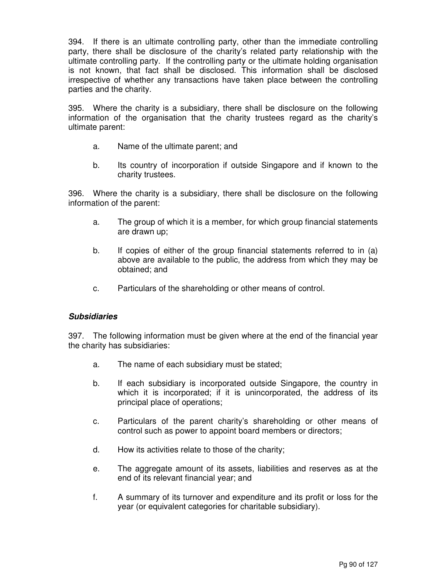394. If there is an ultimate controlling party, other than the immediate controlling party, there shall be disclosure of the charity's related party relationship with the ultimate controlling party. If the controlling party or the ultimate holding organisation is not known, that fact shall be disclosed. This information shall be disclosed irrespective of whether any transactions have taken place between the controlling parties and the charity.

395. Where the charity is a subsidiary, there shall be disclosure on the following information of the organisation that the charity trustees regard as the charity's ultimate parent:

- a. Name of the ultimate parent; and
- b. Its country of incorporation if outside Singapore and if known to the charity trustees.

396. Where the charity is a subsidiary, there shall be disclosure on the following information of the parent:

- a. The group of which it is a member, for which group financial statements are drawn up;
- b. If copies of either of the group financial statements referred to in (a) above are available to the public, the address from which they may be obtained; and
- c. Particulars of the shareholding or other means of control.

### **Subsidiaries**

397. The following information must be given where at the end of the financial year the charity has subsidiaries:

- a. The name of each subsidiary must be stated;
- b. If each subsidiary is incorporated outside Singapore, the country in which it is incorporated; if it is unincorporated, the address of its principal place of operations;
- c. Particulars of the parent charity's shareholding or other means of control such as power to appoint board members or directors;
- d. How its activities relate to those of the charity;
- e. The aggregate amount of its assets, liabilities and reserves as at the end of its relevant financial year; and
- f. A summary of its turnover and expenditure and its profit or loss for the year (or equivalent categories for charitable subsidiary).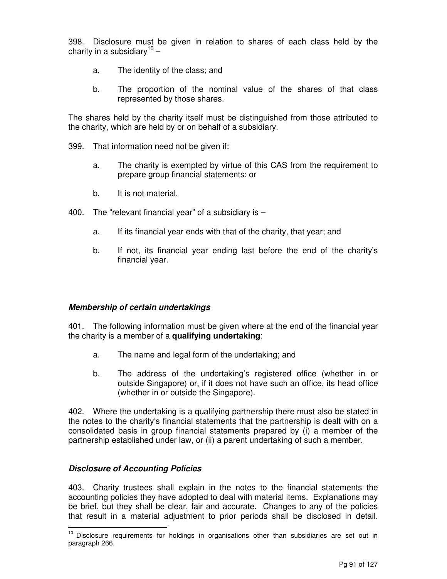398. Disclosure must be given in relation to shares of each class held by the charity in a subsidiary $^{10}$  –

- a. The identity of the class; and
- b. The proportion of the nominal value of the shares of that class represented by those shares.

The shares held by the charity itself must be distinguished from those attributed to the charity, which are held by or on behalf of a subsidiary.

- 399. That information need not be given if:
	- a. The charity is exempted by virtue of this CAS from the requirement to prepare group financial statements; or
	- b. It is not material.
- 400. The "relevant financial year" of a subsidiary is
	- a. If its financial year ends with that of the charity, that year; and
	- b. If not, its financial year ending last before the end of the charity's financial year.

### **Membership of certain undertakings**

401. The following information must be given where at the end of the financial year the charity is a member of a **qualifying undertaking**:

- a. The name and legal form of the undertaking; and
- b. The address of the undertaking's registered office (whether in or outside Singapore) or, if it does not have such an office, its head office (whether in or outside the Singapore).

402. Where the undertaking is a qualifying partnership there must also be stated in the notes to the charity's financial statements that the partnership is dealt with on a consolidated basis in group financial statements prepared by (i) a member of the partnership established under law, or (ii) a parent undertaking of such a member.

### **Disclosure of Accounting Policies**

 $\overline{a}$ 

403. Charity trustees shall explain in the notes to the financial statements the accounting policies they have adopted to deal with material items. Explanations may be brief, but they shall be clear, fair and accurate. Changes to any of the policies that result in a material adjustment to prior periods shall be disclosed in detail.

 $10$  Disclosure requirements for holdings in organisations other than subsidiaries are set out in paragraph 266.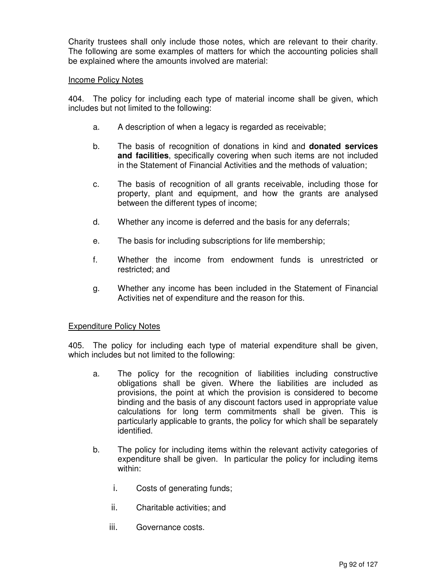Charity trustees shall only include those notes, which are relevant to their charity. The following are some examples of matters for which the accounting policies shall be explained where the amounts involved are material:

#### Income Policy Notes

404. The policy for including each type of material income shall be given, which includes but not limited to the following:

- a. A description of when a legacy is regarded as receivable;
- b. The basis of recognition of donations in kind and **donated services and facilities**, specifically covering when such items are not included in the Statement of Financial Activities and the methods of valuation;
- c. The basis of recognition of all grants receivable, including those for property, plant and equipment, and how the grants are analysed between the different types of income;
- d. Whether any income is deferred and the basis for any deferrals;
- e. The basis for including subscriptions for life membership;
- f. Whether the income from endowment funds is unrestricted or restricted; and
- g. Whether any income has been included in the Statement of Financial Activities net of expenditure and the reason for this.

### Expenditure Policy Notes

405. The policy for including each type of material expenditure shall be given, which includes but not limited to the following:

- a. The policy for the recognition of liabilities including constructive obligations shall be given. Where the liabilities are included as provisions, the point at which the provision is considered to become binding and the basis of any discount factors used in appropriate value calculations for long term commitments shall be given. This is particularly applicable to grants, the policy for which shall be separately identified.
- b. The policy for including items within the relevant activity categories of expenditure shall be given. In particular the policy for including items within:
	- i. Costs of generating funds;
	- ii. Charitable activities; and
	- iii. Governance costs.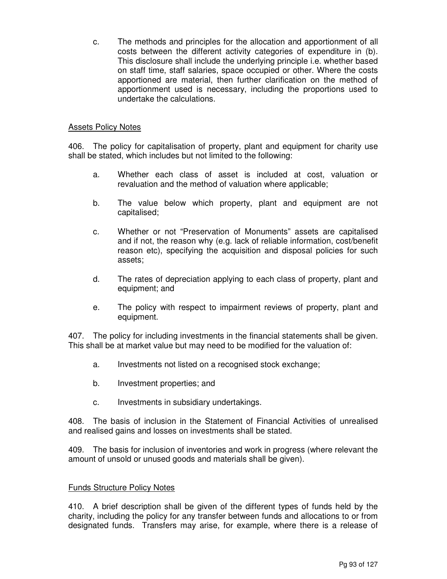c. The methods and principles for the allocation and apportionment of all costs between the different activity categories of expenditure in (b). This disclosure shall include the underlying principle i.e. whether based on staff time, staff salaries, space occupied or other. Where the costs apportioned are material, then further clarification on the method of apportionment used is necessary, including the proportions used to undertake the calculations.

### Assets Policy Notes

406. The policy for capitalisation of property, plant and equipment for charity use shall be stated, which includes but not limited to the following:

- a. Whether each class of asset is included at cost, valuation or revaluation and the method of valuation where applicable;
- b. The value below which property, plant and equipment are not capitalised;
- c. Whether or not "Preservation of Monuments" assets are capitalised and if not, the reason why (e.g. lack of reliable information, cost/benefit reason etc), specifying the acquisition and disposal policies for such assets;
- d. The rates of depreciation applying to each class of property, plant and equipment; and
- e. The policy with respect to impairment reviews of property, plant and equipment.

407. The policy for including investments in the financial statements shall be given. This shall be at market value but may need to be modified for the valuation of:

- a. Investments not listed on a recognised stock exchange;
- b. Investment properties; and
- c. Investments in subsidiary undertakings.

408. The basis of inclusion in the Statement of Financial Activities of unrealised and realised gains and losses on investments shall be stated.

409. The basis for inclusion of inventories and work in progress (where relevant the amount of unsold or unused goods and materials shall be given).

#### Funds Structure Policy Notes

410. A brief description shall be given of the different types of funds held by the charity, including the policy for any transfer between funds and allocations to or from designated funds. Transfers may arise, for example, where there is a release of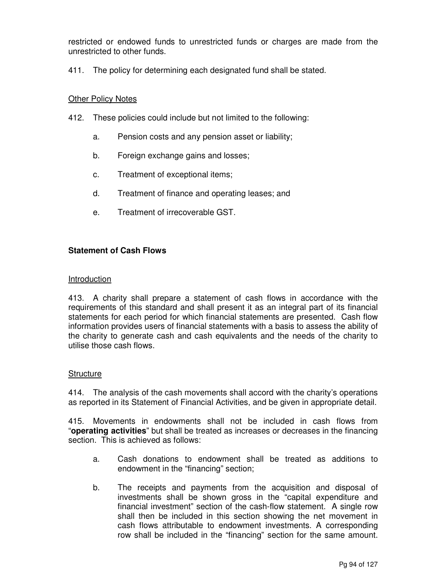restricted or endowed funds to unrestricted funds or charges are made from the unrestricted to other funds.

411. The policy for determining each designated fund shall be stated.

#### Other Policy Notes

- 412. These policies could include but not limited to the following:
	- a. Pension costs and any pension asset or liability;
	- b. Foreign exchange gains and losses;
	- c. Treatment of exceptional items;
	- d. Treatment of finance and operating leases; and
	- e. Treatment of irrecoverable GST.

### **Statement of Cash Flows**

#### Introduction

413. A charity shall prepare a statement of cash flows in accordance with the requirements of this standard and shall present it as an integral part of its financial statements for each period for which financial statements are presented. Cash flow information provides users of financial statements with a basis to assess the ability of the charity to generate cash and cash equivalents and the needs of the charity to utilise those cash flows.

### **Structure**

414. The analysis of the cash movements shall accord with the charity's operations as reported in its Statement of Financial Activities, and be given in appropriate detail.

415. Movements in endowments shall not be included in cash flows from "**operating activities**" but shall be treated as increases or decreases in the financing section. This is achieved as follows:

- a. Cash donations to endowment shall be treated as additions to endowment in the "financing" section;
- b. The receipts and payments from the acquisition and disposal of investments shall be shown gross in the "capital expenditure and financial investment" section of the cash-flow statement. A single row shall then be included in this section showing the net movement in cash flows attributable to endowment investments. A corresponding row shall be included in the "financing" section for the same amount.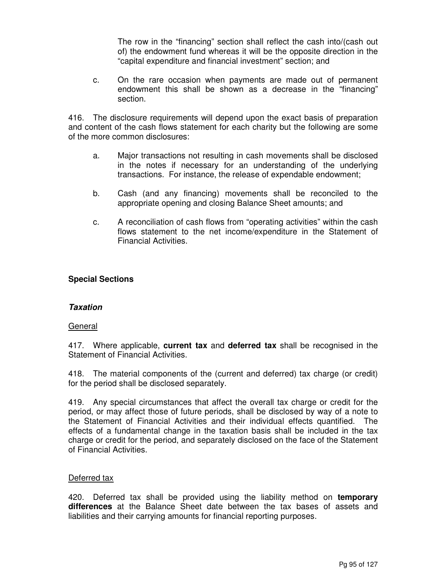The row in the "financing" section shall reflect the cash into/(cash out of) the endowment fund whereas it will be the opposite direction in the "capital expenditure and financial investment" section; and

c. On the rare occasion when payments are made out of permanent endowment this shall be shown as a decrease in the "financing" section.

416. The disclosure requirements will depend upon the exact basis of preparation and content of the cash flows statement for each charity but the following are some of the more common disclosures:

- a. Major transactions not resulting in cash movements shall be disclosed in the notes if necessary for an understanding of the underlying transactions. For instance, the release of expendable endowment;
- b. Cash (and any financing) movements shall be reconciled to the appropriate opening and closing Balance Sheet amounts; and
- c. A reconciliation of cash flows from "operating activities" within the cash flows statement to the net income/expenditure in the Statement of Financial Activities.

### **Special Sections**

### **Taxation**

### General

417. Where applicable, **current tax** and **deferred tax** shall be recognised in the Statement of Financial Activities.

418. The material components of the (current and deferred) tax charge (or credit) for the period shall be disclosed separately.

419. Any special circumstances that affect the overall tax charge or credit for the period, or may affect those of future periods, shall be disclosed by way of a note to the Statement of Financial Activities and their individual effects quantified. The effects of a fundamental change in the taxation basis shall be included in the tax charge or credit for the period, and separately disclosed on the face of the Statement of Financial Activities.

### Deferred tax

420. Deferred tax shall be provided using the liability method on **temporary differences** at the Balance Sheet date between the tax bases of assets and liabilities and their carrying amounts for financial reporting purposes.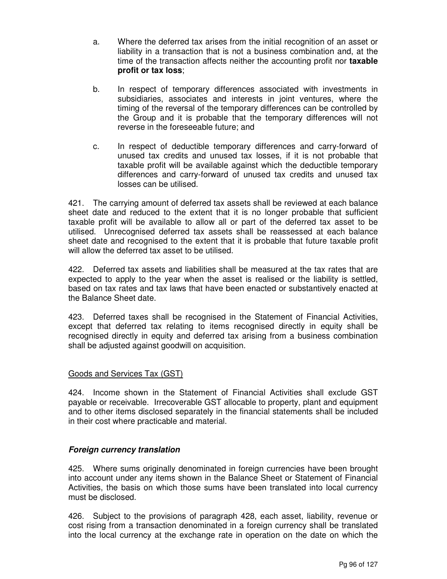- a. Where the deferred tax arises from the initial recognition of an asset or liability in a transaction that is not a business combination and, at the time of the transaction affects neither the accounting profit nor **taxable profit or tax loss**;
- b. In respect of temporary differences associated with investments in subsidiaries, associates and interests in joint ventures, where the timing of the reversal of the temporary differences can be controlled by the Group and it is probable that the temporary differences will not reverse in the foreseeable future; and
- c. In respect of deductible temporary differences and carry-forward of unused tax credits and unused tax losses, if it is not probable that taxable profit will be available against which the deductible temporary differences and carry-forward of unused tax credits and unused tax losses can be utilised.

421. The carrying amount of deferred tax assets shall be reviewed at each balance sheet date and reduced to the extent that it is no longer probable that sufficient taxable profit will be available to allow all or part of the deferred tax asset to be utilised. Unrecognised deferred tax assets shall be reassessed at each balance sheet date and recognised to the extent that it is probable that future taxable profit will allow the deferred tax asset to be utilised.

422. Deferred tax assets and liabilities shall be measured at the tax rates that are expected to apply to the year when the asset is realised or the liability is settled, based on tax rates and tax laws that have been enacted or substantively enacted at the Balance Sheet date.

423. Deferred taxes shall be recognised in the Statement of Financial Activities, except that deferred tax relating to items recognised directly in equity shall be recognised directly in equity and deferred tax arising from a business combination shall be adjusted against goodwill on acquisition.

# Goods and Services Tax (GST)

424. Income shown in the Statement of Financial Activities shall exclude GST payable or receivable. Irrecoverable GST allocable to property, plant and equipment and to other items disclosed separately in the financial statements shall be included in their cost where practicable and material.

### **Foreign currency translation**

425. Where sums originally denominated in foreign currencies have been brought into account under any items shown in the Balance Sheet or Statement of Financial Activities, the basis on which those sums have been translated into local currency must be disclosed.

426. Subject to the provisions of paragraph 428, each asset, liability, revenue or cost rising from a transaction denominated in a foreign currency shall be translated into the local currency at the exchange rate in operation on the date on which the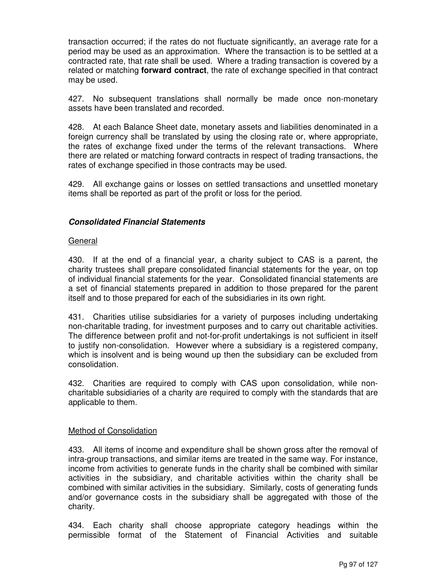transaction occurred; if the rates do not fluctuate significantly, an average rate for a period may be used as an approximation. Where the transaction is to be settled at a contracted rate, that rate shall be used. Where a trading transaction is covered by a related or matching **forward contract**, the rate of exchange specified in that contract may be used.

427. No subsequent translations shall normally be made once non-monetary assets have been translated and recorded.

428. At each Balance Sheet date, monetary assets and liabilities denominated in a foreign currency shall be translated by using the closing rate or, where appropriate, the rates of exchange fixed under the terms of the relevant transactions. Where there are related or matching forward contracts in respect of trading transactions, the rates of exchange specified in those contracts may be used.

429. All exchange gains or losses on settled transactions and unsettled monetary items shall be reported as part of the profit or loss for the period.

## **Consolidated Financial Statements**

### General

430. If at the end of a financial year, a charity subject to CAS is a parent, the charity trustees shall prepare consolidated financial statements for the year, on top of individual financial statements for the year. Consolidated financial statements are a set of financial statements prepared in addition to those prepared for the parent itself and to those prepared for each of the subsidiaries in its own right.

431. Charities utilise subsidiaries for a variety of purposes including undertaking non-charitable trading, for investment purposes and to carry out charitable activities. The difference between profit and not-for-profit undertakings is not sufficient in itself to justify non-consolidation. However where a subsidiary is a registered company, which is insolvent and is being wound up then the subsidiary can be excluded from consolidation.

432. Charities are required to comply with CAS upon consolidation, while noncharitable subsidiaries of a charity are required to comply with the standards that are applicable to them.

### Method of Consolidation

433. All items of income and expenditure shall be shown gross after the removal of intra-group transactions, and similar items are treated in the same way. For instance, income from activities to generate funds in the charity shall be combined with similar activities in the subsidiary, and charitable activities within the charity shall be combined with similar activities in the subsidiary. Similarly, costs of generating funds and/or governance costs in the subsidiary shall be aggregated with those of the charity.

434. Each charity shall choose appropriate category headings within the permissible format of the Statement of Financial Activities and suitable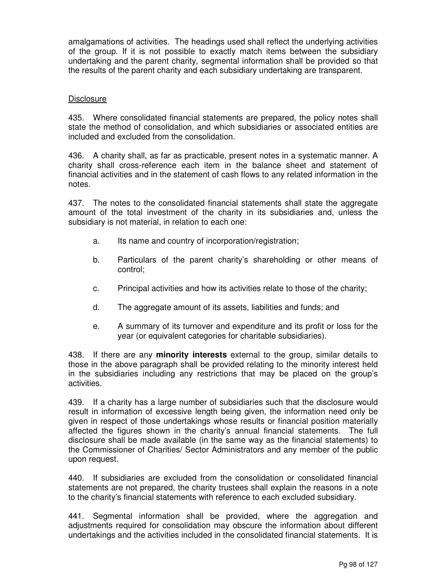amalgamations of activities. The headings used shall reflect the underlying activities of the group. If it is not possible to exactly match items between the subsidiary undertaking and the parent charity, segmental information shall be provided so that the results of the parent charity and each subsidiary undertaking are transparent.

### **Disclosure**

435. Where consolidated financial statements are prepared, the policy notes shall state the method of consolidation, and which subsidiaries or associated entities are included and excluded from the consolidation.

436. A charity shall, as far as practicable, present notes in a systematic manner. A charity shall cross-reference each item in the balance sheet and statement of financial activities and in the statement of cash flows to any related information in the notes.

437. The notes to the consolidated financial statements shall state the aggregate amount of the total investment of the charity in its subsidiaries and, unless the subsidiary is not material, in relation to each one:

- a. Its name and country of incorporation/registration;
- b. Particulars of the parent charity's shareholding or other means of control;
- c. Principal activities and how its activities relate to those of the charity;
- d. The aggregate amount of its assets, liabilities and funds; and
- e. A summary of its turnover and expenditure and its profit or loss for the year (or equivalent categories for charitable subsidiaries).

438. If there are any **minority interests** external to the group, similar details to those in the above paragraph shall be provided relating to the minority interest held in the subsidiaries including any restrictions that may be placed on the group's activities.

439. If a charity has a large number of subsidiaries such that the disclosure would result in information of excessive length being given, the information need only be given in respect of those undertakings whose results or financial position materially affected the figures shown in the charity's annual financial statements. The full disclosure shall be made available (in the same way as the financial statements) to the Commissioner of Charities/ Sector Administrators and any member of the public upon request.

440. If subsidiaries are excluded from the consolidation or consolidated financial statements are not prepared, the charity trustees shall explain the reasons in a note to the charity's financial statements with reference to each excluded subsidiary.

441. Segmental information shall be provided, where the aggregation and adjustments required for consolidation may obscure the information about different undertakings and the activities included in the consolidated financial statements. It is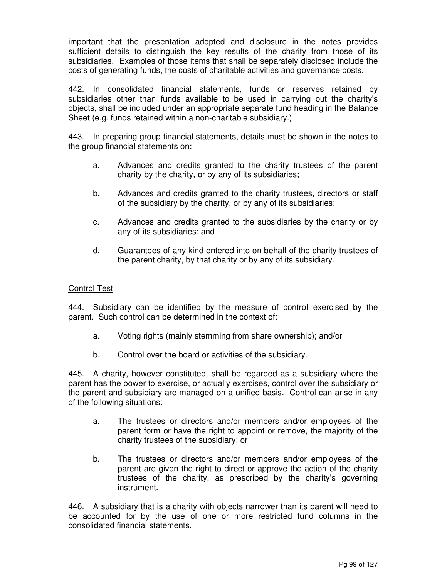important that the presentation adopted and disclosure in the notes provides sufficient details to distinguish the key results of the charity from those of its subsidiaries. Examples of those items that shall be separately disclosed include the costs of generating funds, the costs of charitable activities and governance costs.

442. In consolidated financial statements, funds or reserves retained by subsidiaries other than funds available to be used in carrying out the charity's objects, shall be included under an appropriate separate fund heading in the Balance Sheet (e.g. funds retained within a non-charitable subsidiary.)

443. In preparing group financial statements, details must be shown in the notes to the group financial statements on:

- a. Advances and credits granted to the charity trustees of the parent charity by the charity, or by any of its subsidiaries;
- b. Advances and credits granted to the charity trustees, directors or staff of the subsidiary by the charity, or by any of its subsidiaries;
- c. Advances and credits granted to the subsidiaries by the charity or by any of its subsidiaries; and
- d. Guarantees of any kind entered into on behalf of the charity trustees of the parent charity, by that charity or by any of its subsidiary.

### Control Test

444. Subsidiary can be identified by the measure of control exercised by the parent. Such control can be determined in the context of:

- a. Voting rights (mainly stemming from share ownership); and/or
- b. Control over the board or activities of the subsidiary.

445. A charity, however constituted, shall be regarded as a subsidiary where the parent has the power to exercise, or actually exercises, control over the subsidiary or the parent and subsidiary are managed on a unified basis. Control can arise in any of the following situations:

- a. The trustees or directors and/or members and/or employees of the parent form or have the right to appoint or remove, the majority of the charity trustees of the subsidiary; or
- b. The trustees or directors and/or members and/or employees of the parent are given the right to direct or approve the action of the charity trustees of the charity, as prescribed by the charity's governing instrument.

446. A subsidiary that is a charity with objects narrower than its parent will need to be accounted for by the use of one or more restricted fund columns in the consolidated financial statements.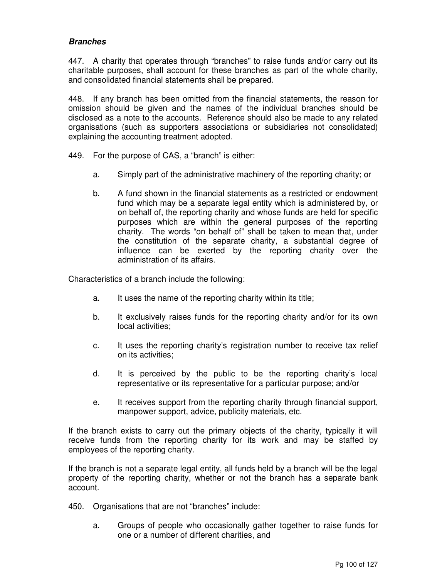## **Branches**

447. A charity that operates through "branches" to raise funds and/or carry out its charitable purposes, shall account for these branches as part of the whole charity, and consolidated financial statements shall be prepared.

448. If any branch has been omitted from the financial statements, the reason for omission should be given and the names of the individual branches should be disclosed as a note to the accounts. Reference should also be made to any related organisations (such as supporters associations or subsidiaries not consolidated) explaining the accounting treatment adopted.

- 449. For the purpose of CAS, a "branch" is either:
	- a. Simply part of the administrative machinery of the reporting charity; or
	- b. A fund shown in the financial statements as a restricted or endowment fund which may be a separate legal entity which is administered by, or on behalf of, the reporting charity and whose funds are held for specific purposes which are within the general purposes of the reporting charity. The words "on behalf of" shall be taken to mean that, under the constitution of the separate charity, a substantial degree of influence can be exerted by the reporting charity over the administration of its affairs.

Characteristics of a branch include the following:

- a. It uses the name of the reporting charity within its title;
- b. It exclusively raises funds for the reporting charity and/or for its own local activities;
- c. It uses the reporting charity's registration number to receive tax relief on its activities;
- d. It is perceived by the public to be the reporting charity's local representative or its representative for a particular purpose; and/or
- e. It receives support from the reporting charity through financial support, manpower support, advice, publicity materials, etc.

If the branch exists to carry out the primary objects of the charity, typically it will receive funds from the reporting charity for its work and may be staffed by employees of the reporting charity.

If the branch is not a separate legal entity, all funds held by a branch will be the legal property of the reporting charity, whether or not the branch has a separate bank account.

- 450. Organisations that are not "branches" include:
	- a. Groups of people who occasionally gather together to raise funds for one or a number of different charities, and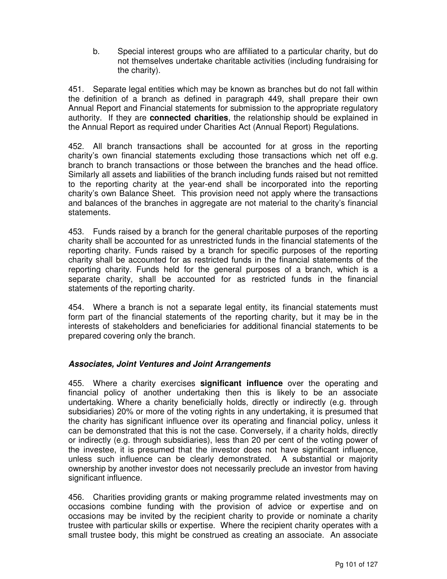b. Special interest groups who are affiliated to a particular charity, but do not themselves undertake charitable activities (including fundraising for the charity).

451. Separate legal entities which may be known as branches but do not fall within the definition of a branch as defined in paragraph 449, shall prepare their own Annual Report and Financial statements for submission to the appropriate regulatory authority. If they are **connected charities**, the relationship should be explained in the Annual Report as required under Charities Act (Annual Report) Regulations.

452. All branch transactions shall be accounted for at gross in the reporting charity's own financial statements excluding those transactions which net off e.g. branch to branch transactions or those between the branches and the head office. Similarly all assets and liabilities of the branch including funds raised but not remitted to the reporting charity at the year-end shall be incorporated into the reporting charity's own Balance Sheet. This provision need not apply where the transactions and balances of the branches in aggregate are not material to the charity's financial statements.

453. Funds raised by a branch for the general charitable purposes of the reporting charity shall be accounted for as unrestricted funds in the financial statements of the reporting charity. Funds raised by a branch for specific purposes of the reporting charity shall be accounted for as restricted funds in the financial statements of the reporting charity. Funds held for the general purposes of a branch, which is a separate charity, shall be accounted for as restricted funds in the financial statements of the reporting charity.

454. Where a branch is not a separate legal entity, its financial statements must form part of the financial statements of the reporting charity, but it may be in the interests of stakeholders and beneficiaries for additional financial statements to be prepared covering only the branch.

# **Associates, Joint Ventures and Joint Arrangements**

455. Where a charity exercises **significant influence** over the operating and financial policy of another undertaking then this is likely to be an associate undertaking. Where a charity beneficially holds, directly or indirectly (e.g. through subsidiaries) 20% or more of the voting rights in any undertaking, it is presumed that the charity has significant influence over its operating and financial policy, unless it can be demonstrated that this is not the case. Conversely, if a charity holds, directly or indirectly (e.g. through subsidiaries), less than 20 per cent of the voting power of the investee, it is presumed that the investor does not have significant influence, unless such influence can be clearly demonstrated. A substantial or majority ownership by another investor does not necessarily preclude an investor from having significant influence.

456. Charities providing grants or making programme related investments may on occasions combine funding with the provision of advice or expertise and on occasions may be invited by the recipient charity to provide or nominate a charity trustee with particular skills or expertise. Where the recipient charity operates with a small trustee body, this might be construed as creating an associate. An associate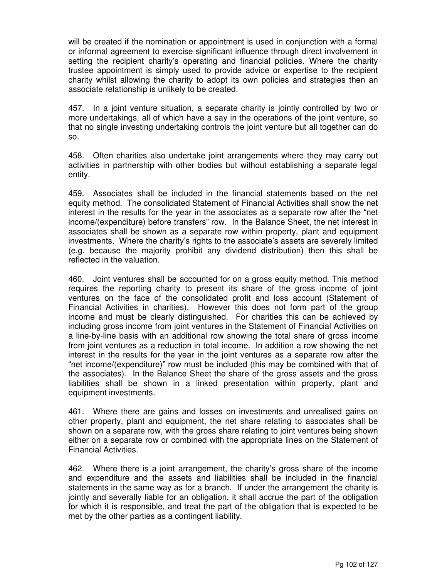will be created if the nomination or appointment is used in conjunction with a formal or informal agreement to exercise significant influence through direct involvement in setting the recipient charity's operating and financial policies. Where the charity trustee appointment is simply used to provide advice or expertise to the recipient charity whilst allowing the charity to adopt its own policies and strategies then an associate relationship is unlikely to be created.

457. In a joint venture situation, a separate charity is jointly controlled by two or more undertakings, all of which have a say in the operations of the joint venture, so that no single investing undertaking controls the joint venture but all together can do so.

458. Often charities also undertake joint arrangements where they may carry out activities in partnership with other bodies but without establishing a separate legal entity.

459. Associates shall be included in the financial statements based on the net equity method. The consolidated Statement of Financial Activities shall show the net interest in the results for the year in the associates as a separate row after the "net income/(expenditure) before transfers" row. In the Balance Sheet, the net interest in associates shall be shown as a separate row within property, plant and equipment investments. Where the charity's rights to the associate's assets are severely limited (e.g. because the majority prohibit any dividend distribution) then this shall be reflected in the valuation.

460. Joint ventures shall be accounted for on a gross equity method. This method requires the reporting charity to present its share of the gross income of joint ventures on the face of the consolidated profit and loss account (Statement of Financial Activities in charities). However this does not form part of the group income and must be clearly distinguished. For charities this can be achieved by including gross income from joint ventures in the Statement of Financial Activities on a line-by-line basis with an additional row showing the total share of gross income from joint ventures as a reduction in total income. In addition a row showing the net interest in the results for the year in the joint ventures as a separate row after the "net income/(expenditure)" row must be included (this may be combined with that of the associates). In the Balance Sheet the share of the gross assets and the gross liabilities shall be shown in a linked presentation within property, plant and equipment investments.

461. Where there are gains and losses on investments and unrealised gains on other property, plant and equipment, the net share relating to associates shall be shown on a separate row, with the gross share relating to joint ventures being shown either on a separate row or combined with the appropriate lines on the Statement of Financial Activities.

462. Where there is a joint arrangement, the charity's gross share of the income and expenditure and the assets and liabilities shall be included in the financial statements in the same way as for a branch. If under the arrangement the charity is jointly and severally liable for an obligation, it shall accrue the part of the obligation for which it is responsible, and treat the part of the obligation that is expected to be met by the other parties as a contingent liability.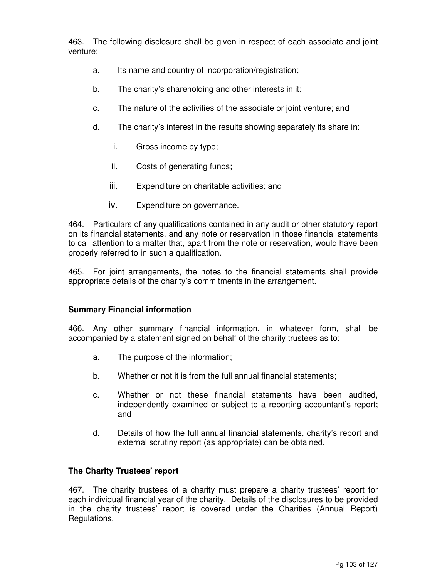463. The following disclosure shall be given in respect of each associate and joint venture:

- a. Its name and country of incorporation/registration;
- b. The charity's shareholding and other interests in it;
- c. The nature of the activities of the associate or joint venture; and
- d. The charity's interest in the results showing separately its share in:
	- i. Gross income by type;
	- ii. Costs of generating funds;
	- iii. Expenditure on charitable activities; and
	- iv. Expenditure on governance.

464. Particulars of any qualifications contained in any audit or other statutory report on its financial statements, and any note or reservation in those financial statements to call attention to a matter that, apart from the note or reservation, would have been properly referred to in such a qualification.

465. For joint arrangements, the notes to the financial statements shall provide appropriate details of the charity's commitments in the arrangement.

### **Summary Financial information**

466. Any other summary financial information, in whatever form, shall be accompanied by a statement signed on behalf of the charity trustees as to:

- a. The purpose of the information;
- b. Whether or not it is from the full annual financial statements;
- c. Whether or not these financial statements have been audited, independently examined or subject to a reporting accountant's report; and
- d. Details of how the full annual financial statements, charity's report and external scrutiny report (as appropriate) can be obtained.

### **The Charity Trustees' report**

467. The charity trustees of a charity must prepare a charity trustees' report for each individual financial year of the charity. Details of the disclosures to be provided in the charity trustees' report is covered under the Charities (Annual Report) Regulations.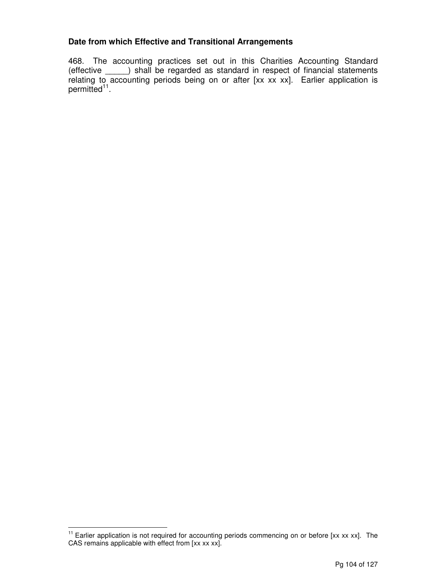## **Date from which Effective and Transitional Arrangements**

468. The accounting practices set out in this Charities Accounting Standard (effective \_\_\_\_\_) shall be regarded as standard in respect of financial statements relating to accounting periods being on or after [xx xx xx]. Earlier application is permitted<sup>11</sup>.

 $\overline{a}$ 

 $11$  Earlier application is not required for accounting periods commencing on or before [xx xx xx]. The CAS remains applicable with effect from [xx xx xx].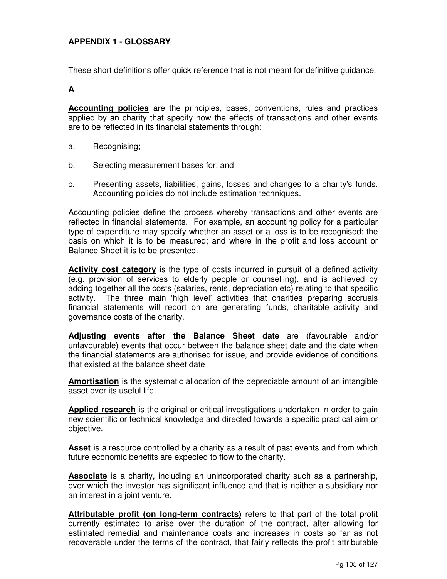## **APPENDIX 1 - GLOSSARY**

These short definitions offer quick reference that is not meant for definitive guidance.

#### **A**

**Accounting policies** are the principles, bases, conventions, rules and practices applied by an charity that specify how the effects of transactions and other events are to be reflected in its financial statements through:

- a. Recognising;
- b. Selecting measurement bases for; and
- c. Presenting assets, liabilities, gains, losses and changes to a charity's funds. Accounting policies do not include estimation techniques.

Accounting policies define the process whereby transactions and other events are reflected in financial statements. For example, an accounting policy for a particular type of expenditure may specify whether an asset or a loss is to be recognised; the basis on which it is to be measured; and where in the profit and loss account or Balance Sheet it is to be presented.

**Activity cost category** is the type of costs incurred in pursuit of a defined activity (e.g. provision of services to elderly people or counselling), and is achieved by adding together all the costs (salaries, rents, depreciation etc) relating to that specific activity. The three main 'high level' activities that charities preparing accruals financial statements will report on are generating funds, charitable activity and governance costs of the charity.

**Adjusting events after the Balance Sheet date** are (favourable and/or unfavourable) events that occur between the balance sheet date and the date when the financial statements are authorised for issue, and provide evidence of conditions that existed at the balance sheet date

**Amortisation** is the systematic allocation of the depreciable amount of an intangible asset over its useful life.

**Applied research** is the original or critical investigations undertaken in order to gain new scientific or technical knowledge and directed towards a specific practical aim or objective.

**Asset** is a resource controlled by a charity as a result of past events and from which future economic benefits are expected to flow to the charity.

**Associate** is a charity, including an unincorporated charity such as a partnership, over which the investor has significant influence and that is neither a subsidiary nor an interest in a joint venture.

**Attributable profit (on long-term contracts)** refers to that part of the total profit currently estimated to arise over the duration of the contract, after allowing for estimated remedial and maintenance costs and increases in costs so far as not recoverable under the terms of the contract, that fairly reflects the profit attributable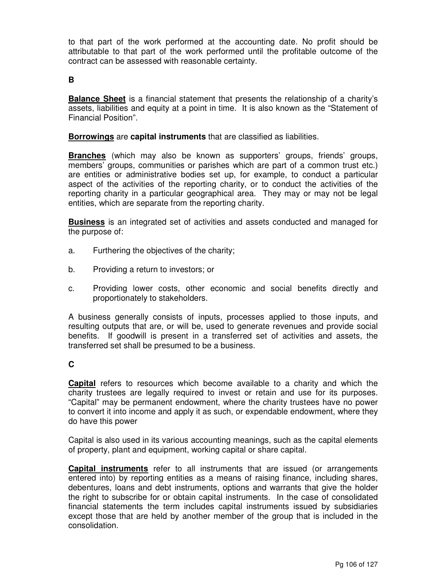to that part of the work performed at the accounting date. No profit should be attributable to that part of the work performed until the profitable outcome of the contract can be assessed with reasonable certainty.

### **B**

**Balance Sheet** is a financial statement that presents the relationship of a charity's assets, liabilities and equity at a point in time. It is also known as the "Statement of Financial Position".

**Borrowings** are **capital instruments** that are classified as liabilities.

**Branches** (which may also be known as supporters' groups, friends' groups, members' groups, communities or parishes which are part of a common trust etc.) are entities or administrative bodies set up, for example, to conduct a particular aspect of the activities of the reporting charity, or to conduct the activities of the reporting charity in a particular geographical area. They may or may not be legal entities, which are separate from the reporting charity.

**Business** is an integrated set of activities and assets conducted and managed for the purpose of:

- a. Furthering the objectives of the charity;
- b. Providing a return to investors; or
- c. Providing lower costs, other economic and social benefits directly and proportionately to stakeholders.

A business generally consists of inputs, processes applied to those inputs, and resulting outputs that are, or will be, used to generate revenues and provide social benefits. If goodwill is present in a transferred set of activities and assets, the transferred set shall be presumed to be a business.

# **C**

**Capital** refers to resources which become available to a charity and which the charity trustees are legally required to invest or retain and use for its purposes. "Capital" may be permanent endowment, where the charity trustees have no power to convert it into income and apply it as such, or expendable endowment, where they do have this power

Capital is also used in its various accounting meanings, such as the capital elements of property, plant and equipment, working capital or share capital.

**Capital instruments** refer to all instruments that are issued (or arrangements entered into) by reporting entities as a means of raising finance, including shares, debentures, loans and debt instruments, options and warrants that give the holder the right to subscribe for or obtain capital instruments. In the case of consolidated financial statements the term includes capital instruments issued by subsidiaries except those that are held by another member of the group that is included in the consolidation.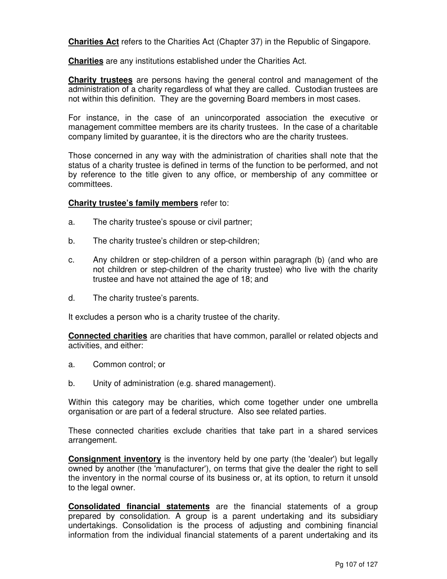**Charities Act** refers to the Charities Act (Chapter 37) in the Republic of Singapore.

**Charities** are any institutions established under the Charities Act.

**Charity trustees** are persons having the general control and management of the administration of a charity regardless of what they are called. Custodian trustees are not within this definition. They are the governing Board members in most cases.

For instance, in the case of an unincorporated association the executive or management committee members are its charity trustees. In the case of a charitable company limited by guarantee, it is the directors who are the charity trustees.

Those concerned in any way with the administration of charities shall note that the status of a charity trustee is defined in terms of the function to be performed, and not by reference to the title given to any office, or membership of any committee or committees.

#### **Charity trustee's family members** refer to:

- a. The charity trustee's spouse or civil partner;
- b. The charity trustee's children or step-children;
- c. Any children or step-children of a person within paragraph (b) (and who are not children or step-children of the charity trustee) who live with the charity trustee and have not attained the age of 18; and
- d. The charity trustee's parents.

It excludes a person who is a charity trustee of the charity.

**Connected charities** are charities that have common, parallel or related objects and activities, and either:

- a. Common control; or
- b. Unity of administration (e.g. shared management).

Within this category may be charities, which come together under one umbrella organisation or are part of a federal structure. Also see related parties.

These connected charities exclude charities that take part in a shared services arrangement.

**Consignment inventory** is the inventory held by one party (the 'dealer') but legally owned by another (the 'manufacturer'), on terms that give the dealer the right to sell the inventory in the normal course of its business or, at its option, to return it unsold to the legal owner.

**Consolidated financial statements** are the financial statements of a group prepared by consolidation. A group is a parent undertaking and its subsidiary undertakings. Consolidation is the process of adjusting and combining financial information from the individual financial statements of a parent undertaking and its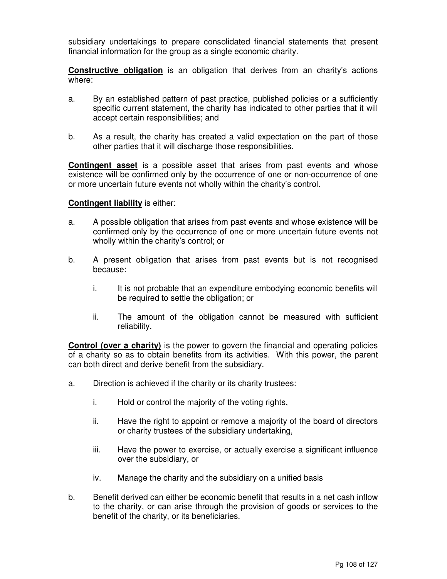subsidiary undertakings to prepare consolidated financial statements that present financial information for the group as a single economic charity.

**Constructive obligation** is an obligation that derives from an charity's actions where:

- a. By an established pattern of past practice, published policies or a sufficiently specific current statement, the charity has indicated to other parties that it will accept certain responsibilities; and
- b. As a result, the charity has created a valid expectation on the part of those other parties that it will discharge those responsibilities.

**Contingent asset** is a possible asset that arises from past events and whose existence will be confirmed only by the occurrence of one or non-occurrence of one or more uncertain future events not wholly within the charity's control.

#### **Contingent liability** is either:

- a. A possible obligation that arises from past events and whose existence will be confirmed only by the occurrence of one or more uncertain future events not wholly within the charity's control; or
- b. A present obligation that arises from past events but is not recognised because:
	- i. It is not probable that an expenditure embodying economic benefits will be required to settle the obligation; or
	- ii. The amount of the obligation cannot be measured with sufficient reliability.

**Control (over a charity)** is the power to govern the financial and operating policies of a charity so as to obtain benefits from its activities. With this power, the parent can both direct and derive benefit from the subsidiary.

- a. Direction is achieved if the charity or its charity trustees:
	- i. Hold or control the majority of the voting rights,
	- ii. Have the right to appoint or remove a majority of the board of directors or charity trustees of the subsidiary undertaking,
	- iii. Have the power to exercise, or actually exercise a significant influence over the subsidiary, or
	- iv. Manage the charity and the subsidiary on a unified basis
- b. Benefit derived can either be economic benefit that results in a net cash inflow to the charity, or can arise through the provision of goods or services to the benefit of the charity, or its beneficiaries.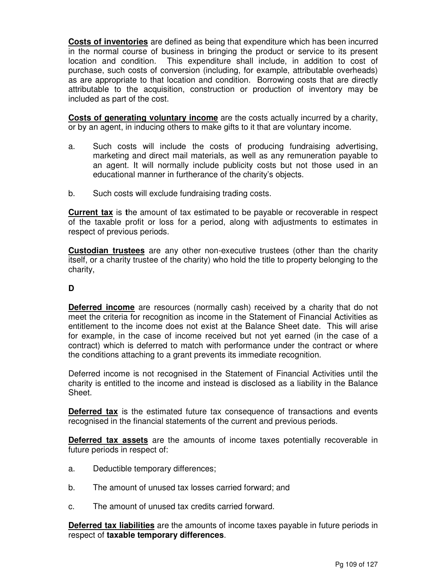**Costs of inventories** are defined as being that expenditure which has been incurred in the normal course of business in bringing the product or service to its present location and condition. This expenditure shall include, in addition to cost of purchase, such costs of conversion (including, for example, attributable overheads) as are appropriate to that location and condition. Borrowing costs that are directly attributable to the acquisition, construction or production of inventory may be included as part of the cost.

**Costs of generating voluntary income** are the costs actually incurred by a charity, or by an agent, in inducing others to make gifts to it that are voluntary income.

- a. Such costs will include the costs of producing fundraising advertising, marketing and direct mail materials, as well as any remuneration payable to an agent. It will normally include publicity costs but not those used in an educational manner in furtherance of the charity's objects.
- b. Such costs will exclude fundraising trading costs.

**Current tax** is **t**he amount of tax estimated to be payable or recoverable in respect of the taxable profit or loss for a period, along with adjustments to estimates in respect of previous periods.

**Custodian trustees** are any other non-executive trustees (other than the charity itself, or a charity trustee of the charity) who hold the title to property belonging to the charity,

# **D**

**Deferred income** are resources (normally cash) received by a charity that do not meet the criteria for recognition as income in the Statement of Financial Activities as entitlement to the income does not exist at the Balance Sheet date. This will arise for example, in the case of income received but not yet earned (in the case of a contract) which is deferred to match with performance under the contract or where the conditions attaching to a grant prevents its immediate recognition.

Deferred income is not recognised in the Statement of Financial Activities until the charity is entitled to the income and instead is disclosed as a liability in the Balance Sheet.

**Deferred tax** is the estimated future tax consequence of transactions and events recognised in the financial statements of the current and previous periods.

**Deferred tax assets** are the amounts of income taxes potentially recoverable in future periods in respect of:

- a. Deductible temporary differences;
- b. The amount of unused tax losses carried forward; and
- c. The amount of unused tax credits carried forward.

**Deferred tax liabilities** are the amounts of income taxes payable in future periods in respect of **taxable temporary differences**.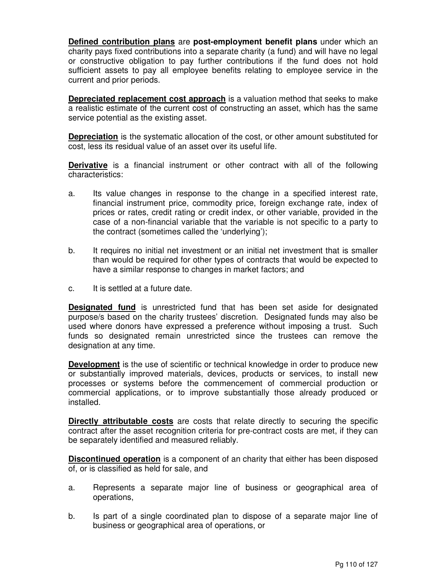**Defined contribution plans** are **post-employment benefit plans** under which an charity pays fixed contributions into a separate charity (a fund) and will have no legal or constructive obligation to pay further contributions if the fund does not hold sufficient assets to pay all employee benefits relating to employee service in the current and prior periods.

**Depreciated replacement cost approach** is a valuation method that seeks to make a realistic estimate of the current cost of constructing an asset, which has the same service potential as the existing asset.

**Depreciation** is the systematic allocation of the cost, or other amount substituted for cost, less its residual value of an asset over its useful life.

**Derivative** is a financial instrument or other contract with all of the following characteristics:

- a. Its value changes in response to the change in a specified interest rate, financial instrument price, commodity price, foreign exchange rate, index of prices or rates, credit rating or credit index, or other variable, provided in the case of a non-financial variable that the variable is not specific to a party to the contract (sometimes called the 'underlying');
- b. It requires no initial net investment or an initial net investment that is smaller than would be required for other types of contracts that would be expected to have a similar response to changes in market factors; and
- c. It is settled at a future date.

**Designated fund** is unrestricted fund that has been set aside for designated purpose/s based on the charity trustees' discretion. Designated funds may also be used where donors have expressed a preference without imposing a trust. Such funds so designated remain unrestricted since the trustees can remove the designation at any time.

**Development** is the use of scientific or technical knowledge in order to produce new or substantially improved materials, devices, products or services, to install new processes or systems before the commencement of commercial production or commercial applications, or to improve substantially those already produced or installed.

**Directly attributable costs** are costs that relate directly to securing the specific contract after the asset recognition criteria for pre-contract costs are met, if they can be separately identified and measured reliably.

**Discontinued operation** is a component of an charity that either has been disposed of, or is classified as held for sale, and

- a. Represents a separate major line of business or geographical area of operations,
- b. Is part of a single coordinated plan to dispose of a separate major line of business or geographical area of operations, or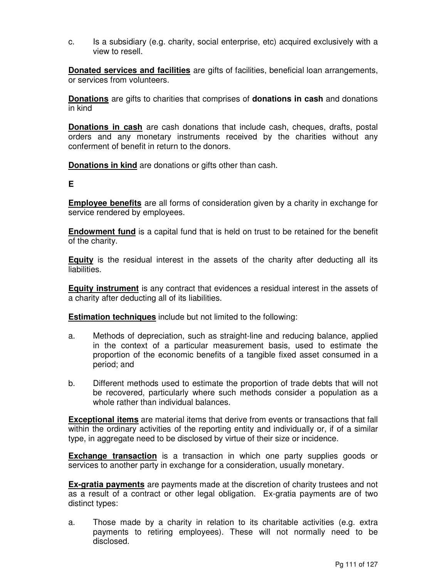c. Is a subsidiary (e.g. charity, social enterprise, etc) acquired exclusively with a view to resell.

**Donated services and facilities** are gifts of facilities, beneficial loan arrangements, or services from volunteers.

**Donations** are gifts to charities that comprises of **donations in cash** and donations in kind

**Donations in cash** are cash donations that include cash, cheques, drafts, postal orders and any monetary instruments received by the charities without any conferment of benefit in return to the donors.

**Donations in kind** are donations or gifts other than cash.

### **E**

**Employee benefits** are all forms of consideration given by a charity in exchange for service rendered by employees.

**Endowment fund** is a capital fund that is held on trust to be retained for the benefit of the charity.

**Equity** is the residual interest in the assets of the charity after deducting all its liabilities.

**Equity instrument** is any contract that evidences a residual interest in the assets of a charity after deducting all of its liabilities.

**Estimation techniques** include but not limited to the following:

- a. Methods of depreciation, such as straight-line and reducing balance, applied in the context of a particular measurement basis, used to estimate the proportion of the economic benefits of a tangible fixed asset consumed in a period; and
- b. Different methods used to estimate the proportion of trade debts that will not be recovered, particularly where such methods consider a population as a whole rather than individual balances.

**Exceptional items** are material items that derive from events or transactions that fall within the ordinary activities of the reporting entity and individually or, if of a similar type, in aggregate need to be disclosed by virtue of their size or incidence.

**Exchange transaction** is a transaction in which one party supplies goods or services to another party in exchange for a consideration, usually monetary.

**Ex-gratia payments** are payments made at the discretion of charity trustees and not as a result of a contract or other legal obligation. Ex-gratia payments are of two distinct types:

a. Those made by a charity in relation to its charitable activities (e.g. extra payments to retiring employees). These will not normally need to be disclosed.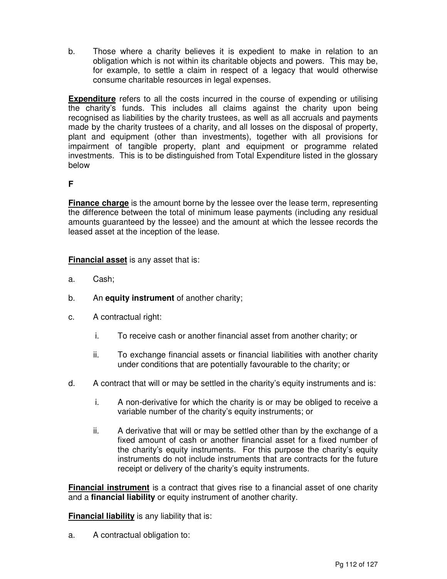b. Those where a charity believes it is expedient to make in relation to an obligation which is not within its charitable objects and powers. This may be, for example, to settle a claim in respect of a legacy that would otherwise consume charitable resources in legal expenses.

**Expenditure** refers to all the costs incurred in the course of expending or utilising the charity's funds. This includes all claims against the charity upon being recognised as liabilities by the charity trustees, as well as all accruals and payments made by the charity trustees of a charity, and all losses on the disposal of property, plant and equipment (other than investments), together with all provisions for impairment of tangible property, plant and equipment or programme related investments. This is to be distinguished from Total Expenditure listed in the glossary below

## **F**

**Finance charge** is the amount borne by the lessee over the lease term, representing the difference between the total of minimum lease payments (including any residual amounts guaranteed by the lessee) and the amount at which the lessee records the leased asset at the inception of the lease.

**Financial asset** is any asset that is:

- a. Cash;
- b. An **equity instrument** of another charity;
- c. A contractual right:
	- i. To receive cash or another financial asset from another charity; or
	- ii. To exchange financial assets or financial liabilities with another charity under conditions that are potentially favourable to the charity; or
- d. A contract that will or may be settled in the charity's equity instruments and is:
	- i. A non-derivative for which the charity is or may be obliged to receive a variable number of the charity's equity instruments; or
	- ii. A derivative that will or may be settled other than by the exchange of a fixed amount of cash or another financial asset for a fixed number of the charity's equity instruments. For this purpose the charity's equity instruments do not include instruments that are contracts for the future receipt or delivery of the charity's equity instruments.

**Financial instrument** is a contract that gives rise to a financial asset of one charity and a **financial liability** or equity instrument of another charity.

**Financial liability** is any liability that is:

a. A contractual obligation to: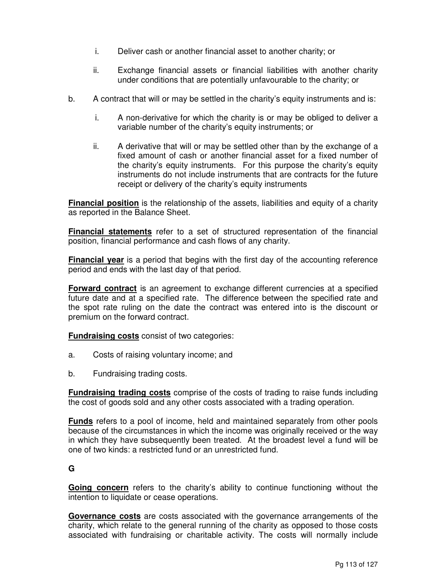- i. Deliver cash or another financial asset to another charity; or
- ii. Exchange financial assets or financial liabilities with another charity under conditions that are potentially unfavourable to the charity; or
- b. A contract that will or may be settled in the charity's equity instruments and is:
	- i. A non-derivative for which the charity is or may be obliged to deliver a variable number of the charity's equity instruments; or
	- ii. A derivative that will or may be settled other than by the exchange of a fixed amount of cash or another financial asset for a fixed number of the charity's equity instruments. For this purpose the charity's equity instruments do not include instruments that are contracts for the future receipt or delivery of the charity's equity instruments

**Financial position** is the relationship of the assets, liabilities and equity of a charity as reported in the Balance Sheet.

**Financial statements** refer to a set of structured representation of the financial position, financial performance and cash flows of any charity.

**Financial year** is a period that begins with the first day of the accounting reference period and ends with the last day of that period.

**Forward contract** is an agreement to exchange different currencies at a specified future date and at a specified rate. The difference between the specified rate and the spot rate ruling on the date the contract was entered into is the discount or premium on the forward contract.

**Fundraising costs** consist of two categories:

- a. Costs of raising voluntary income; and
- b. Fundraising trading costs.

**Fundraising trading costs** comprise of the costs of trading to raise funds including the cost of goods sold and any other costs associated with a trading operation.

**Funds** refers to a pool of income, held and maintained separately from other pools because of the circumstances in which the income was originally received or the way in which they have subsequently been treated. At the broadest level a fund will be one of two kinds: a restricted fund or an unrestricted fund.

## **G**

**Going concern** refers to the charity's ability to continue functioning without the intention to liquidate or cease operations.

**Governance costs** are costs associated with the governance arrangements of the charity, which relate to the general running of the charity as opposed to those costs associated with fundraising or charitable activity. The costs will normally include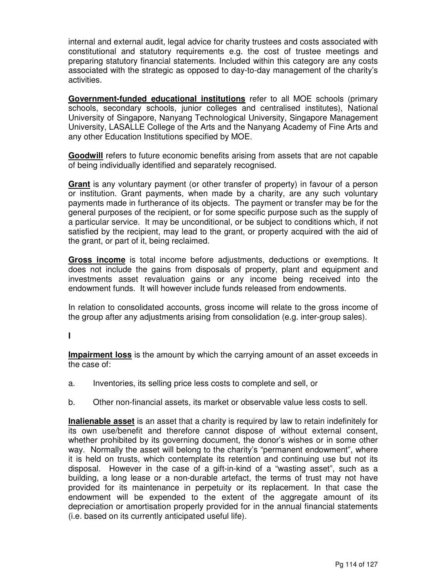internal and external audit, legal advice for charity trustees and costs associated with constitutional and statutory requirements e.g. the cost of trustee meetings and preparing statutory financial statements. Included within this category are any costs associated with the strategic as opposed to day-to-day management of the charity's activities.

**Government-funded educational institutions** refer to all MOE schools (primary schools, secondary schools, junior colleges and centralised institutes), National University of Singapore, Nanyang Technological University, Singapore Management University, LASALLE College of the Arts and the Nanyang Academy of Fine Arts and any other Education Institutions specified by MOE.

**Goodwill** refers to future economic benefits arising from assets that are not capable of being individually identified and separately recognised.

**Grant** is any voluntary payment (or other transfer of property) in favour of a person or institution. Grant payments, when made by a charity, are any such voluntary payments made in furtherance of its objects. The payment or transfer may be for the general purposes of the recipient, or for some specific purpose such as the supply of a particular service. It may be unconditional, or be subject to conditions which, if not satisfied by the recipient, may lead to the grant, or property acquired with the aid of the grant, or part of it, being reclaimed.

**Gross income** is total income before adjustments, deductions or exemptions. It does not include the gains from disposals of property, plant and equipment and investments asset revaluation gains or any income being received into the endowment funds. It will however include funds released from endowments.

In relation to consolidated accounts, gross income will relate to the gross income of the group after any adjustments arising from consolidation (e.g. inter-group sales).

**I** 

**Impairment loss** is the amount by which the carrying amount of an asset exceeds in the case of:

- a. Inventories, its selling price less costs to complete and sell, or
- b. Other non-financial assets, its market or observable value less costs to sell.

**Inalienable asset** is an asset that a charity is required by law to retain indefinitely for its own use/benefit and therefore cannot dispose of without external consent, whether prohibited by its governing document, the donor's wishes or in some other way. Normally the asset will belong to the charity's "permanent endowment", where it is held on trusts, which contemplate its retention and continuing use but not its disposal. However in the case of a gift-in-kind of a "wasting asset", such as a building, a long lease or a non-durable artefact, the terms of trust may not have provided for its maintenance in perpetuity or its replacement. In that case the endowment will be expended to the extent of the aggregate amount of its depreciation or amortisation properly provided for in the annual financial statements (i.e. based on its currently anticipated useful life).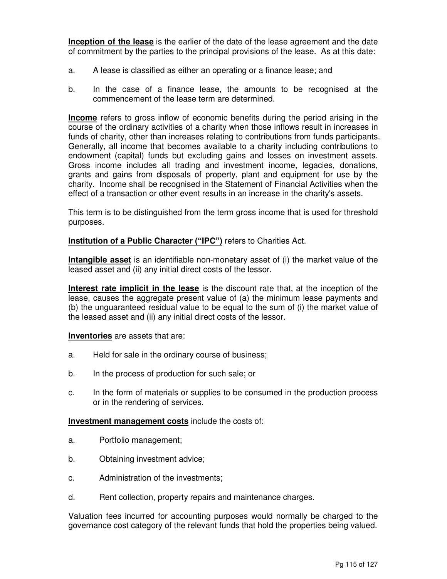**Inception of the lease** is the earlier of the date of the lease agreement and the date of commitment by the parties to the principal provisions of the lease. As at this date:

- a. A lease is classified as either an operating or a finance lease; and
- b. In the case of a finance lease, the amounts to be recognised at the commencement of the lease term are determined.

**Income** refers to gross inflow of economic benefits during the period arising in the course of the ordinary activities of a charity when those inflows result in increases in funds of charity, other than increases relating to contributions from funds participants. Generally, all income that becomes available to a charity including contributions to endowment (capital) funds but excluding gains and losses on investment assets. Gross income includes all trading and investment income, legacies, donations, grants and gains from disposals of property, plant and equipment for use by the charity. Income shall be recognised in the Statement of Financial Activities when the effect of a transaction or other event results in an increase in the charity's assets.

This term is to be distinguished from the term gross income that is used for threshold purposes.

### **Institution of a Public Character ("IPC")** refers to Charities Act.

**Intangible asset** is an identifiable non-monetary asset of (i) the market value of the leased asset and (ii) any initial direct costs of the lessor.

**Interest rate implicit in the lease** is the discount rate that, at the inception of the lease, causes the aggregate present value of (a) the minimum lease payments and (b) the unguaranteed residual value to be equal to the sum of (i) the market value of the leased asset and (ii) any initial direct costs of the lessor.

### **Inventories** are assets that are:

- a. Held for sale in the ordinary course of business;
- b. In the process of production for such sale; or
- c. In the form of materials or supplies to be consumed in the production process or in the rendering of services.

### **Investment management costs** include the costs of:

- a. Portfolio management;
- b. Obtaining investment advice;
- c. Administration of the investments;
- d. Rent collection, property repairs and maintenance charges.

Valuation fees incurred for accounting purposes would normally be charged to the governance cost category of the relevant funds that hold the properties being valued.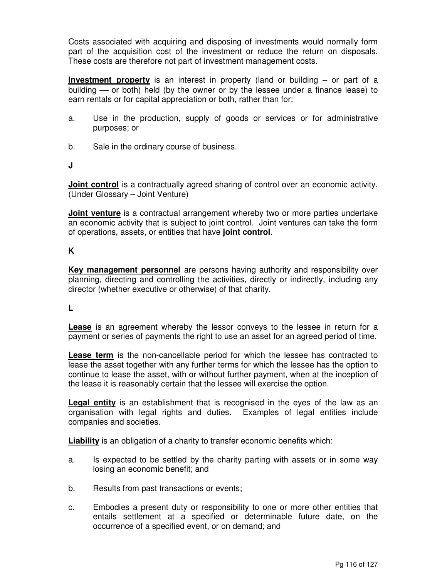Costs associated with acquiring and disposing of investments would normally form part of the acquisition cost of the investment or reduce the return on disposals. These costs are therefore not part of investment management costs.

**Investment property** is an interest in property (land or building – or part of a building  $\sim$  or both) held (by the owner or by the lessee under a finance lease) to earn rentals or for capital appreciation or both, rather than for:

- a. Use in the production, supply of goods or services or for administrative purposes; or
- b. Sale in the ordinary course of business.
- **J**

**Joint control** is a contractually agreed sharing of control over an economic activity. (Under Glossary – Joint Venture)

**Joint venture** is a contractual arrangement whereby two or more parties undertake an economic activity that is subject to joint control. Joint ventures can take the form of operations, assets, or entities that have **joint control**.

### **K**

**Key management personnel** are persons having authority and responsibility over planning, directing and controlling the activities, directly or indirectly, including any director (whether executive or otherwise) of that charity.

## **L**

**Lease** is an agreement whereby the lessor conveys to the lessee in return for a payment or series of payments the right to use an asset for an agreed period of time.

**Lease term** is the non-cancellable period for which the lessee has contracted to lease the asset together with any further terms for which the lessee has the option to continue to lease the asset, with or without further payment, when at the inception of the lease it is reasonably certain that the lessee will exercise the option.

**Legal entity** is an establishment that is recognised in the eyes of the law as an organisation with legal rights and duties. Examples of legal entities include companies and societies.

**Liability** is an obligation of a charity to transfer economic benefits which:

- a. Is expected to be settled by the charity parting with assets or in some way losing an economic benefit; and
- b. Results from past transactions or events;
- c. Embodies a present duty or responsibility to one or more other entities that entails settlement at a specified or determinable future date, on the occurrence of a specified event, or on demand; and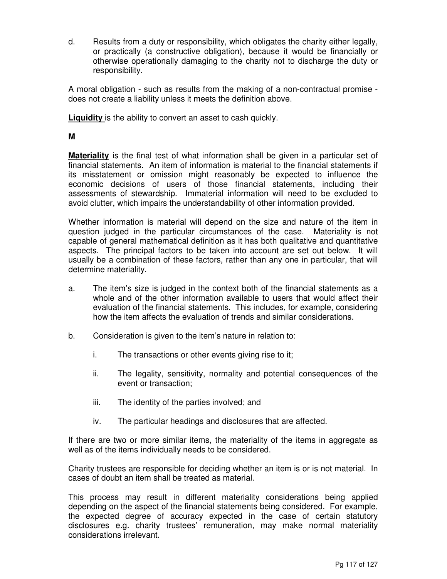d. Results from a duty or responsibility, which obligates the charity either legally, or practically (a constructive obligation), because it would be financially or otherwise operationally damaging to the charity not to discharge the duty or responsibility.

A moral obligation - such as results from the making of a non-contractual promise does not create a liability unless it meets the definition above.

**Liquidity** is the ability to convert an asset to cash quickly.

### **M**

**Materiality** is the final test of what information shall be given in a particular set of financial statements. An item of information is material to the financial statements if its misstatement or omission might reasonably be expected to influence the economic decisions of users of those financial statements, including their assessments of stewardship. Immaterial information will need to be excluded to avoid clutter, which impairs the understandability of other information provided.

Whether information is material will depend on the size and nature of the item in question judged in the particular circumstances of the case. Materiality is not capable of general mathematical definition as it has both qualitative and quantitative aspects. The principal factors to be taken into account are set out below. It will usually be a combination of these factors, rather than any one in particular, that will determine materiality.

- a. The item's size is judged in the context both of the financial statements as a whole and of the other information available to users that would affect their evaluation of the financial statements. This includes, for example, considering how the item affects the evaluation of trends and similar considerations.
- b. Consideration is given to the item's nature in relation to:
	- i. The transactions or other events giving rise to it;
	- ii. The legality, sensitivity, normality and potential consequences of the event or transaction;
	- iii. The identity of the parties involved; and
	- iv. The particular headings and disclosures that are affected.

If there are two or more similar items, the materiality of the items in aggregate as well as of the items individually needs to be considered.

Charity trustees are responsible for deciding whether an item is or is not material. In cases of doubt an item shall be treated as material.

This process may result in different materiality considerations being applied depending on the aspect of the financial statements being considered. For example, the expected degree of accuracy expected in the case of certain statutory disclosures e.g. charity trustees' remuneration, may make normal materiality considerations irrelevant.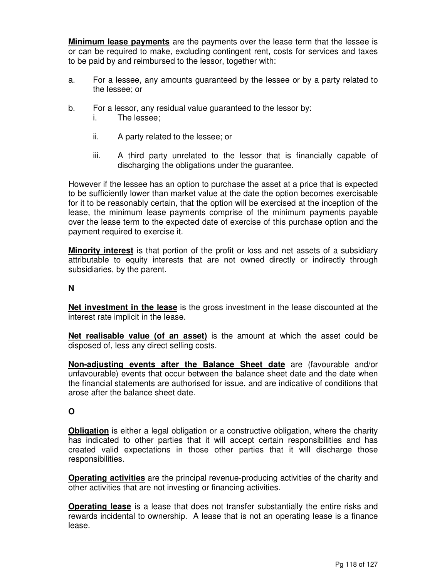**Minimum lease payments** are the payments over the lease term that the lessee is or can be required to make, excluding contingent rent, costs for services and taxes to be paid by and reimbursed to the lessor, together with:

- a. For a lessee, any amounts guaranteed by the lessee or by a party related to the lessee; or
- b. For a lessor, any residual value guaranteed to the lessor by:
	- i. The lessee;
	- ii. A party related to the lessee; or
	- iii. A third party unrelated to the lessor that is financially capable of discharging the obligations under the guarantee.

However if the lessee has an option to purchase the asset at a price that is expected to be sufficiently lower than market value at the date the option becomes exercisable for it to be reasonably certain, that the option will be exercised at the inception of the lease, the minimum lease payments comprise of the minimum payments payable over the lease term to the expected date of exercise of this purchase option and the payment required to exercise it.

**Minority interest** is that portion of the profit or loss and net assets of a subsidiary attributable to equity interests that are not owned directly or indirectly through subsidiaries, by the parent.

### **N**

**Net investment in the lease** is the gross investment in the lease discounted at the interest rate implicit in the lease.

**Net realisable value (of an asset)** is the amount at which the asset could be disposed of, less any direct selling costs.

**Non-adjusting events after the Balance Sheet date** are (favourable and/or unfavourable) events that occur between the balance sheet date and the date when the financial statements are authorised for issue, and are indicative of conditions that arose after the balance sheet date.

## **O**

**Obligation** is either a legal obligation or a constructive obligation, where the charity has indicated to other parties that it will accept certain responsibilities and has created valid expectations in those other parties that it will discharge those responsibilities.

**Operating activities** are the principal revenue-producing activities of the charity and other activities that are not investing or financing activities.

**Operating lease** is a lease that does not transfer substantially the entire risks and rewards incidental to ownership. A lease that is not an operating lease is a finance lease.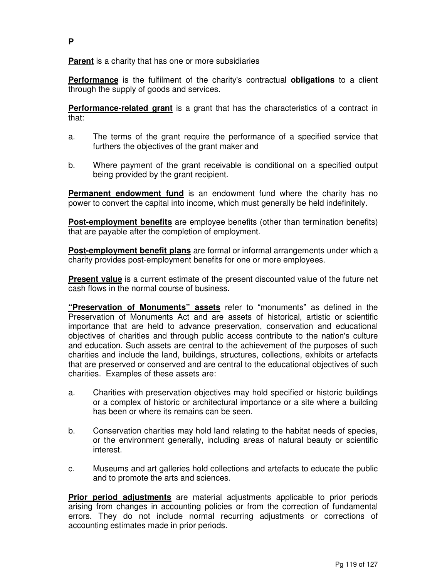**Parent** is a charity that has one or more subsidiaries

**Performance** is the fulfilment of the charity's contractual **obligations** to a client through the supply of goods and services.

**Performance-related grant** is a grant that has the characteristics of a contract in that:

- a. The terms of the grant require the performance of a specified service that furthers the objectives of the grant maker and
- b. Where payment of the grant receivable is conditional on a specified output being provided by the grant recipient.

**Permanent endowment fund** is an endowment fund where the charity has no power to convert the capital into income, which must generally be held indefinitely.

**Post-employment benefits** are employee benefits (other than termination benefits) that are payable after the completion of employment.

**Post-employment benefit plans** are formal or informal arrangements under which a charity provides post-employment benefits for one or more employees.

**Present value** is a current estimate of the present discounted value of the future net cash flows in the normal course of business.

**"Preservation of Monuments" assets** refer to "monuments" as defined in the Preservation of Monuments Act and are assets of historical, artistic or scientific importance that are held to advance preservation, conservation and educational objectives of charities and through public access contribute to the nation's culture and education. Such assets are central to the achievement of the purposes of such charities and include the land, buildings, structures, collections, exhibits or artefacts that are preserved or conserved and are central to the educational objectives of such charities. Examples of these assets are:

- a. Charities with preservation objectives may hold specified or historic buildings or a complex of historic or architectural importance or a site where a building has been or where its remains can be seen.
- b. Conservation charities may hold land relating to the habitat needs of species, or the environment generally, including areas of natural beauty or scientific interest.
- c. Museums and art galleries hold collections and artefacts to educate the public and to promote the arts and sciences.

**Prior period adjustments** are material adjustments applicable to prior periods arising from changes in accounting policies or from the correction of fundamental errors. They do not include normal recurring adjustments or corrections of accounting estimates made in prior periods.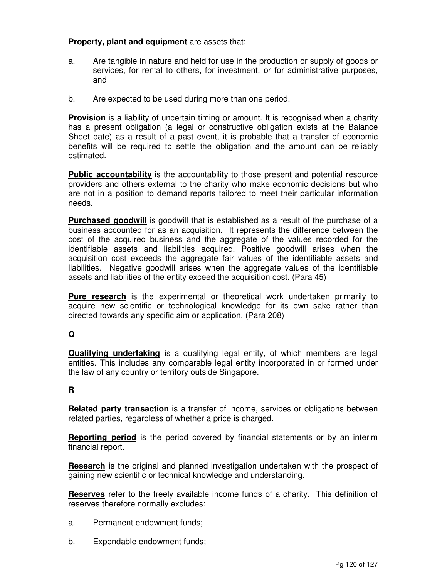### **Property, plant and equipment** are assets that:

- a. Are tangible in nature and held for use in the production or supply of goods or services, for rental to others, for investment, or for administrative purposes, and
- b. Are expected to be used during more than one period.

**Provision** is a liability of uncertain timing or amount. It is recognised when a charity has a present obligation (a legal or constructive obligation exists at the Balance Sheet date) as a result of a past event, it is probable that a transfer of economic benefits will be required to settle the obligation and the amount can be reliably estimated.

**Public accountability** is the accountability to those present and potential resource providers and others external to the charity who make economic decisions but who are not in a position to demand reports tailored to meet their particular information needs.

**Purchased goodwill** is goodwill that is established as a result of the purchase of a business accounted for as an acquisition. It represents the difference between the cost of the acquired business and the aggregate of the values recorded for the identifiable assets and liabilities acquired. Positive goodwill arises when the acquisition cost exceeds the aggregate fair values of the identifiable assets and liabilities. Negative goodwill arises when the aggregate values of the identifiable assets and liabilities of the entity exceed the acquisition cost. (Para 45)

**Pure research** is the experimental or theoretical work undertaken primarily to acquire new scientific or technological knowledge for its own sake rather than directed towards any specific aim or application. (Para 208)

### **Q**

**Qualifying undertaking** is a qualifying legal entity, of which members are legal entities. This includes any comparable legal entity incorporated in or formed under the law of any country or territory outside Singapore.

### **R**

**Related party transaction** is a transfer of income, services or obligations between related parties, regardless of whether a price is charged.

**Reporting period** is the period covered by financial statements or by an interim financial report.

**Research** is the original and planned investigation undertaken with the prospect of gaining new scientific or technical knowledge and understanding.

**Reserves** refer to the freely available income funds of a charity. This definition of reserves therefore normally excludes:

- a. Permanent endowment funds;
- b. Expendable endowment funds;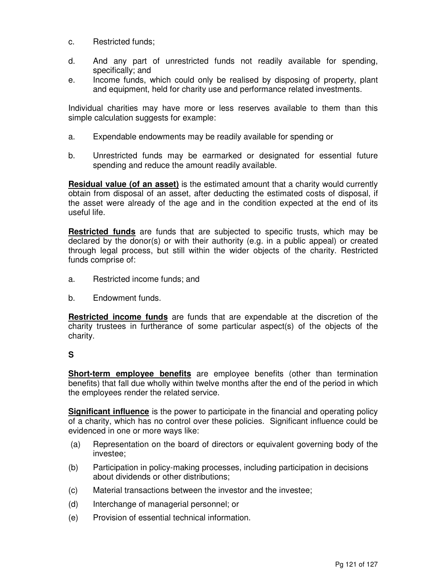- c. Restricted funds;
- d. And any part of unrestricted funds not readily available for spending, specifically; and
- e. Income funds, which could only be realised by disposing of property, plant and equipment, held for charity use and performance related investments.

Individual charities may have more or less reserves available to them than this simple calculation suggests for example:

- a. Expendable endowments may be readily available for spending or
- b. Unrestricted funds may be earmarked or designated for essential future spending and reduce the amount readily available.

**Residual value (of an asset)** is the estimated amount that a charity would currently obtain from disposal of an asset, after deducting the estimated costs of disposal, if the asset were already of the age and in the condition expected at the end of its useful life.

**Restricted funds** are funds that are subjected to specific trusts, which may be declared by the donor(s) or with their authority (e.g. in a public appeal) or created through legal process, but still within the wider objects of the charity. Restricted funds comprise of:

- a. Restricted income funds; and
- b. Endowment funds.

**Restricted income funds** are funds that are expendable at the discretion of the charity trustees in furtherance of some particular aspect(s) of the objects of the charity.

### **S**

**Short-term employee benefits** are employee benefits (other than termination benefits) that fall due wholly within twelve months after the end of the period in which the employees render the related service.

**Significant influence** is the power to participate in the financial and operating policy of a charity, which has no control over these policies. Significant influence could be evidenced in one or more ways like:

- (a) Representation on the board of directors or equivalent governing body of the investee;
- (b) Participation in policy-making processes, including participation in decisions about dividends or other distributions;
- (c) Material transactions between the investor and the investee;
- (d) Interchange of managerial personnel; or
- (e) Provision of essential technical information.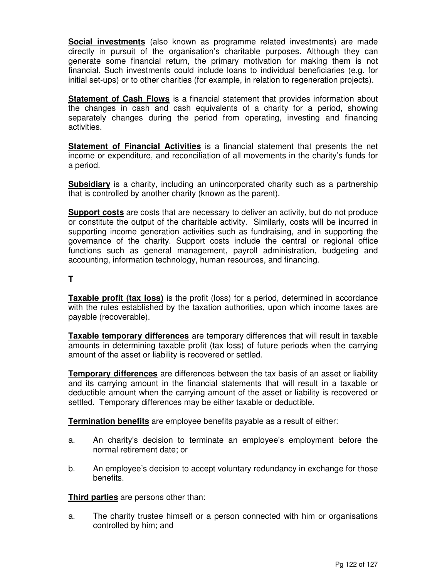**Social investments** (also known as programme related investments) are made directly in pursuit of the organisation's charitable purposes. Although they can generate some financial return, the primary motivation for making them is not financial. Such investments could include loans to individual beneficiaries (e.g. for initial set-ups) or to other charities (for example, in relation to regeneration projects).

**Statement of Cash Flows** is a financial statement that provides information about the changes in cash and cash equivalents of a charity for a period, showing separately changes during the period from operating, investing and financing activities.

**Statement of Financial Activities** is a financial statement that presents the net income or expenditure, and reconciliation of all movements in the charity's funds for a period.

**Subsidiary** is a charity, including an unincorporated charity such as a partnership that is controlled by another charity (known as the parent).

**Support costs** are costs that are necessary to deliver an activity, but do not produce or constitute the output of the charitable activity. Similarly, costs will be incurred in supporting income generation activities such as fundraising, and in supporting the governance of the charity. Support costs include the central or regional office functions such as general management, payroll administration, budgeting and accounting, information technology, human resources, and financing.

### **T**

**Taxable profit (tax loss)** is the profit (loss) for a period, determined in accordance with the rules established by the taxation authorities, upon which income taxes are payable (recoverable).

**Taxable temporary differences** are temporary differences that will result in taxable amounts in determining taxable profit (tax loss) of future periods when the carrying amount of the asset or liability is recovered or settled.

**Temporary differences** are differences between the tax basis of an asset or liability and its carrying amount in the financial statements that will result in a taxable or deductible amount when the carrying amount of the asset or liability is recovered or settled. Temporary differences may be either taxable or deductible.

**Termination benefits** are employee benefits payable as a result of either:

- a. An charity's decision to terminate an employee's employment before the normal retirement date; or
- b. An employee's decision to accept voluntary redundancy in exchange for those benefits.

**Third parties** are persons other than:

a. The charity trustee himself or a person connected with him or organisations controlled by him; and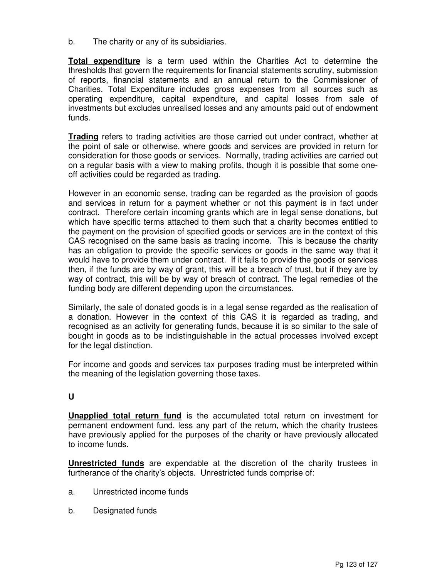b. The charity or any of its subsidiaries.

**Total expenditure** is a term used within the Charities Act to determine the thresholds that govern the requirements for financial statements scrutiny, submission of reports, financial statements and an annual return to the Commissioner of Charities. Total Expenditure includes gross expenses from all sources such as operating expenditure, capital expenditure, and capital losses from sale of investments but excludes unrealised losses and any amounts paid out of endowment funds.

**Trading** refers to trading activities are those carried out under contract, whether at the point of sale or otherwise, where goods and services are provided in return for consideration for those goods or services. Normally, trading activities are carried out on a regular basis with a view to making profits, though it is possible that some oneoff activities could be regarded as trading.

However in an economic sense, trading can be regarded as the provision of goods and services in return for a payment whether or not this payment is in fact under contract. Therefore certain incoming grants which are in legal sense donations, but which have specific terms attached to them such that a charity becomes entitled to the payment on the provision of specified goods or services are in the context of this CAS recognised on the same basis as trading income. This is because the charity has an obligation to provide the specific services or goods in the same way that it would have to provide them under contract. If it fails to provide the goods or services then, if the funds are by way of grant, this will be a breach of trust, but if they are by way of contract, this will be by way of breach of contract. The legal remedies of the funding body are different depending upon the circumstances.

Similarly, the sale of donated goods is in a legal sense regarded as the realisation of a donation. However in the context of this CAS it is regarded as trading, and recognised as an activity for generating funds, because it is so similar to the sale of bought in goods as to be indistinguishable in the actual processes involved except for the legal distinction.

For income and goods and services tax purposes trading must be interpreted within the meaning of the legislation governing those taxes.

### **U**

**Unapplied total return fund** is the accumulated total return on investment for permanent endowment fund, less any part of the return, which the charity trustees have previously applied for the purposes of the charity or have previously allocated to income funds.

**Unrestricted funds** are expendable at the discretion of the charity trustees in furtherance of the charity's objects. Unrestricted funds comprise of:

- a. Unrestricted income funds
- b. Designated funds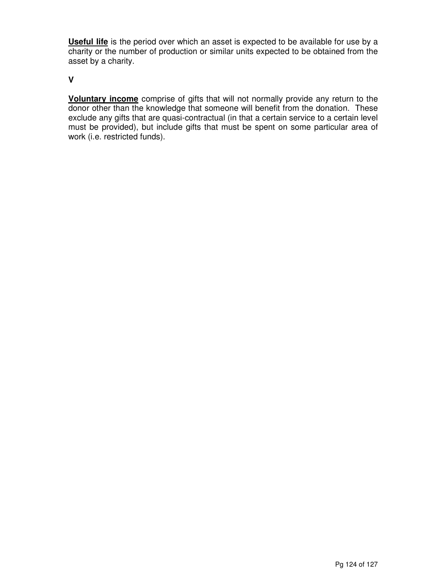**Useful life** is the period over which an asset is expected to be available for use by a charity or the number of production or similar units expected to be obtained from the asset by a charity.

#### **V**

**Voluntary income** comprise of gifts that will not normally provide any return to the donor other than the knowledge that someone will benefit from the donation. These exclude any gifts that are quasi-contractual (in that a certain service to a certain level must be provided), but include gifts that must be spent on some particular area of work (i.e. restricted funds).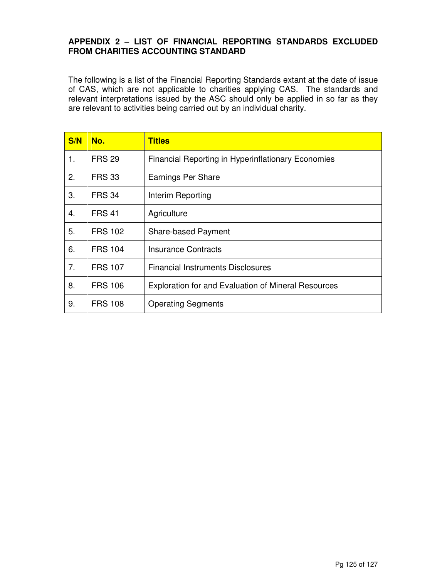### **APPENDIX 2 – LIST OF FINANCIAL REPORTING STANDARDS EXCLUDED FROM CHARITIES ACCOUNTING STANDARD**

The following is a list of the Financial Reporting Standards extant at the date of issue of CAS, which are not applicable to charities applying CAS. The standards and relevant interpretations issued by the ASC should only be applied in so far as they are relevant to activities being carried out by an individual charity.

| S/N | No.            | <b>Titles</b>                                              |
|-----|----------------|------------------------------------------------------------|
| 1.  | <b>FRS 29</b>  | <b>Financial Reporting in Hyperinflationary Economies</b>  |
| 2.  | <b>FRS 33</b>  | Earnings Per Share                                         |
| 3.  | <b>FRS 34</b>  | Interim Reporting                                          |
| 4.  | <b>FRS 41</b>  | Agriculture                                                |
| 5.  | <b>FRS 102</b> | <b>Share-based Payment</b>                                 |
| 6.  | <b>FRS 104</b> | <b>Insurance Contracts</b>                                 |
| 7.  | <b>FRS 107</b> | Financial Instruments Disclosures                          |
| 8.  | <b>FRS 106</b> | <b>Exploration for and Evaluation of Mineral Resources</b> |
| 9.  | <b>FRS 108</b> | <b>Operating Segments</b>                                  |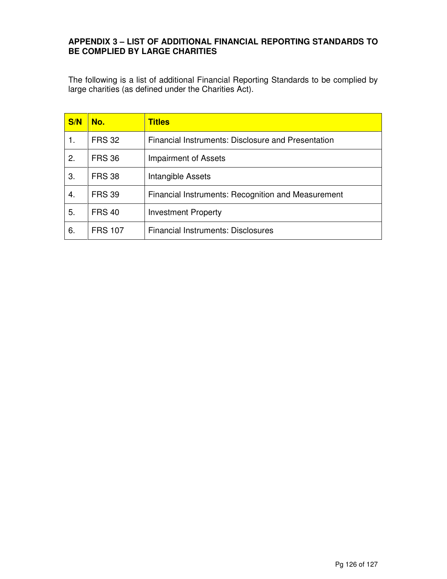## **APPENDIX 3 – LIST OF ADDITIONAL FINANCIAL REPORTING STANDARDS TO BE COMPLIED BY LARGE CHARITIES**

The following is a list of additional Financial Reporting Standards to be complied by large charities (as defined under the Charities Act).

| S/N | No.            | <b>Titles</b>                                      |
|-----|----------------|----------------------------------------------------|
| 1.  | <b>FRS 32</b>  | Financial Instruments: Disclosure and Presentation |
| 2.  | <b>FRS 36</b>  | Impairment of Assets                               |
| 3.  | <b>FRS 38</b>  | Intangible Assets                                  |
| 4.  | <b>FRS 39</b>  | Financial Instruments: Recognition and Measurement |
| 5.  | <b>FRS 40</b>  | <b>Investment Property</b>                         |
| 6.  | <b>FRS 107</b> | <b>Financial Instruments: Disclosures</b>          |